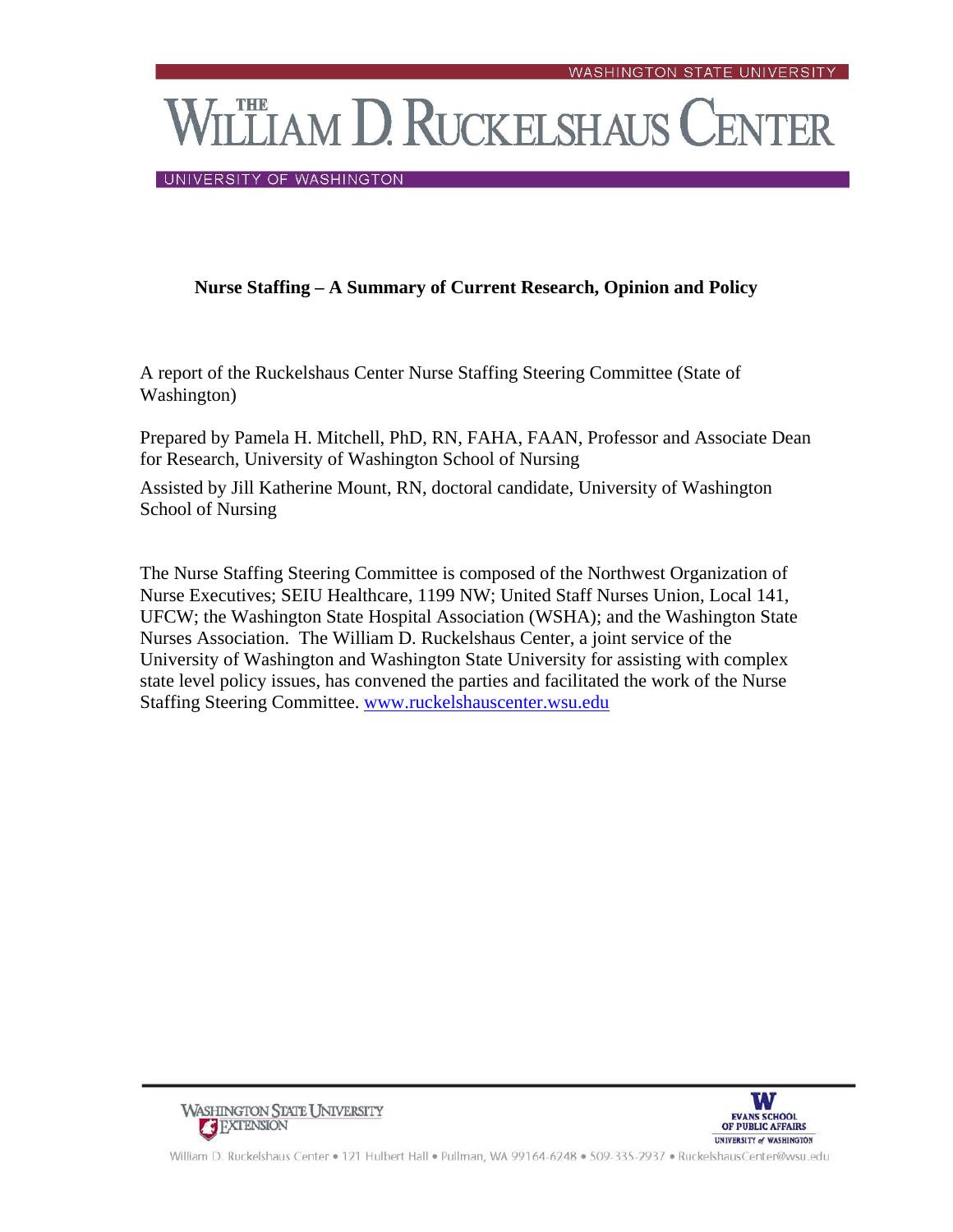**THE AM D. RUCKELSHAUS CENTER** 

UNIVERSITY OF WASHINGTON

# **Nurse Staffing – A Summary of Current Research, Opinion and Policy**

A report of the Ruckelshaus Center Nurse Staffing Steering Committee (State of Washington)

Prepared by Pamela H. Mitchell, PhD, RN, FAHA, FAAN, Professor and Associate Dean for Research, University of Washington School of Nursing

Assisted by Jill Katherine Mount, RN, doctoral candidate, University of Washington School of Nursing

The Nurse Staffing Steering Committee is composed of the Northwest Organization of Nurse Executives; SEIU Healthcare, 1199 NW; United Staff Nurses Union, Local 141, UFCW; the Washington State Hospital Association (WSHA); and the Washington State Nurses Association. The William D. Ruckelshaus Center, a joint service of the University of Washington and Washington State University for assisting with complex state level policy issues, has convened the parties and facilitated the work of the Nurse Staffing Steering Committee. www.ruckelshauscenter.wsu.edu





William D. Ruckelshaus Center . 121 Hulbert Hall . Pullman, WA 99164-6248 . 509-335-2937 . RuckelshausCenter@wsu.edu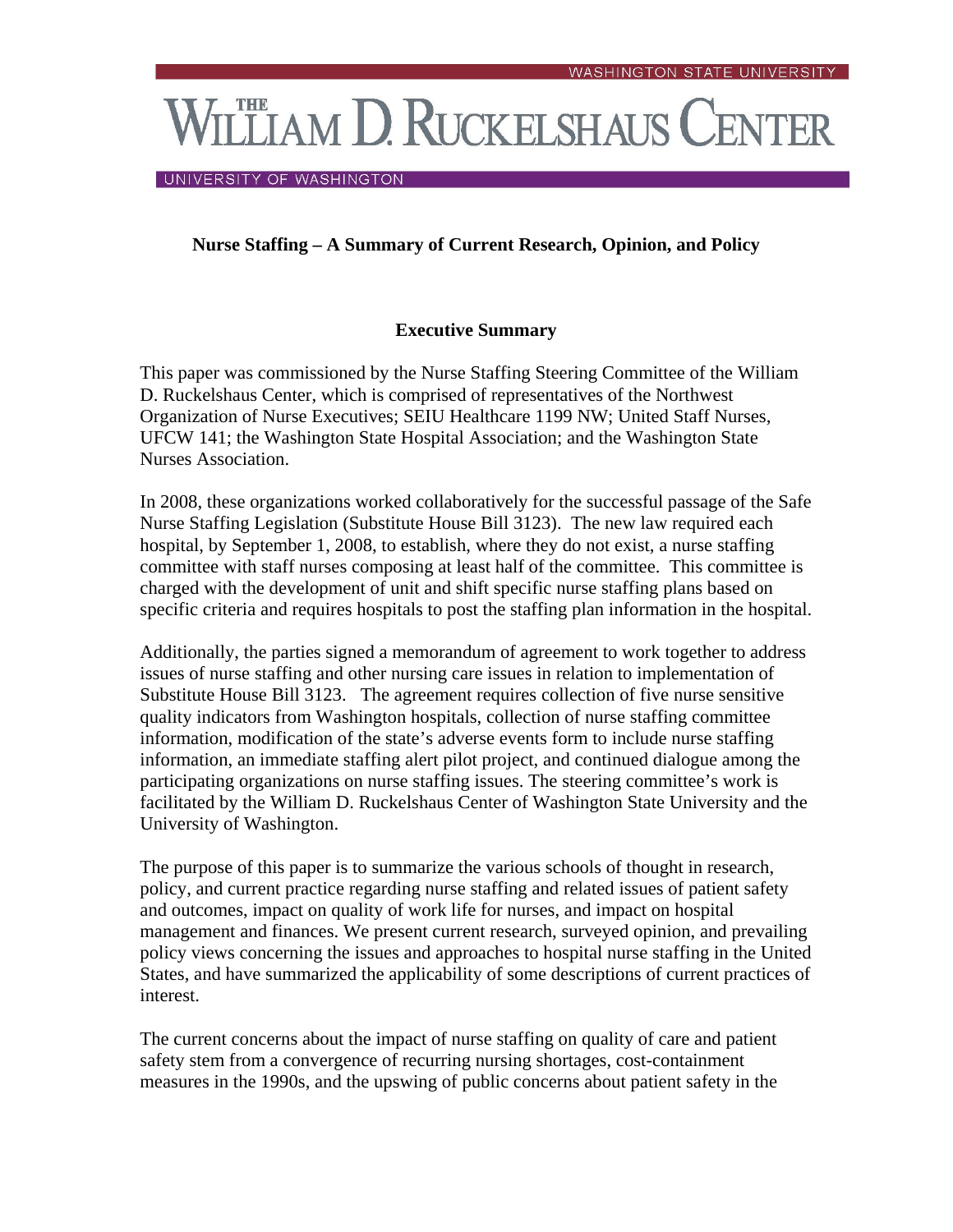# **THE AM D. RUCKELSHAUS CENTER**

UNIVERSITY OF WASHINGTON

# **Nurse Staffing – A Summary of Current Research, Opinion, and Policy**

# **Executive Summary**

This paper was commissioned by the Nurse Staffing Steering Committee of the William D. Ruckelshaus Center, which is comprised of representatives of the Northwest Organization of Nurse Executives; SEIU Healthcare 1199 NW; United Staff Nurses, UFCW 141; the Washington State Hospital Association; and the Washington State Nurses Association.

In 2008, these organizations worked collaboratively for the successful passage of the Safe Nurse Staffing Legislation (Substitute House Bill 3123). The new law required each hospital, by September 1, 2008, to establish, where they do not exist, a nurse staffing committee with staff nurses composing at least half of the committee. This committee is charged with the development of unit and shift specific nurse staffing plans based on specific criteria and requires hospitals to post the staffing plan information in the hospital.

Additionally, the parties signed a memorandum of agreement to work together to address issues of nurse staffing and other nursing care issues in relation to implementation of Substitute House Bill 3123. The agreement requires collection of five nurse sensitive quality indicators from Washington hospitals, collection of nurse staffing committee information, modification of the state's adverse events form to include nurse staffing information, an immediate staffing alert pilot project, and continued dialogue among the participating organizations on nurse staffing issues. The steering committee's work is facilitated by the William D. Ruckelshaus Center of Washington State University and the University of Washington.

The purpose of this paper is to summarize the various schools of thought in research, policy, and current practice regarding nurse staffing and related issues of patient safety and outcomes, impact on quality of work life for nurses, and impact on hospital management and finances. We present current research, surveyed opinion, and prevailing policy views concerning the issues and approaches to hospital nurse staffing in the United States, and have summarized the applicability of some descriptions of current practices of interest.

The current concerns about the impact of nurse staffing on quality of care and patient safety stem from a convergence of recurring nursing shortages, cost-containment measures in the 1990s, and the upswing of public concerns about patient safety in the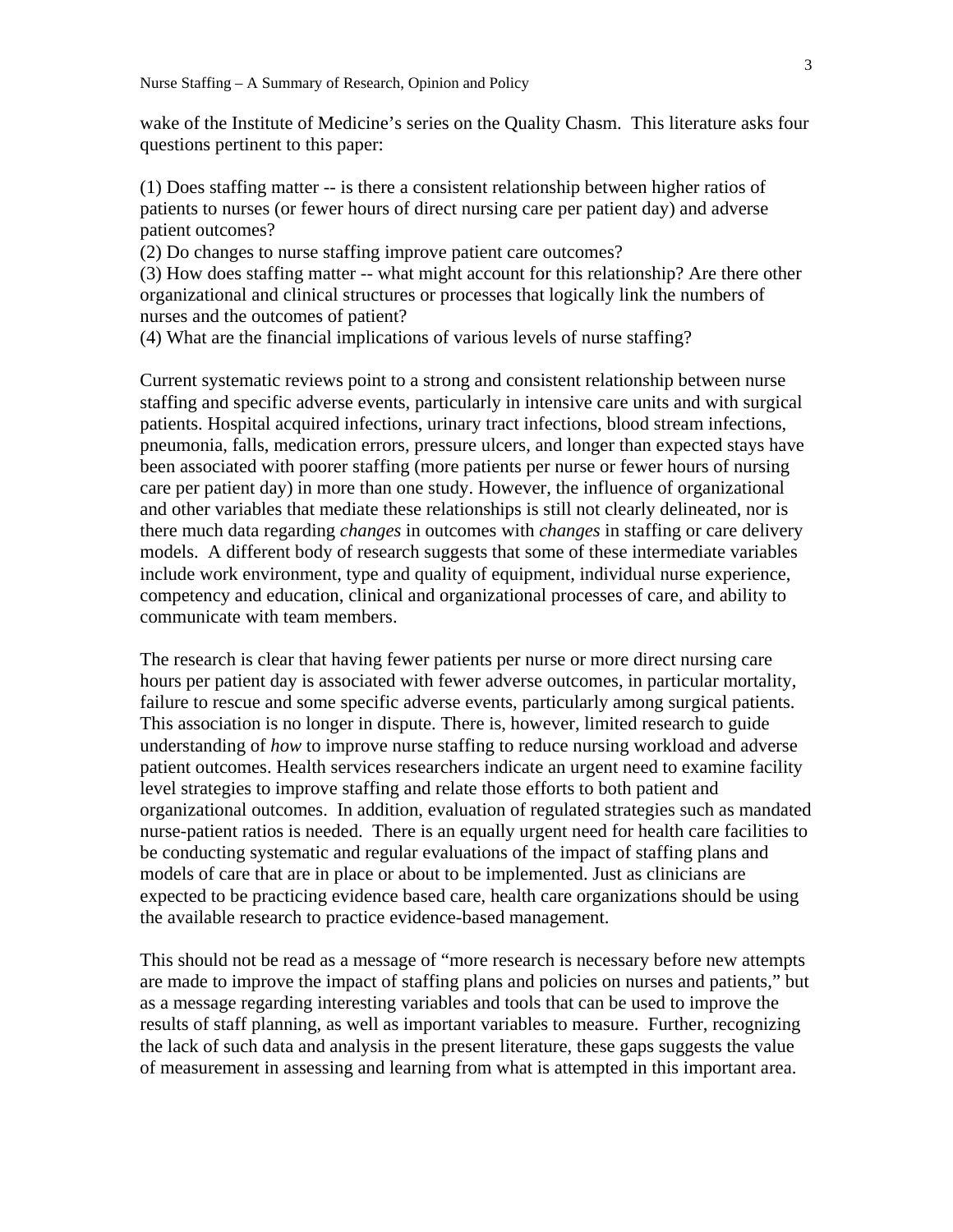wake of the Institute of Medicine's series on the Quality Chasm. This literature asks four questions pertinent to this paper:

(1) Does staffing matter -- is there a consistent relationship between higher ratios of patients to nurses (or fewer hours of direct nursing care per patient day) and adverse patient outcomes?

(2) Do changes to nurse staffing improve patient care outcomes?

(3) How does staffing matter -- what might account for this relationship? Are there other organizational and clinical structures or processes that logically link the numbers of nurses and the outcomes of patient?

(4) What are the financial implications of various levels of nurse staffing?

Current systematic reviews point to a strong and consistent relationship between nurse staffing and specific adverse events, particularly in intensive care units and with surgical patients. Hospital acquired infections, urinary tract infections, blood stream infections, pneumonia, falls, medication errors, pressure ulcers, and longer than expected stays have been associated with poorer staffing (more patients per nurse or fewer hours of nursing care per patient day) in more than one study. However, the influence of organizational and other variables that mediate these relationships is still not clearly delineated, nor is there much data regarding *changes* in outcomes with *changes* in staffing or care delivery models. A different body of research suggests that some of these intermediate variables include work environment, type and quality of equipment, individual nurse experience, competency and education, clinical and organizational processes of care, and ability to communicate with team members.

The research is clear that having fewer patients per nurse or more direct nursing care hours per patient day is associated with fewer adverse outcomes, in particular mortality, failure to rescue and some specific adverse events, particularly among surgical patients. This association is no longer in dispute. There is, however, limited research to guide understanding of *how* to improve nurse staffing to reduce nursing workload and adverse patient outcomes. Health services researchers indicate an urgent need to examine facility level strategies to improve staffing and relate those efforts to both patient and organizational outcomes. In addition, evaluation of regulated strategies such as mandated nurse-patient ratios is needed. There is an equally urgent need for health care facilities to be conducting systematic and regular evaluations of the impact of staffing plans and models of care that are in place or about to be implemented. Just as clinicians are expected to be practicing evidence based care, health care organizations should be using the available research to practice evidence-based management.

This should not be read as a message of "more research is necessary before new attempts are made to improve the impact of staffing plans and policies on nurses and patients," but as a message regarding interesting variables and tools that can be used to improve the results of staff planning, as well as important variables to measure. Further, recognizing the lack of such data and analysis in the present literature, these gaps suggests the value of measurement in assessing and learning from what is attempted in this important area.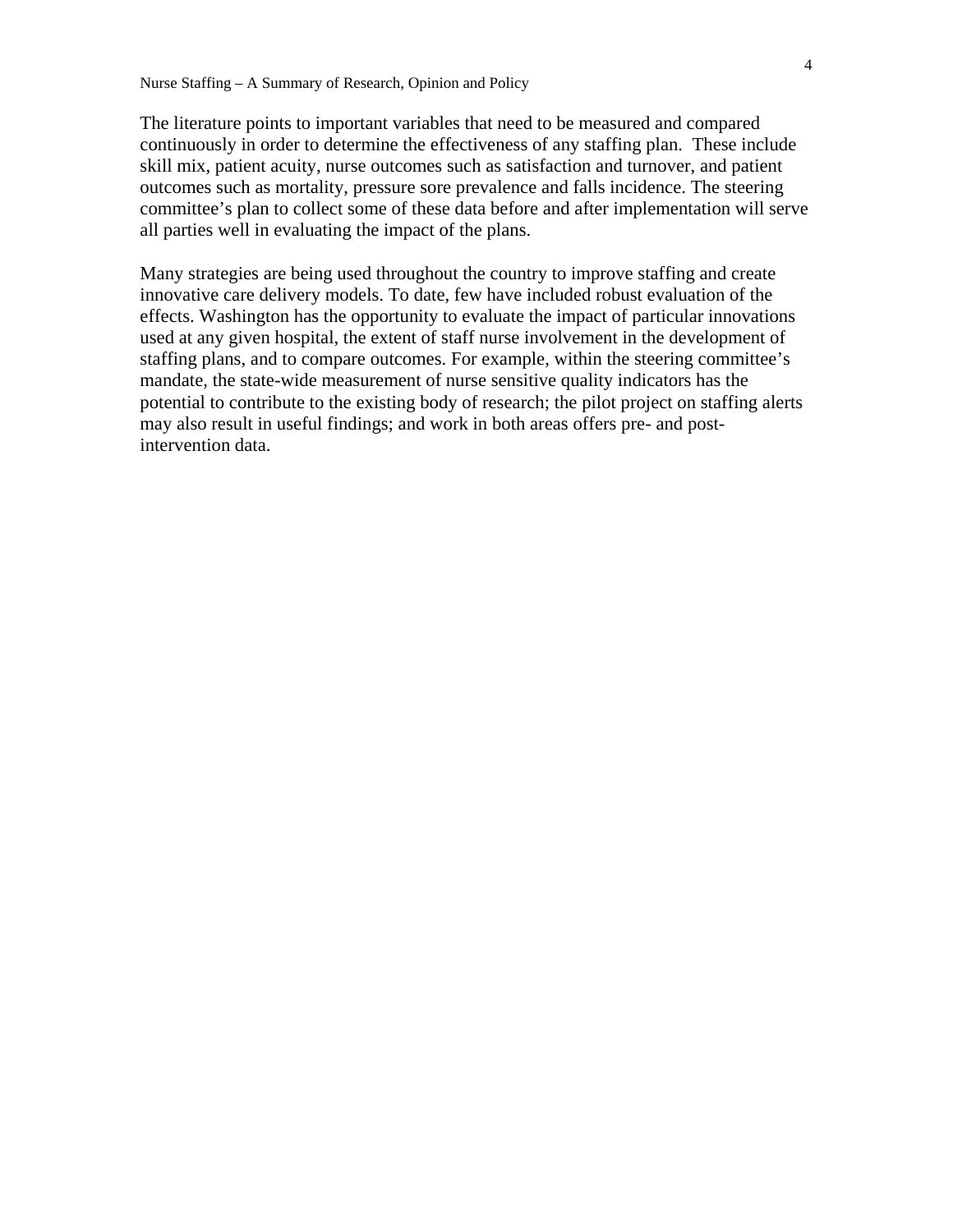The literature points to important variables that need to be measured and compared continuously in order to determine the effectiveness of any staffing plan. These include skill mix, patient acuity, nurse outcomes such as satisfaction and turnover, and patient outcomes such as mortality, pressure sore prevalence and falls incidence. The steering committee's plan to collect some of these data before and after implementation will serve all parties well in evaluating the impact of the plans.

Many strategies are being used throughout the country to improve staffing and create innovative care delivery models. To date, few have included robust evaluation of the effects. Washington has the opportunity to evaluate the impact of particular innovations used at any given hospital, the extent of staff nurse involvement in the development of staffing plans, and to compare outcomes. For example, within the steering committee's mandate, the state-wide measurement of nurse sensitive quality indicators has the potential to contribute to the existing body of research; the pilot project on staffing alerts may also result in useful findings; and work in both areas offers pre- and postintervention data.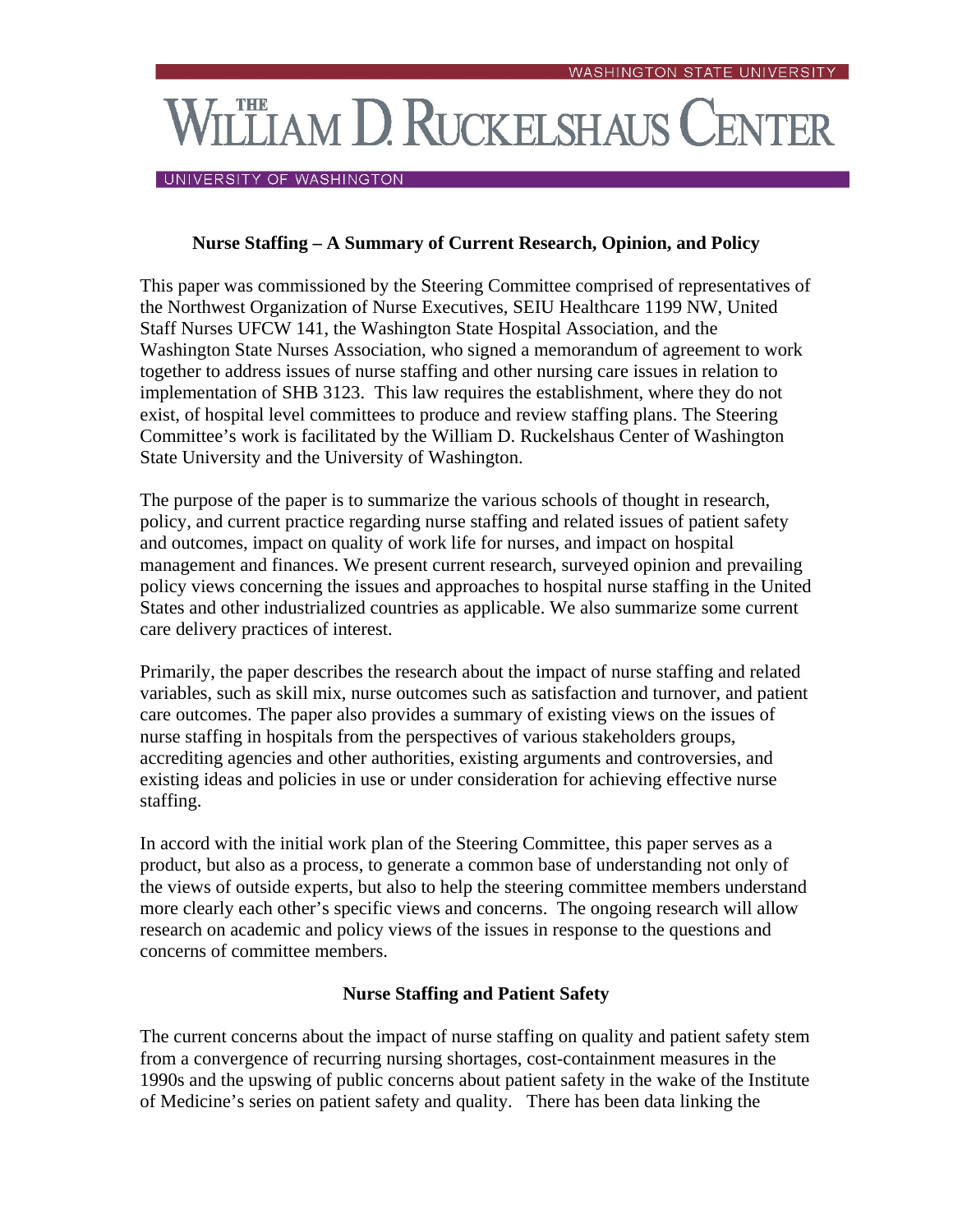# **THE AM D. RUCKELSHAUS CENTER**

#### UNIVERSITY OF WASHINGTON

# **Nurse Staffing – A Summary of Current Research, Opinion, and Policy**

This paper was commissioned by the Steering Committee comprised of representatives of the Northwest Organization of Nurse Executives, SEIU Healthcare 1199 NW, United Staff Nurses UFCW 141, the Washington State Hospital Association, and the Washington State Nurses Association, who signed a memorandum of agreement to work together to address issues of nurse staffing and other nursing care issues in relation to implementation of SHB 3123. This law requires the establishment, where they do not exist, of hospital level committees to produce and review staffing plans. The Steering Committee's work is facilitated by the William D. Ruckelshaus Center of Washington State University and the University of Washington.

The purpose of the paper is to summarize the various schools of thought in research, policy, and current practice regarding nurse staffing and related issues of patient safety and outcomes, impact on quality of work life for nurses, and impact on hospital management and finances. We present current research, surveyed opinion and prevailing policy views concerning the issues and approaches to hospital nurse staffing in the United States and other industrialized countries as applicable. We also summarize some current care delivery practices of interest.

Primarily, the paper describes the research about the impact of nurse staffing and related variables, such as skill mix, nurse outcomes such as satisfaction and turnover, and patient care outcomes. The paper also provides a summary of existing views on the issues of nurse staffing in hospitals from the perspectives of various stakeholders groups, accrediting agencies and other authorities, existing arguments and controversies, and existing ideas and policies in use or under consideration for achieving effective nurse staffing.

In accord with the initial work plan of the Steering Committee, this paper serves as a product, but also as a process, to generate a common base of understanding not only of the views of outside experts, but also to help the steering committee members understand more clearly each other's specific views and concerns. The ongoing research will allow research on academic and policy views of the issues in response to the questions and concerns of committee members.

# **Nurse Staffing and Patient Safety**

The current concerns about the impact of nurse staffing on quality and patient safety stem from a convergence of recurring nursing shortages, cost-containment measures in the 1990s and the upswing of public concerns about patient safety in the wake of the Institute of Medicine's series on patient safety and quality. There has been data linking the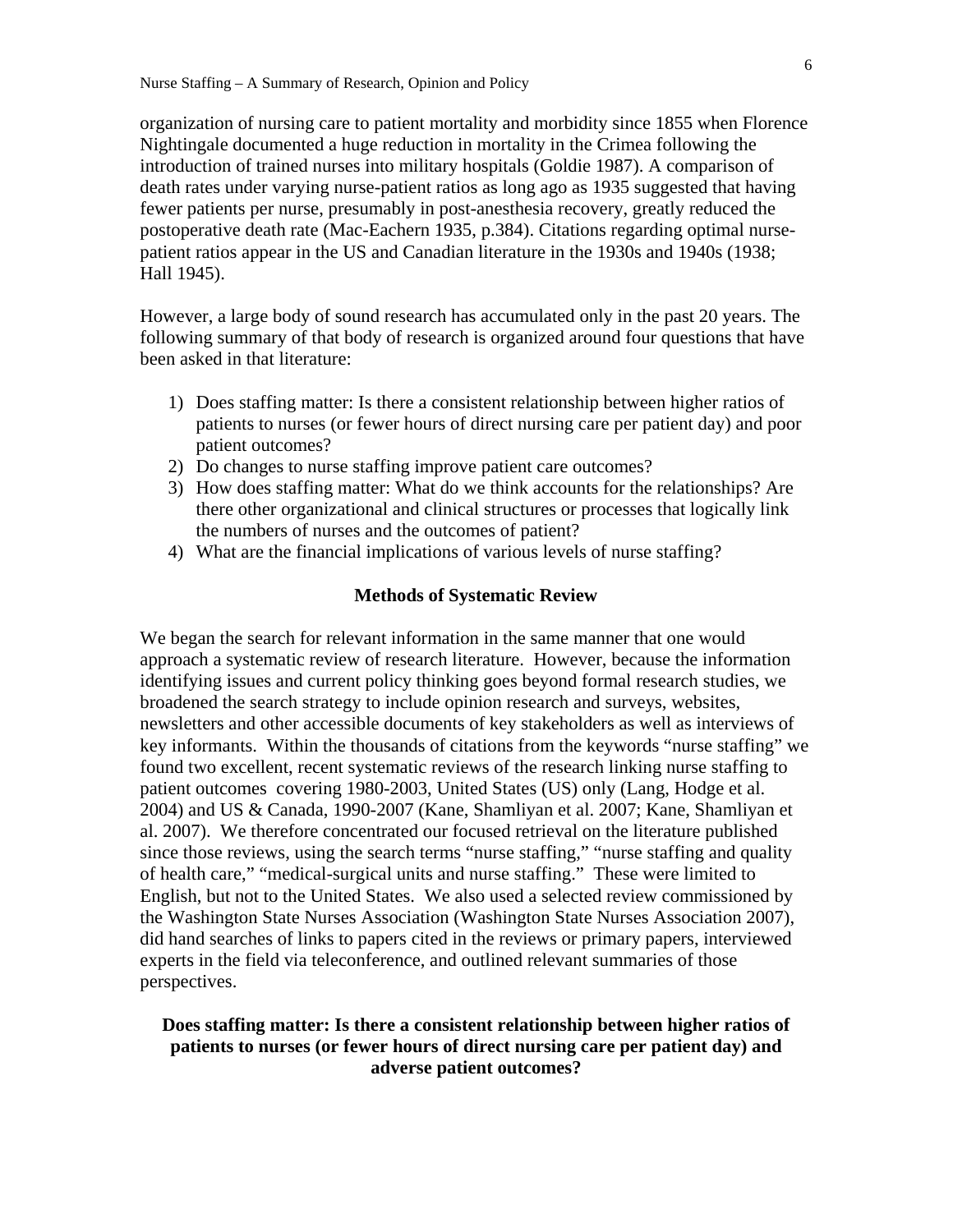organization of nursing care to patient mortality and morbidity since 1855 when Florence Nightingale documented a huge reduction in mortality in the Crimea following the introduction of trained nurses into military hospitals (Goldie 1987). A comparison of death rates under varying nurse-patient ratios as long ago as 1935 suggested that having fewer patients per nurse, presumably in post-anesthesia recovery, greatly reduced the postoperative death rate (Mac-Eachern 1935, p.384). Citations regarding optimal nursepatient ratios appear in the US and Canadian literature in the 1930s and 1940s (1938; Hall 1945).

However, a large body of sound research has accumulated only in the past 20 years. The following summary of that body of research is organized around four questions that have been asked in that literature:

- 1) Does staffing matter: Is there a consistent relationship between higher ratios of patients to nurses (or fewer hours of direct nursing care per patient day) and poor patient outcomes?
- 2) Do changes to nurse staffing improve patient care outcomes?
- 3) How does staffing matter: What do we think accounts for the relationships? Are there other organizational and clinical structures or processes that logically link the numbers of nurses and the outcomes of patient?
- 4) What are the financial implications of various levels of nurse staffing?

#### **Methods of Systematic Review**

We began the search for relevant information in the same manner that one would approach a systematic review of research literature. However, because the information identifying issues and current policy thinking goes beyond formal research studies, we broadened the search strategy to include opinion research and surveys, websites, newsletters and other accessible documents of key stakeholders as well as interviews of key informants. Within the thousands of citations from the keywords "nurse staffing" we found two excellent, recent systematic reviews of the research linking nurse staffing to patient outcomes covering 1980-2003, United States (US) only (Lang, Hodge et al. 2004) and US & Canada, 1990-2007 (Kane, Shamliyan et al. 2007; Kane, Shamliyan et al. 2007). We therefore concentrated our focused retrieval on the literature published since those reviews, using the search terms "nurse staffing," "nurse staffing and quality of health care," "medical-surgical units and nurse staffing." These were limited to English, but not to the United States. We also used a selected review commissioned by the Washington State Nurses Association (Washington State Nurses Association 2007), did hand searches of links to papers cited in the reviews or primary papers, interviewed experts in the field via teleconference, and outlined relevant summaries of those perspectives.

# **Does staffing matter: Is there a consistent relationship between higher ratios of patients to nurses (or fewer hours of direct nursing care per patient day) and adverse patient outcomes?**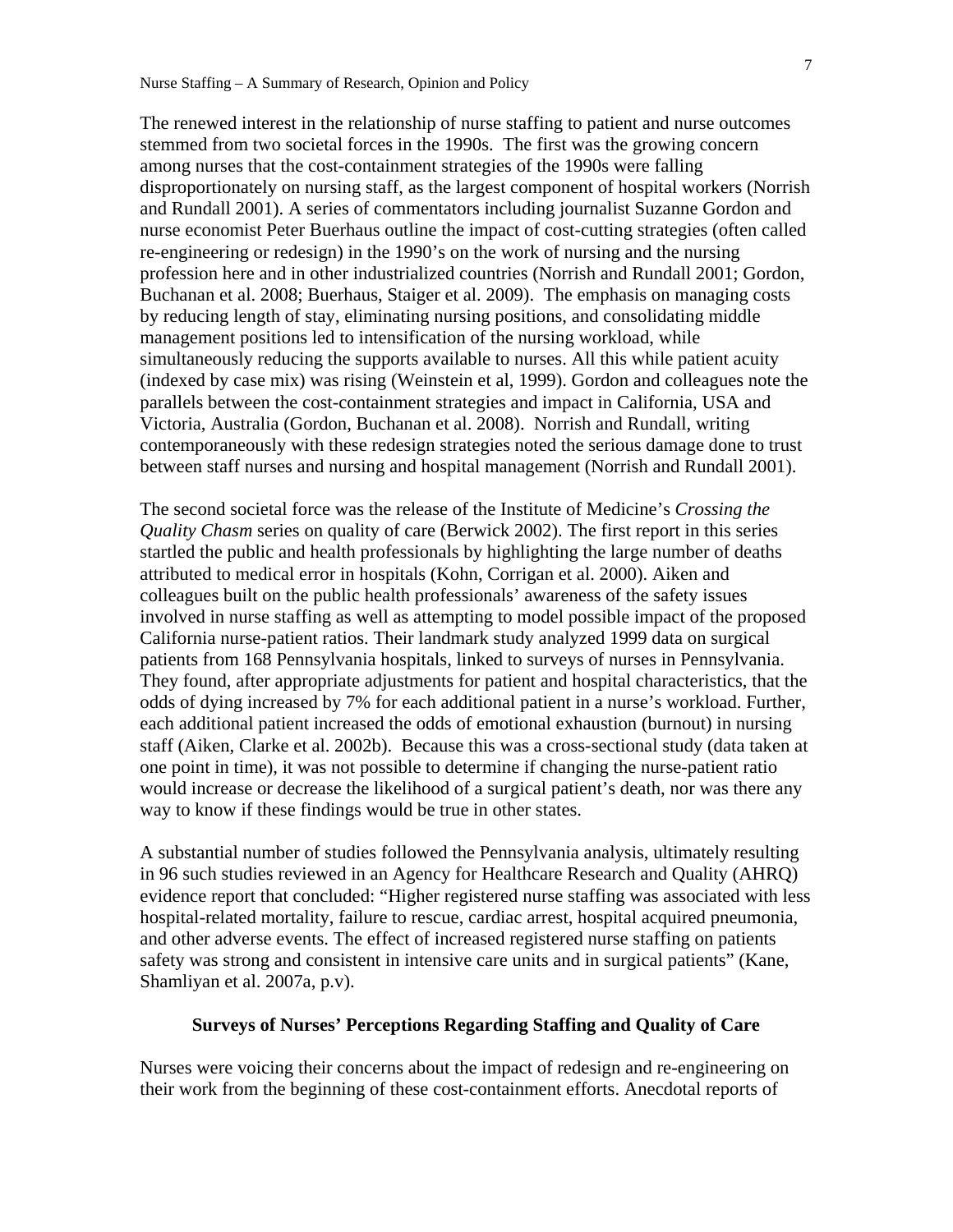The renewed interest in the relationship of nurse staffing to patient and nurse outcomes stemmed from two societal forces in the 1990s. The first was the growing concern among nurses that the cost-containment strategies of the 1990s were falling disproportionately on nursing staff, as the largest component of hospital workers (Norrish and Rundall 2001). A series of commentators including journalist Suzanne Gordon and nurse economist Peter Buerhaus outline the impact of cost-cutting strategies (often called re-engineering or redesign) in the 1990's on the work of nursing and the nursing profession here and in other industrialized countries (Norrish and Rundall 2001; Gordon, Buchanan et al. 2008; Buerhaus, Staiger et al. 2009). The emphasis on managing costs by reducing length of stay, eliminating nursing positions, and consolidating middle management positions led to intensification of the nursing workload, while simultaneously reducing the supports available to nurses. All this while patient acuity (indexed by case mix) was rising (Weinstein et al, 1999). Gordon and colleagues note the parallels between the cost-containment strategies and impact in California, USA and Victoria, Australia (Gordon, Buchanan et al. 2008). Norrish and Rundall, writing contemporaneously with these redesign strategies noted the serious damage done to trust between staff nurses and nursing and hospital management (Norrish and Rundall 2001).

The second societal force was the release of the Institute of Medicine's *Crossing the Quality Chasm* series on quality of care (Berwick 2002). The first report in this series startled the public and health professionals by highlighting the large number of deaths attributed to medical error in hospitals (Kohn, Corrigan et al. 2000). Aiken and colleagues built on the public health professionals' awareness of the safety issues involved in nurse staffing as well as attempting to model possible impact of the proposed California nurse-patient ratios. Their landmark study analyzed 1999 data on surgical patients from 168 Pennsylvania hospitals, linked to surveys of nurses in Pennsylvania. They found, after appropriate adjustments for patient and hospital characteristics, that the odds of dying increased by 7% for each additional patient in a nurse's workload. Further, each additional patient increased the odds of emotional exhaustion (burnout) in nursing staff (Aiken, Clarke et al. 2002b). Because this was a cross-sectional study (data taken at one point in time), it was not possible to determine if changing the nurse-patient ratio would increase or decrease the likelihood of a surgical patient's death, nor was there any way to know if these findings would be true in other states.

A substantial number of studies followed the Pennsylvania analysis, ultimately resulting in 96 such studies reviewed in an Agency for Healthcare Research and Quality (AHRQ) evidence report that concluded: "Higher registered nurse staffing was associated with less hospital-related mortality, failure to rescue, cardiac arrest, hospital acquired pneumonia, and other adverse events. The effect of increased registered nurse staffing on patients safety was strong and consistent in intensive care units and in surgical patients" (Kane, Shamliyan et al. 2007a, p.v).

## **Surveys of Nurses' Perceptions Regarding Staffing and Quality of Care**

Nurses were voicing their concerns about the impact of redesign and re-engineering on their work from the beginning of these cost-containment efforts. Anecdotal reports of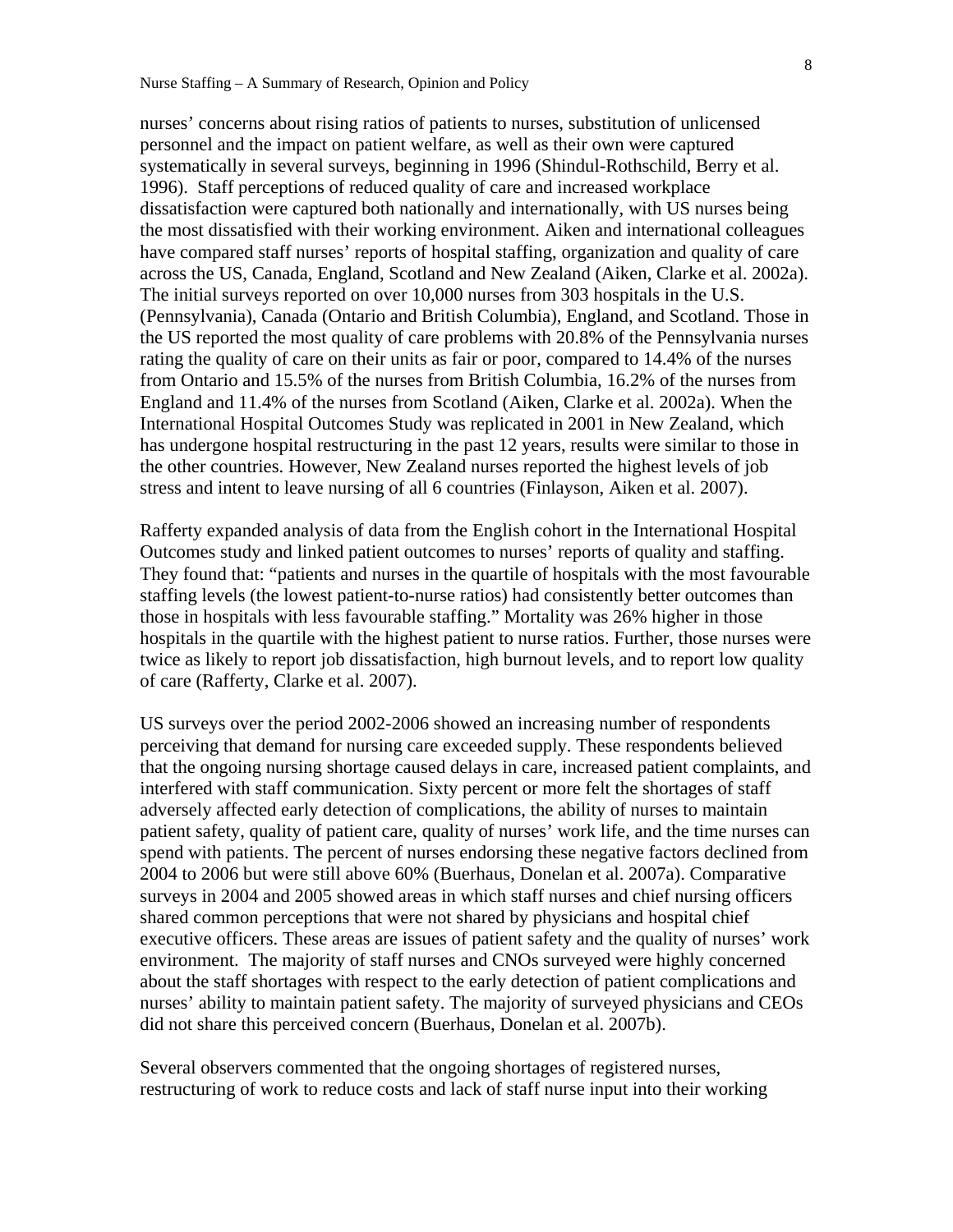nurses' concerns about rising ratios of patients to nurses, substitution of unlicensed personnel and the impact on patient welfare, as well as their own were captured systematically in several surveys, beginning in 1996 (Shindul-Rothschild, Berry et al. 1996). Staff perceptions of reduced quality of care and increased workplace dissatisfaction were captured both nationally and internationally, with US nurses being the most dissatisfied with their working environment. Aiken and international colleagues have compared staff nurses' reports of hospital staffing, organization and quality of care across the US, Canada, England, Scotland and New Zealand (Aiken, Clarke et al. 2002a). The initial surveys reported on over 10,000 nurses from 303 hospitals in the U.S. (Pennsylvania), Canada (Ontario and British Columbia), England, and Scotland. Those in the US reported the most quality of care problems with 20.8% of the Pennsylvania nurses rating the quality of care on their units as fair or poor, compared to 14.4% of the nurses from Ontario and 15.5% of the nurses from British Columbia, 16.2% of the nurses from England and 11.4% of the nurses from Scotland (Aiken, Clarke et al. 2002a). When the International Hospital Outcomes Study was replicated in 2001 in New Zealand, which has undergone hospital restructuring in the past 12 years, results were similar to those in the other countries. However, New Zealand nurses reported the highest levels of job stress and intent to leave nursing of all 6 countries (Finlayson, Aiken et al. 2007).

Rafferty expanded analysis of data from the English cohort in the International Hospital Outcomes study and linked patient outcomes to nurses' reports of quality and staffing. They found that: "patients and nurses in the quartile of hospitals with the most favourable staffing levels (the lowest patient-to-nurse ratios) had consistently better outcomes than those in hospitals with less favourable staffing." Mortality was 26% higher in those hospitals in the quartile with the highest patient to nurse ratios. Further, those nurses were twice as likely to report job dissatisfaction, high burnout levels, and to report low quality of care (Rafferty, Clarke et al. 2007).

US surveys over the period 2002-2006 showed an increasing number of respondents perceiving that demand for nursing care exceeded supply. These respondents believed that the ongoing nursing shortage caused delays in care, increased patient complaints, and interfered with staff communication. Sixty percent or more felt the shortages of staff adversely affected early detection of complications, the ability of nurses to maintain patient safety, quality of patient care, quality of nurses' work life, and the time nurses can spend with patients. The percent of nurses endorsing these negative factors declined from 2004 to 2006 but were still above 60% (Buerhaus, Donelan et al. 2007a). Comparative surveys in 2004 and 2005 showed areas in which staff nurses and chief nursing officers shared common perceptions that were not shared by physicians and hospital chief executive officers. These areas are issues of patient safety and the quality of nurses' work environment. The majority of staff nurses and CNOs surveyed were highly concerned about the staff shortages with respect to the early detection of patient complications and nurses' ability to maintain patient safety. The majority of surveyed physicians and CEOs did not share this perceived concern (Buerhaus, Donelan et al. 2007b).

Several observers commented that the ongoing shortages of registered nurses, restructuring of work to reduce costs and lack of staff nurse input into their working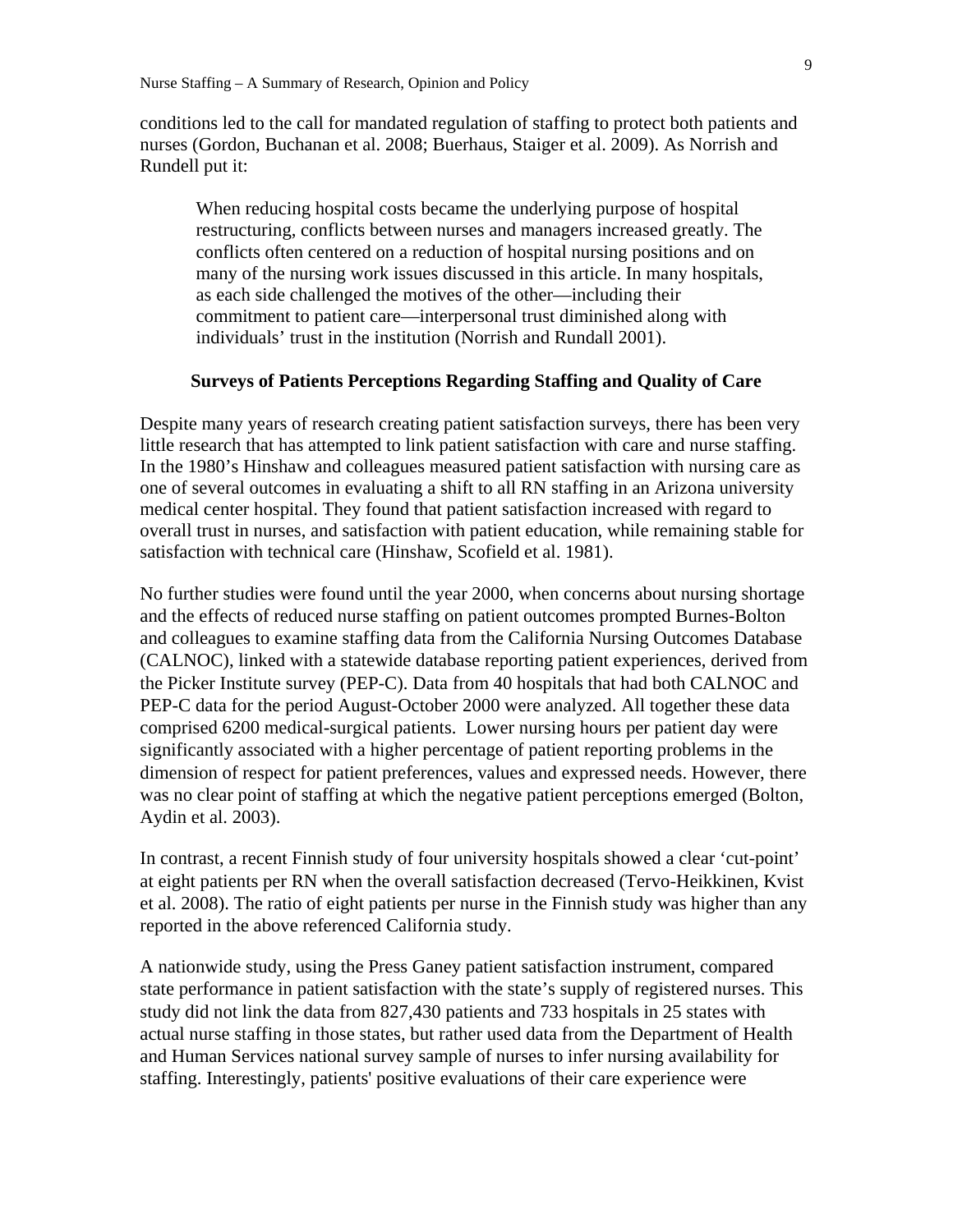conditions led to the call for mandated regulation of staffing to protect both patients and nurses (Gordon, Buchanan et al. 2008; Buerhaus, Staiger et al. 2009). As Norrish and Rundell put it:

When reducing hospital costs became the underlying purpose of hospital restructuring, conflicts between nurses and managers increased greatly. The conflicts often centered on a reduction of hospital nursing positions and on many of the nursing work issues discussed in this article. In many hospitals, as each side challenged the motives of the other—including their commitment to patient care—interpersonal trust diminished along with individuals' trust in the institution (Norrish and Rundall 2001).

#### **Surveys of Patients Perceptions Regarding Staffing and Quality of Care**

Despite many years of research creating patient satisfaction surveys, there has been very little research that has attempted to link patient satisfaction with care and nurse staffing. In the 1980's Hinshaw and colleagues measured patient satisfaction with nursing care as one of several outcomes in evaluating a shift to all RN staffing in an Arizona university medical center hospital. They found that patient satisfaction increased with regard to overall trust in nurses, and satisfaction with patient education, while remaining stable for satisfaction with technical care (Hinshaw, Scofield et al. 1981).

No further studies were found until the year 2000, when concerns about nursing shortage and the effects of reduced nurse staffing on patient outcomes prompted Burnes-Bolton and colleagues to examine staffing data from the California Nursing Outcomes Database (CALNOC), linked with a statewide database reporting patient experiences, derived from the Picker Institute survey (PEP-C). Data from 40 hospitals that had both CALNOC and PEP-C data for the period August-October 2000 were analyzed. All together these data comprised 6200 medical-surgical patients. Lower nursing hours per patient day were significantly associated with a higher percentage of patient reporting problems in the dimension of respect for patient preferences, values and expressed needs. However, there was no clear point of staffing at which the negative patient perceptions emerged (Bolton, Aydin et al. 2003).

In contrast, a recent Finnish study of four university hospitals showed a clear 'cut-point' at eight patients per RN when the overall satisfaction decreased (Tervo-Heikkinen, Kvist et al. 2008). The ratio of eight patients per nurse in the Finnish study was higher than any reported in the above referenced California study.

A nationwide study, using the Press Ganey patient satisfaction instrument, compared state performance in patient satisfaction with the state's supply of registered nurses. This study did not link the data from 827,430 patients and 733 hospitals in 25 states with actual nurse staffing in those states, but rather used data from the Department of Health and Human Services national survey sample of nurses to infer nursing availability for staffing. Interestingly, patients' positive evaluations of their care experience were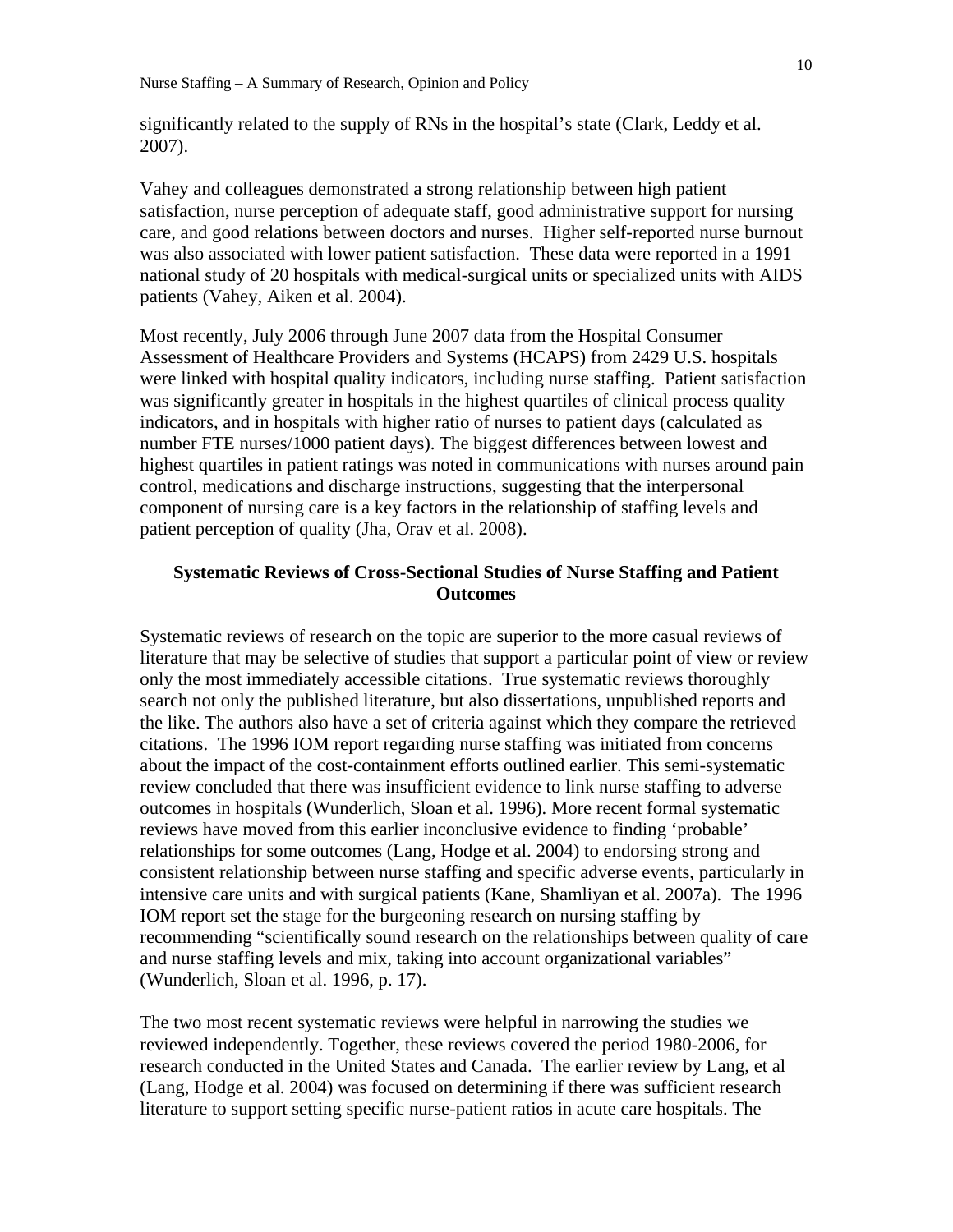significantly related to the supply of RNs in the hospital's state (Clark, Leddy et al. 2007).

Vahey and colleagues demonstrated a strong relationship between high patient satisfaction, nurse perception of adequate staff, good administrative support for nursing care, and good relations between doctors and nurses. Higher self-reported nurse burnout was also associated with lower patient satisfaction. These data were reported in a 1991 national study of 20 hospitals with medical-surgical units or specialized units with AIDS patients (Vahey, Aiken et al. 2004).

Most recently, July 2006 through June 2007 data from the Hospital Consumer Assessment of Healthcare Providers and Systems (HCAPS) from 2429 U.S. hospitals were linked with hospital quality indicators, including nurse staffing. Patient satisfaction was significantly greater in hospitals in the highest quartiles of clinical process quality indicators, and in hospitals with higher ratio of nurses to patient days (calculated as number FTE nurses/1000 patient days). The biggest differences between lowest and highest quartiles in patient ratings was noted in communications with nurses around pain control, medications and discharge instructions, suggesting that the interpersonal component of nursing care is a key factors in the relationship of staffing levels and patient perception of quality (Jha, Orav et al. 2008).

# **Systematic Reviews of Cross-Sectional Studies of Nurse Staffing and Patient Outcomes**

Systematic reviews of research on the topic are superior to the more casual reviews of literature that may be selective of studies that support a particular point of view or review only the most immediately accessible citations. True systematic reviews thoroughly search not only the published literature, but also dissertations, unpublished reports and the like. The authors also have a set of criteria against which they compare the retrieved citations. The 1996 IOM report regarding nurse staffing was initiated from concerns about the impact of the cost-containment efforts outlined earlier. This semi-systematic review concluded that there was insufficient evidence to link nurse staffing to adverse outcomes in hospitals (Wunderlich, Sloan et al. 1996). More recent formal systematic reviews have moved from this earlier inconclusive evidence to finding 'probable' relationships for some outcomes (Lang, Hodge et al. 2004) to endorsing strong and consistent relationship between nurse staffing and specific adverse events, particularly in intensive care units and with surgical patients (Kane, Shamliyan et al. 2007a). The 1996 IOM report set the stage for the burgeoning research on nursing staffing by recommending "scientifically sound research on the relationships between quality of care and nurse staffing levels and mix, taking into account organizational variables" (Wunderlich, Sloan et al. 1996, p. 17).

The two most recent systematic reviews were helpful in narrowing the studies we reviewed independently. Together, these reviews covered the period 1980-2006, for research conducted in the United States and Canada. The earlier review by Lang, et al (Lang, Hodge et al. 2004) was focused on determining if there was sufficient research literature to support setting specific nurse-patient ratios in acute care hospitals. The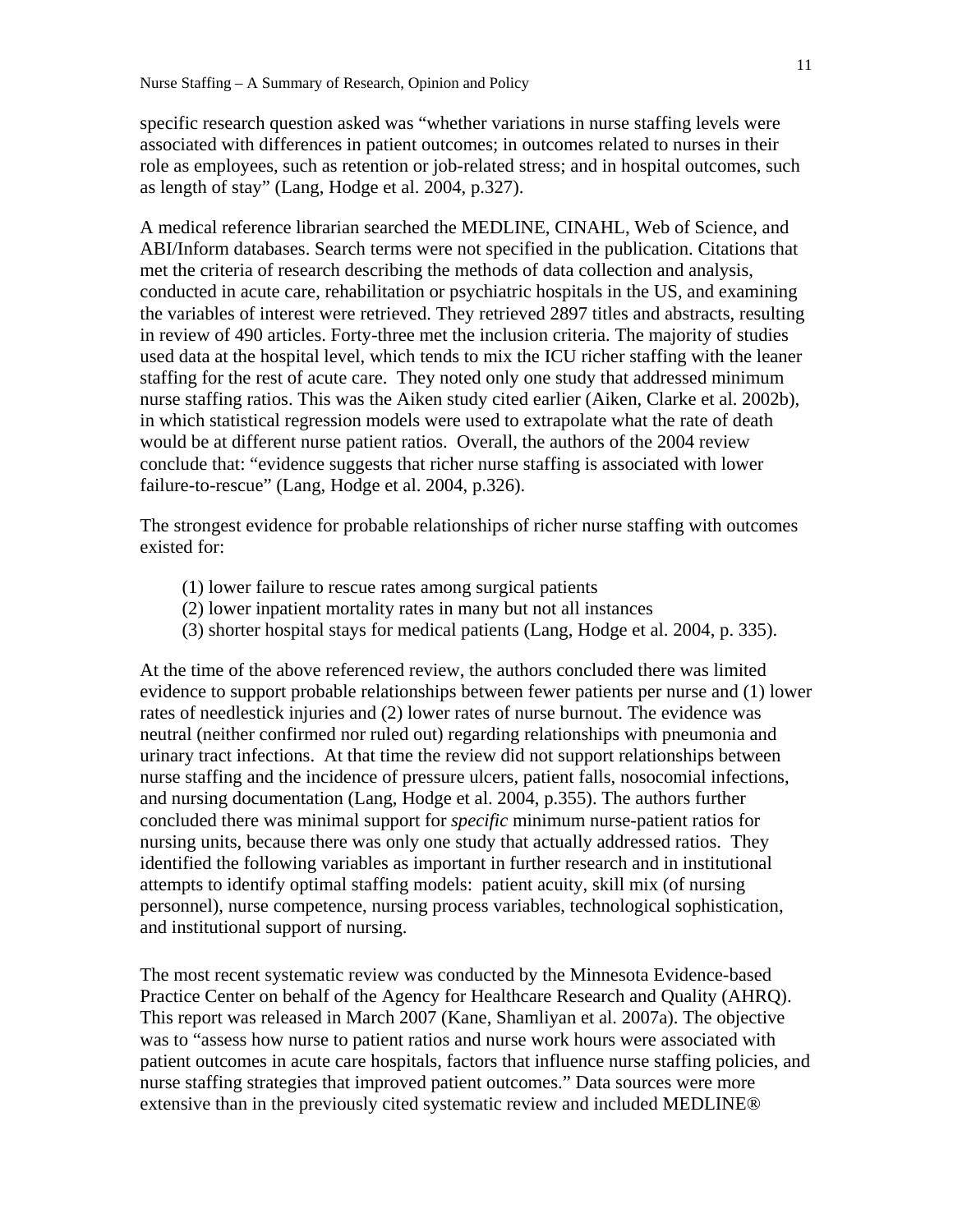specific research question asked was "whether variations in nurse staffing levels were associated with differences in patient outcomes; in outcomes related to nurses in their role as employees, such as retention or job-related stress; and in hospital outcomes, such as length of stay" (Lang, Hodge et al. 2004, p.327).

A medical reference librarian searched the MEDLINE, CINAHL, Web of Science, and ABI/Inform databases. Search terms were not specified in the publication. Citations that met the criteria of research describing the methods of data collection and analysis, conducted in acute care, rehabilitation or psychiatric hospitals in the US, and examining the variables of interest were retrieved. They retrieved 2897 titles and abstracts, resulting in review of 490 articles. Forty-three met the inclusion criteria. The majority of studies used data at the hospital level, which tends to mix the ICU richer staffing with the leaner staffing for the rest of acute care. They noted only one study that addressed minimum nurse staffing ratios. This was the Aiken study cited earlier (Aiken, Clarke et al. 2002b), in which statistical regression models were used to extrapolate what the rate of death would be at different nurse patient ratios. Overall, the authors of the 2004 review conclude that: "evidence suggests that richer nurse staffing is associated with lower failure-to-rescue" (Lang, Hodge et al. 2004, p.326).

The strongest evidence for probable relationships of richer nurse staffing with outcomes existed for:

- (1) lower failure to rescue rates among surgical patients
- (2) lower inpatient mortality rates in many but not all instances
- (3) shorter hospital stays for medical patients (Lang, Hodge et al. 2004, p. 335).

At the time of the above referenced review, the authors concluded there was limited evidence to support probable relationships between fewer patients per nurse and (1) lower rates of needlestick injuries and (2) lower rates of nurse burnout. The evidence was neutral (neither confirmed nor ruled out) regarding relationships with pneumonia and urinary tract infections. At that time the review did not support relationships between nurse staffing and the incidence of pressure ulcers, patient falls, nosocomial infections, and nursing documentation (Lang, Hodge et al. 2004, p.355). The authors further concluded there was minimal support for *specific* minimum nurse-patient ratios for nursing units, because there was only one study that actually addressed ratios. They identified the following variables as important in further research and in institutional attempts to identify optimal staffing models: patient acuity, skill mix (of nursing personnel), nurse competence, nursing process variables, technological sophistication, and institutional support of nursing.

The most recent systematic review was conducted by the Minnesota Evidence-based Practice Center on behalf of the Agency for Healthcare Research and Quality (AHRQ). This report was released in March 2007 (Kane, Shamliyan et al. 2007a). The objective was to "assess how nurse to patient ratios and nurse work hours were associated with patient outcomes in acute care hospitals, factors that influence nurse staffing policies, and nurse staffing strategies that improved patient outcomes." Data sources were more extensive than in the previously cited systematic review and included MEDLINE®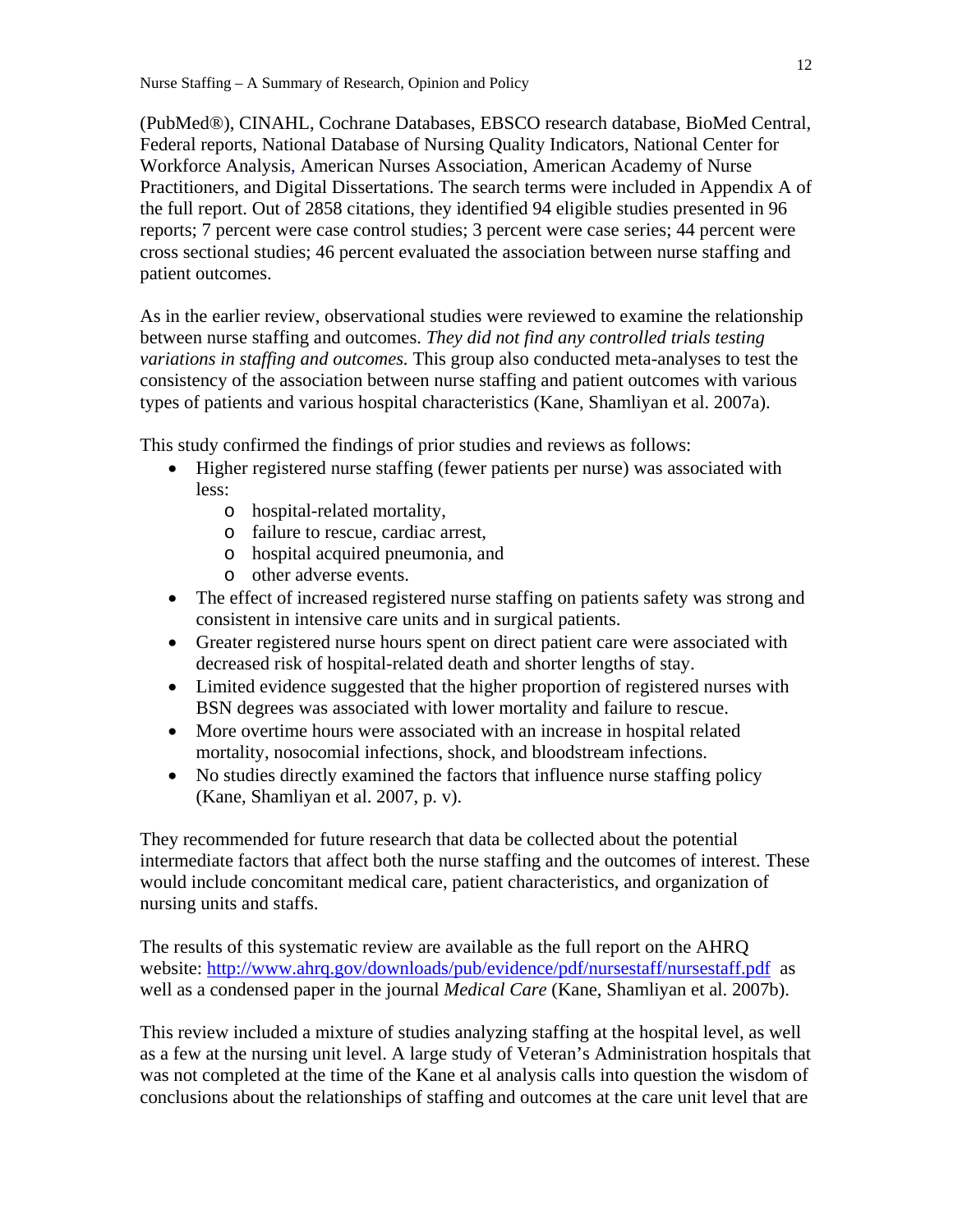(PubMed®), CINAHL, Cochrane Databases, EBSCO research database, BioMed Central, Federal reports, National Database of Nursing Quality Indicators, National Center for Workforce Analysis, American Nurses Association, American Academy of Nurse Practitioners, and Digital Dissertations. The search terms were included in Appendix A of the full report. Out of 2858 citations, they identified 94 eligible studies presented in 96 reports; 7 percent were case control studies; 3 percent were case series; 44 percent were cross sectional studies; 46 percent evaluated the association between nurse staffing and patient outcomes.

As in the earlier review, observational studies were reviewed to examine the relationship between nurse staffing and outcomes. *They did not find any controlled trials testing variations in staffing and outcomes.* This group also conducted meta-analyses to test the consistency of the association between nurse staffing and patient outcomes with various types of patients and various hospital characteristics (Kane, Shamliyan et al. 2007a).

This study confirmed the findings of prior studies and reviews as follows:

- Higher registered nurse staffing (fewer patients per nurse) was associated with less:
	- o hospital-related mortality,
	- o failure to rescue, cardiac arrest,
	- o hospital acquired pneumonia, and
	- o other adverse events.
- The effect of increased registered nurse staffing on patients safety was strong and consistent in intensive care units and in surgical patients.
- Greater registered nurse hours spent on direct patient care were associated with decreased risk of hospital-related death and shorter lengths of stay.
- Limited evidence suggested that the higher proportion of registered nurses with BSN degrees was associated with lower mortality and failure to rescue.
- More overtime hours were associated with an increase in hospital related mortality, nosocomial infections, shock, and bloodstream infections.
- No studies directly examined the factors that influence nurse staffing policy (Kane, Shamliyan et al. 2007, p. v).

They recommended for future research that data be collected about the potential intermediate factors that affect both the nurse staffing and the outcomes of interest. These would include concomitant medical care, patient characteristics, and organization of nursing units and staffs.

The results of this systematic review are available as the full report on the AHRQ website: http://www.ahrq.gov/downloads/pub/evidence/pdf/nursestaff/nursestaff.pdf as well as a condensed paper in the journal *Medical Care* (Kane, Shamliyan et al. 2007b).

This review included a mixture of studies analyzing staffing at the hospital level, as well as a few at the nursing unit level. A large study of Veteran's Administration hospitals that was not completed at the time of the Kane et al analysis calls into question the wisdom of conclusions about the relationships of staffing and outcomes at the care unit level that are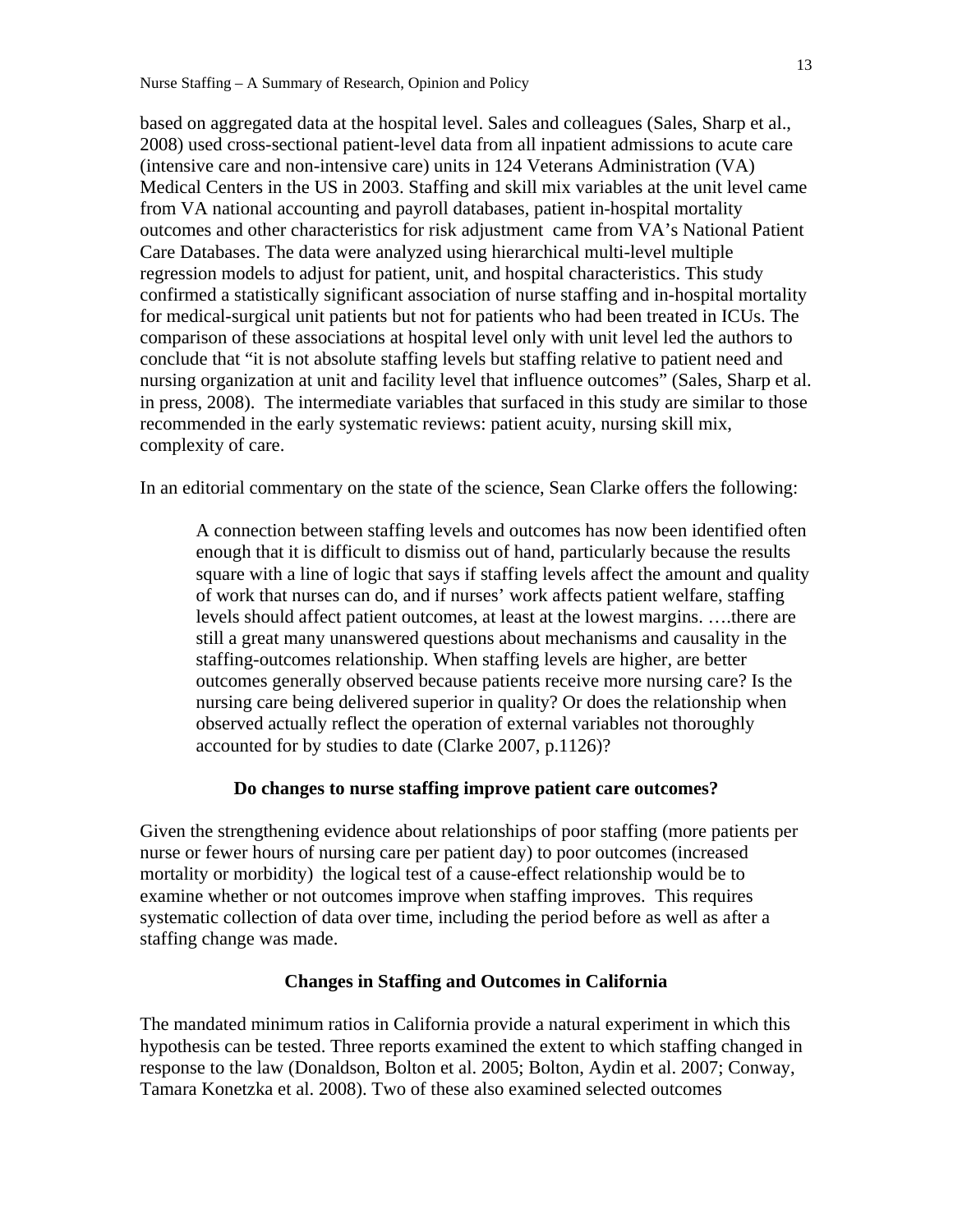based on aggregated data at the hospital level. Sales and colleagues (Sales, Sharp et al., 2008) used cross-sectional patient-level data from all inpatient admissions to acute care (intensive care and non-intensive care) units in 124 Veterans Administration (VA) Medical Centers in the US in 2003. Staffing and skill mix variables at the unit level came from VA national accounting and payroll databases, patient in-hospital mortality outcomes and other characteristics for risk adjustment came from VA's National Patient Care Databases. The data were analyzed using hierarchical multi-level multiple regression models to adjust for patient, unit, and hospital characteristics. This study confirmed a statistically significant association of nurse staffing and in-hospital mortality for medical-surgical unit patients but not for patients who had been treated in ICUs. The comparison of these associations at hospital level only with unit level led the authors to conclude that "it is not absolute staffing levels but staffing relative to patient need and nursing organization at unit and facility level that influence outcomes" (Sales, Sharp et al. in press, 2008). The intermediate variables that surfaced in this study are similar to those recommended in the early systematic reviews: patient acuity, nursing skill mix, complexity of care.

In an editorial commentary on the state of the science, Sean Clarke offers the following:

A connection between staffing levels and outcomes has now been identified often enough that it is difficult to dismiss out of hand, particularly because the results square with a line of logic that says if staffing levels affect the amount and quality of work that nurses can do, and if nurses' work affects patient welfare, staffing levels should affect patient outcomes, at least at the lowest margins. ….there are still a great many unanswered questions about mechanisms and causality in the staffing-outcomes relationship. When staffing levels are higher, are better outcomes generally observed because patients receive more nursing care? Is the nursing care being delivered superior in quality? Or does the relationship when observed actually reflect the operation of external variables not thoroughly accounted for by studies to date (Clarke 2007, p.1126)?

## **Do changes to nurse staffing improve patient care outcomes?**

Given the strengthening evidence about relationships of poor staffing (more patients per nurse or fewer hours of nursing care per patient day) to poor outcomes (increased mortality or morbidity) the logical test of a cause-effect relationship would be to examine whether or not outcomes improve when staffing improves. This requires systematic collection of data over time, including the period before as well as after a staffing change was made.

#### **Changes in Staffing and Outcomes in California**

The mandated minimum ratios in California provide a natural experiment in which this hypothesis can be tested. Three reports examined the extent to which staffing changed in response to the law (Donaldson, Bolton et al. 2005; Bolton, Aydin et al. 2007; Conway, Tamara Konetzka et al. 2008). Two of these also examined selected outcomes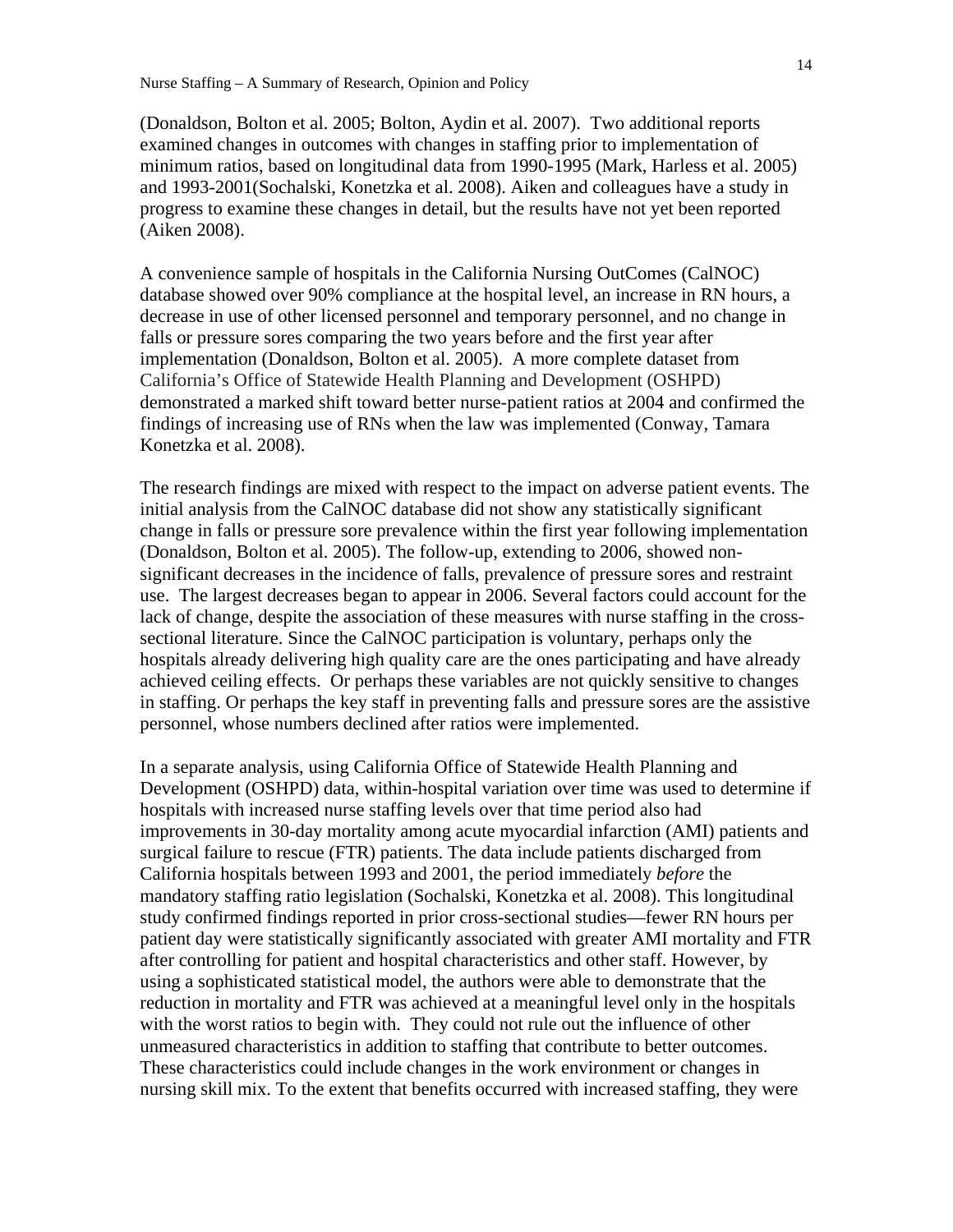(Donaldson, Bolton et al. 2005; Bolton, Aydin et al. 2007). Two additional reports examined changes in outcomes with changes in staffing prior to implementation of minimum ratios, based on longitudinal data from 1990-1995 (Mark, Harless et al. 2005) and 1993-2001(Sochalski, Konetzka et al. 2008). Aiken and colleagues have a study in progress to examine these changes in detail, but the results have not yet been reported (Aiken 2008).

A convenience sample of hospitals in the California Nursing OutComes (CalNOC) database showed over 90% compliance at the hospital level, an increase in RN hours, a decrease in use of other licensed personnel and temporary personnel, and no change in falls or pressure sores comparing the two years before and the first year after implementation (Donaldson, Bolton et al. 2005). A more complete dataset from California's Office of Statewide Health Planning and Development (OSHPD) demonstrated a marked shift toward better nurse-patient ratios at 2004 and confirmed the findings of increasing use of RNs when the law was implemented (Conway, Tamara Konetzka et al. 2008).

The research findings are mixed with respect to the impact on adverse patient events. The initial analysis from the CalNOC database did not show any statistically significant change in falls or pressure sore prevalence within the first year following implementation (Donaldson, Bolton et al. 2005). The follow-up, extending to 2006, showed nonsignificant decreases in the incidence of falls, prevalence of pressure sores and restraint use. The largest decreases began to appear in 2006. Several factors could account for the lack of change, despite the association of these measures with nurse staffing in the crosssectional literature. Since the CalNOC participation is voluntary, perhaps only the hospitals already delivering high quality care are the ones participating and have already achieved ceiling effects. Or perhaps these variables are not quickly sensitive to changes in staffing. Or perhaps the key staff in preventing falls and pressure sores are the assistive personnel, whose numbers declined after ratios were implemented.

In a separate analysis, using California Office of Statewide Health Planning and Development (OSHPD) data, within-hospital variation over time was used to determine if hospitals with increased nurse staffing levels over that time period also had improvements in 30-day mortality among acute myocardial infarction (AMI) patients and surgical failure to rescue (FTR) patients. The data include patients discharged from California hospitals between 1993 and 2001, the period immediately *before* the mandatory staffing ratio legislation (Sochalski, Konetzka et al. 2008). This longitudinal study confirmed findings reported in prior cross-sectional studies—fewer RN hours per patient day were statistically significantly associated with greater AMI mortality and FTR after controlling for patient and hospital characteristics and other staff. However, by using a sophisticated statistical model, the authors were able to demonstrate that the reduction in mortality and FTR was achieved at a meaningful level only in the hospitals with the worst ratios to begin with. They could not rule out the influence of other unmeasured characteristics in addition to staffing that contribute to better outcomes. These characteristics could include changes in the work environment or changes in nursing skill mix. To the extent that benefits occurred with increased staffing, they were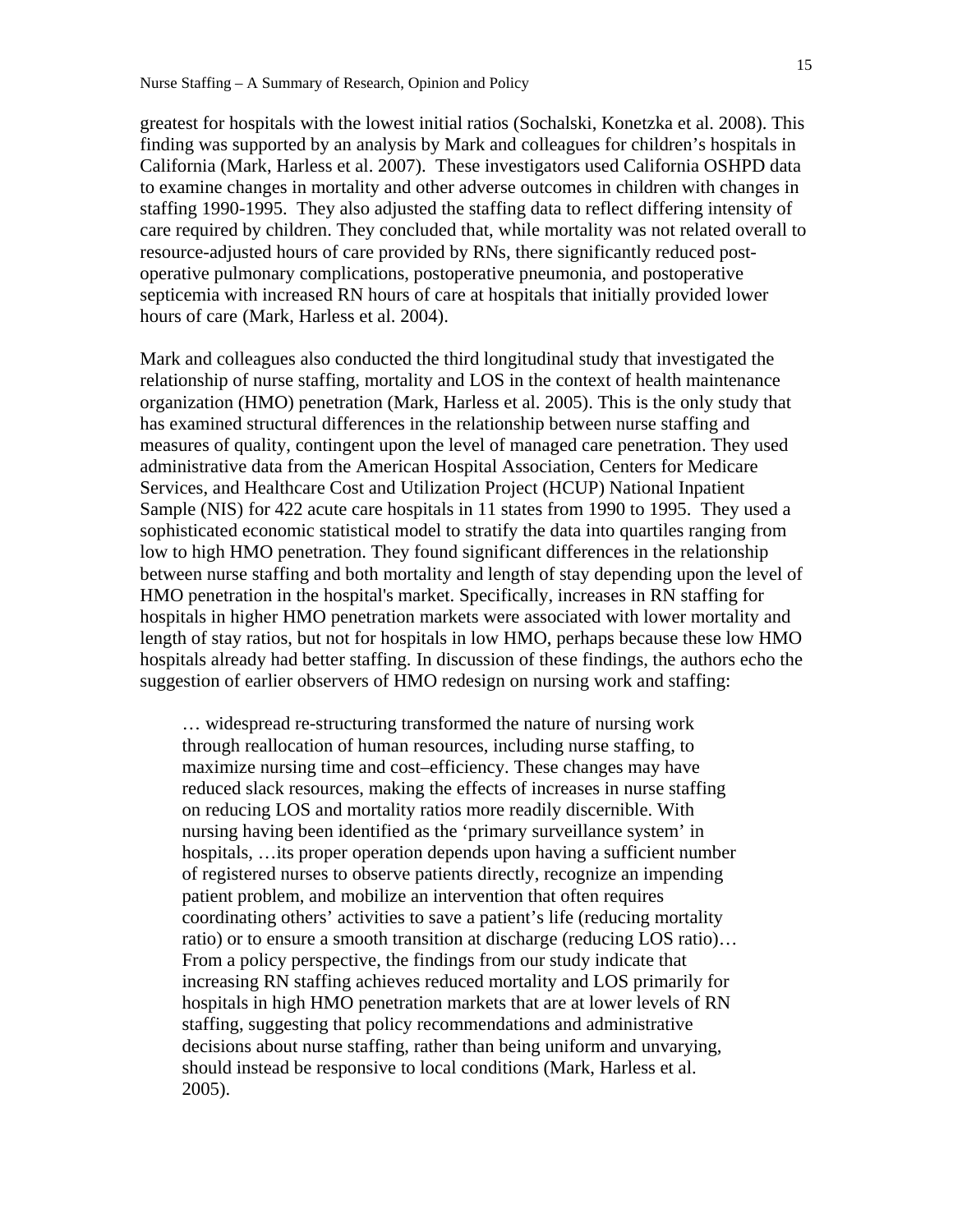greatest for hospitals with the lowest initial ratios (Sochalski, Konetzka et al. 2008). This finding was supported by an analysis by Mark and colleagues for children's hospitals in California (Mark, Harless et al. 2007). These investigators used California OSHPD data to examine changes in mortality and other adverse outcomes in children with changes in staffing 1990-1995. They also adjusted the staffing data to reflect differing intensity of care required by children. They concluded that, while mortality was not related overall to resource-adjusted hours of care provided by RNs, there significantly reduced postoperative pulmonary complications, postoperative pneumonia, and postoperative septicemia with increased RN hours of care at hospitals that initially provided lower hours of care (Mark, Harless et al. 2004).

Mark and colleagues also conducted the third longitudinal study that investigated the relationship of nurse staffing, mortality and LOS in the context of health maintenance organization (HMO) penetration (Mark, Harless et al. 2005). This is the only study that has examined structural differences in the relationship between nurse staffing and measures of quality, contingent upon the level of managed care penetration. They used administrative data from the American Hospital Association, Centers for Medicare Services, and Healthcare Cost and Utilization Project (HCUP) National Inpatient Sample (NIS) for 422 acute care hospitals in 11 states from 1990 to 1995. They used a sophisticated economic statistical model to stratify the data into quartiles ranging from low to high HMO penetration. They found significant differences in the relationship between nurse staffing and both mortality and length of stay depending upon the level of HMO penetration in the hospital's market. Specifically, increases in RN staffing for hospitals in higher HMO penetration markets were associated with lower mortality and length of stay ratios, but not for hospitals in low HMO, perhaps because these low HMO hospitals already had better staffing. In discussion of these findings, the authors echo the suggestion of earlier observers of HMO redesign on nursing work and staffing:

… widespread re-structuring transformed the nature of nursing work through reallocation of human resources, including nurse staffing, to maximize nursing time and cost–efficiency. These changes may have reduced slack resources, making the effects of increases in nurse staffing on reducing LOS and mortality ratios more readily discernible. With nursing having been identified as the 'primary surveillance system' in hospitals, …its proper operation depends upon having a sufficient number of registered nurses to observe patients directly, recognize an impending patient problem, and mobilize an intervention that often requires coordinating others' activities to save a patient's life (reducing mortality ratio) or to ensure a smooth transition at discharge (reducing LOS ratio)… From a policy perspective, the findings from our study indicate that increasing RN staffing achieves reduced mortality and LOS primarily for hospitals in high HMO penetration markets that are at lower levels of RN staffing, suggesting that policy recommendations and administrative decisions about nurse staffing, rather than being uniform and unvarying, should instead be responsive to local conditions (Mark, Harless et al. 2005).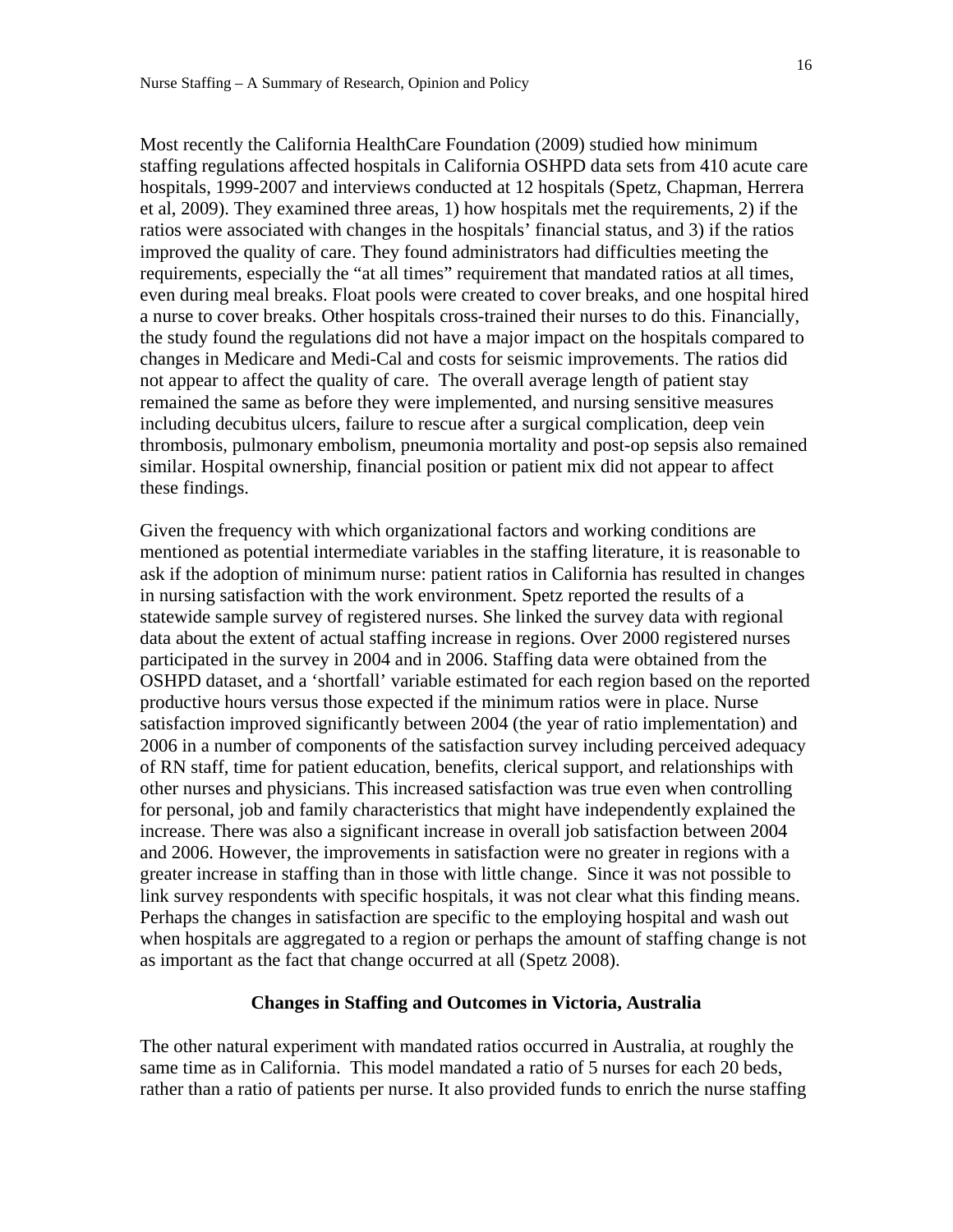Most recently the California HealthCare Foundation (2009) studied how minimum staffing regulations affected hospitals in California OSHPD data sets from 410 acute care hospitals, 1999-2007 and interviews conducted at 12 hospitals (Spetz, Chapman, Herrera et al, 2009). They examined three areas, 1) how hospitals met the requirements, 2) if the ratios were associated with changes in the hospitals' financial status, and 3) if the ratios improved the quality of care. They found administrators had difficulties meeting the requirements, especially the "at all times" requirement that mandated ratios at all times, even during meal breaks. Float pools were created to cover breaks, and one hospital hired a nurse to cover breaks. Other hospitals cross-trained their nurses to do this. Financially, the study found the regulations did not have a major impact on the hospitals compared to changes in Medicare and Medi-Cal and costs for seismic improvements. The ratios did not appear to affect the quality of care. The overall average length of patient stay remained the same as before they were implemented, and nursing sensitive measures including decubitus ulcers, failure to rescue after a surgical complication, deep vein thrombosis, pulmonary embolism, pneumonia mortality and post-op sepsis also remained similar. Hospital ownership, financial position or patient mix did not appear to affect these findings.

Given the frequency with which organizational factors and working conditions are mentioned as potential intermediate variables in the staffing literature, it is reasonable to ask if the adoption of minimum nurse: patient ratios in California has resulted in changes in nursing satisfaction with the work environment. Spetz reported the results of a statewide sample survey of registered nurses. She linked the survey data with regional data about the extent of actual staffing increase in regions. Over 2000 registered nurses participated in the survey in 2004 and in 2006. Staffing data were obtained from the OSHPD dataset, and a 'shortfall' variable estimated for each region based on the reported productive hours versus those expected if the minimum ratios were in place. Nurse satisfaction improved significantly between 2004 (the year of ratio implementation) and 2006 in a number of components of the satisfaction survey including perceived adequacy of RN staff, time for patient education, benefits, clerical support, and relationships with other nurses and physicians. This increased satisfaction was true even when controlling for personal, job and family characteristics that might have independently explained the increase. There was also a significant increase in overall job satisfaction between 2004 and 2006. However, the improvements in satisfaction were no greater in regions with a greater increase in staffing than in those with little change. Since it was not possible to link survey respondents with specific hospitals, it was not clear what this finding means. Perhaps the changes in satisfaction are specific to the employing hospital and wash out when hospitals are aggregated to a region or perhaps the amount of staffing change is not as important as the fact that change occurred at all (Spetz 2008).

#### **Changes in Staffing and Outcomes in Victoria, Australia**

The other natural experiment with mandated ratios occurred in Australia, at roughly the same time as in California. This model mandated a ratio of 5 nurses for each 20 beds, rather than a ratio of patients per nurse. It also provided funds to enrich the nurse staffing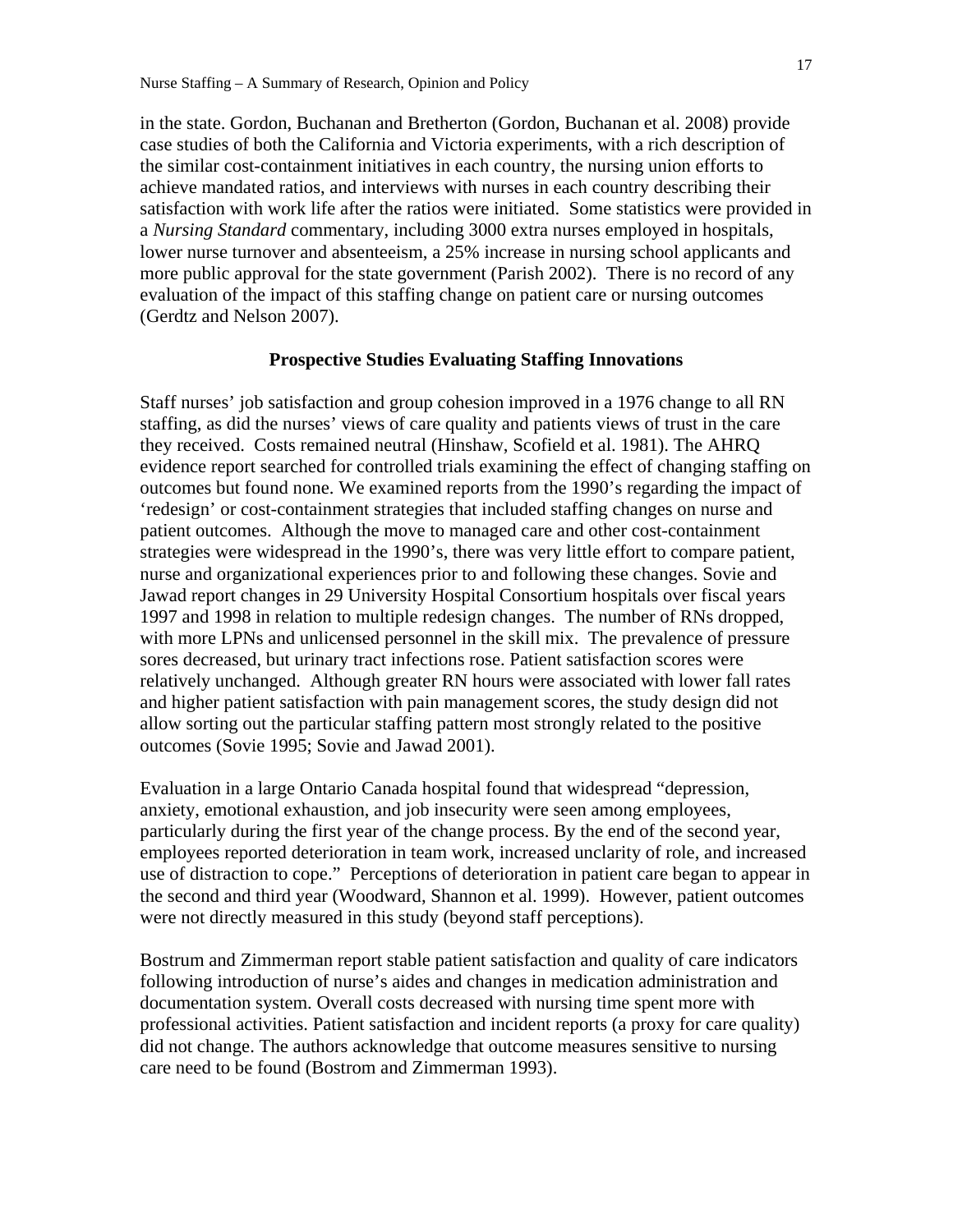in the state. Gordon, Buchanan and Bretherton (Gordon, Buchanan et al. 2008) provide case studies of both the California and Victoria experiments, with a rich description of the similar cost-containment initiatives in each country, the nursing union efforts to achieve mandated ratios, and interviews with nurses in each country describing their satisfaction with work life after the ratios were initiated. Some statistics were provided in a *Nursing Standard* commentary, including 3000 extra nurses employed in hospitals, lower nurse turnover and absenteeism, a 25% increase in nursing school applicants and more public approval for the state government (Parish 2002). There is no record of any evaluation of the impact of this staffing change on patient care or nursing outcomes (Gerdtz and Nelson 2007).

## **Prospective Studies Evaluating Staffing Innovations**

Staff nurses' job satisfaction and group cohesion improved in a 1976 change to all RN staffing, as did the nurses' views of care quality and patients views of trust in the care they received. Costs remained neutral (Hinshaw, Scofield et al. 1981). The AHRQ evidence report searched for controlled trials examining the effect of changing staffing on outcomes but found none. We examined reports from the 1990's regarding the impact of 'redesign' or cost-containment strategies that included staffing changes on nurse and patient outcomes. Although the move to managed care and other cost-containment strategies were widespread in the 1990's, there was very little effort to compare patient, nurse and organizational experiences prior to and following these changes. Sovie and Jawad report changes in 29 University Hospital Consortium hospitals over fiscal years 1997 and 1998 in relation to multiple redesign changes. The number of RNs dropped, with more LPNs and unlicensed personnel in the skill mix. The prevalence of pressure sores decreased, but urinary tract infections rose. Patient satisfaction scores were relatively unchanged. Although greater RN hours were associated with lower fall rates and higher patient satisfaction with pain management scores, the study design did not allow sorting out the particular staffing pattern most strongly related to the positive outcomes (Sovie 1995; Sovie and Jawad 2001).

Evaluation in a large Ontario Canada hospital found that widespread "depression, anxiety, emotional exhaustion, and job insecurity were seen among employees, particularly during the first year of the change process. By the end of the second year, employees reported deterioration in team work, increased unclarity of role, and increased use of distraction to cope." Perceptions of deterioration in patient care began to appear in the second and third year (Woodward, Shannon et al. 1999). However, patient outcomes were not directly measured in this study (beyond staff perceptions).

Bostrum and Zimmerman report stable patient satisfaction and quality of care indicators following introduction of nurse's aides and changes in medication administration and documentation system. Overall costs decreased with nursing time spent more with professional activities. Patient satisfaction and incident reports (a proxy for care quality) did not change. The authors acknowledge that outcome measures sensitive to nursing care need to be found (Bostrom and Zimmerman 1993).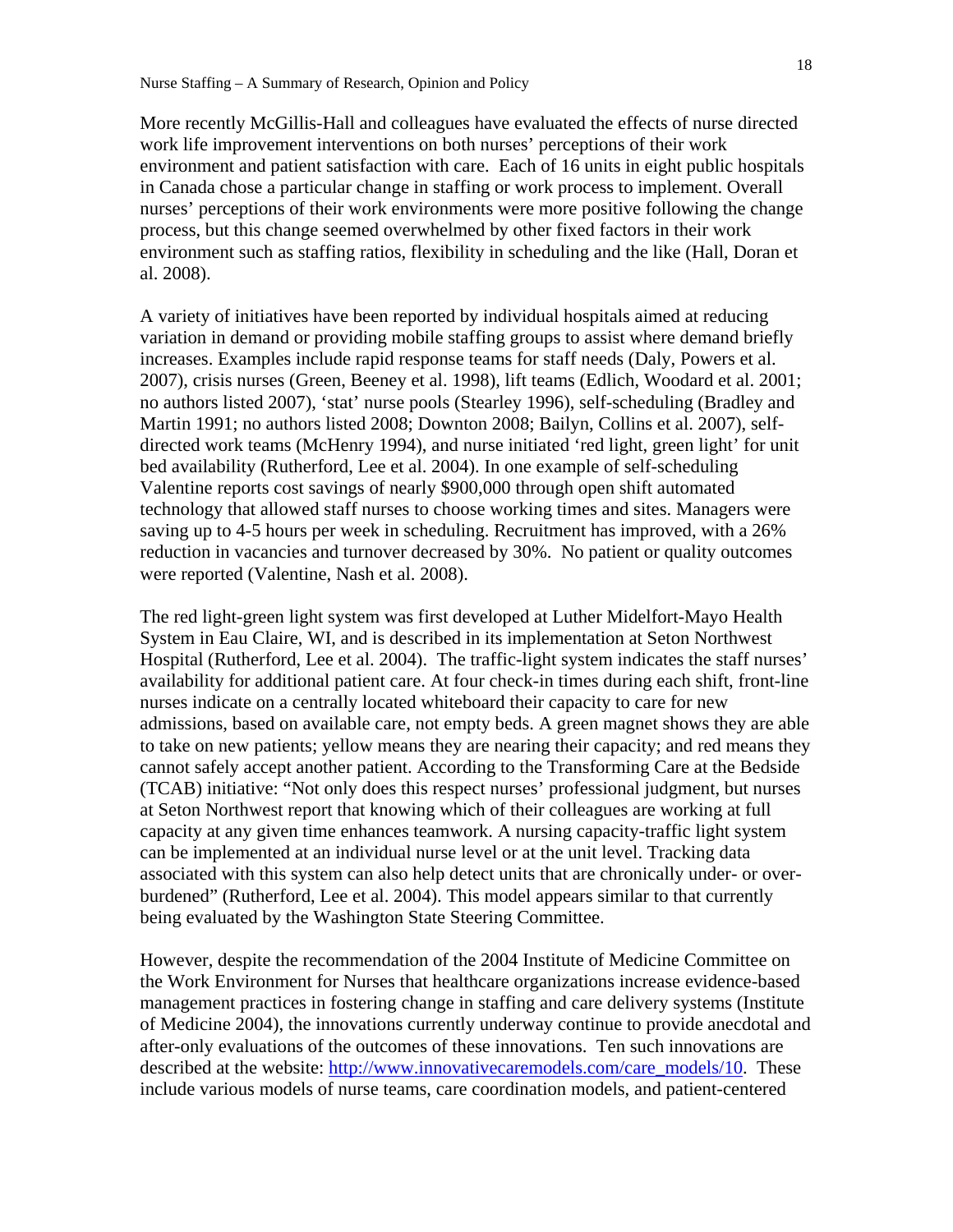More recently McGillis-Hall and colleagues have evaluated the effects of nurse directed work life improvement interventions on both nurses' perceptions of their work environment and patient satisfaction with care. Each of 16 units in eight public hospitals in Canada chose a particular change in staffing or work process to implement. Overall nurses' perceptions of their work environments were more positive following the change process, but this change seemed overwhelmed by other fixed factors in their work environment such as staffing ratios, flexibility in scheduling and the like (Hall, Doran et al. 2008).

A variety of initiatives have been reported by individual hospitals aimed at reducing variation in demand or providing mobile staffing groups to assist where demand briefly increases. Examples include rapid response teams for staff needs (Daly, Powers et al. 2007), crisis nurses (Green, Beeney et al. 1998), lift teams (Edlich, Woodard et al. 2001; no authors listed 2007), 'stat' nurse pools (Stearley 1996), self-scheduling (Bradley and Martin 1991; no authors listed 2008; Downton 2008; Bailyn, Collins et al. 2007), selfdirected work teams (McHenry 1994), and nurse initiated 'red light, green light' for unit bed availability (Rutherford, Lee et al. 2004). In one example of self-scheduling Valentine reports cost savings of nearly \$900,000 through open shift automated technology that allowed staff nurses to choose working times and sites. Managers were saving up to 4-5 hours per week in scheduling. Recruitment has improved, with a 26% reduction in vacancies and turnover decreased by 30%. No patient or quality outcomes were reported (Valentine, Nash et al. 2008).

The red light-green light system was first developed at Luther Midelfort-Mayo Health System in Eau Claire, WI, and is described in its implementation at Seton Northwest Hospital (Rutherford, Lee et al. 2004). The traffic-light system indicates the staff nurses' availability for additional patient care. At four check-in times during each shift, front-line nurses indicate on a centrally located whiteboard their capacity to care for new admissions, based on available care, not empty beds. A green magnet shows they are able to take on new patients; yellow means they are nearing their capacity; and red means they cannot safely accept another patient. According to the Transforming Care at the Bedside (TCAB) initiative: "Not only does this respect nurses' professional judgment, but nurses at Seton Northwest report that knowing which of their colleagues are working at full capacity at any given time enhances teamwork. A nursing capacity-traffic light system can be implemented at an individual nurse level or at the unit level. Tracking data associated with this system can also help detect units that are chronically under- or overburdened" (Rutherford, Lee et al. 2004). This model appears similar to that currently being evaluated by the Washington State Steering Committee.

However, despite the recommendation of the 2004 Institute of Medicine Committee on the Work Environment for Nurses that healthcare organizations increase evidence-based management practices in fostering change in staffing and care delivery systems (Institute of Medicine 2004), the innovations currently underway continue to provide anecdotal and after-only evaluations of the outcomes of these innovations. Ten such innovations are described at the website: http://www.innovativecaremodels.com/care\_models/10. These include various models of nurse teams, care coordination models, and patient-centered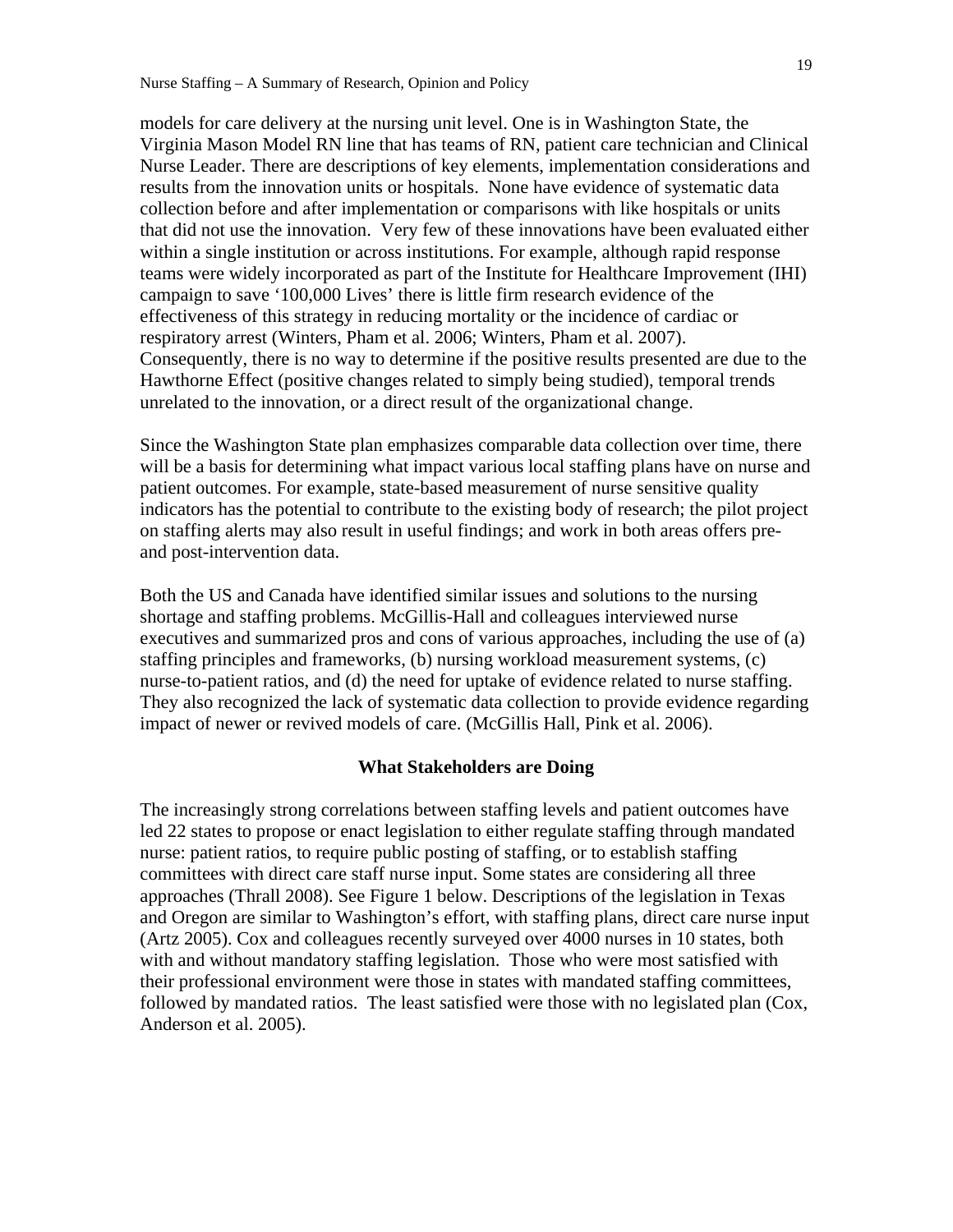models for care delivery at the nursing unit level. One is in Washington State, the Virginia Mason Model RN line that has teams of RN, patient care technician and Clinical Nurse Leader. There are descriptions of key elements, implementation considerations and results from the innovation units or hospitals. None have evidence of systematic data collection before and after implementation or comparisons with like hospitals or units that did not use the innovation. Very few of these innovations have been evaluated either within a single institution or across institutions. For example, although rapid response teams were widely incorporated as part of the Institute for Healthcare Improvement (IHI) campaign to save '100,000 Lives' there is little firm research evidence of the effectiveness of this strategy in reducing mortality or the incidence of cardiac or respiratory arrest (Winters, Pham et al. 2006; Winters, Pham et al. 2007). Consequently, there is no way to determine if the positive results presented are due to the Hawthorne Effect (positive changes related to simply being studied), temporal trends unrelated to the innovation, or a direct result of the organizational change.

Since the Washington State plan emphasizes comparable data collection over time, there will be a basis for determining what impact various local staffing plans have on nurse and patient outcomes. For example, state-based measurement of nurse sensitive quality indicators has the potential to contribute to the existing body of research; the pilot project on staffing alerts may also result in useful findings; and work in both areas offers preand post-intervention data.

Both the US and Canada have identified similar issues and solutions to the nursing shortage and staffing problems. McGillis-Hall and colleagues interviewed nurse executives and summarized pros and cons of various approaches, including the use of (a) staffing principles and frameworks, (b) nursing workload measurement systems, (c) nurse-to-patient ratios, and (d) the need for uptake of evidence related to nurse staffing. They also recognized the lack of systematic data collection to provide evidence regarding impact of newer or revived models of care. (McGillis Hall, Pink et al. 2006).

#### **What Stakeholders are Doing**

The increasingly strong correlations between staffing levels and patient outcomes have led 22 states to propose or enact legislation to either regulate staffing through mandated nurse: patient ratios, to require public posting of staffing, or to establish staffing committees with direct care staff nurse input. Some states are considering all three approaches (Thrall 2008). See Figure 1 below. Descriptions of the legislation in Texas and Oregon are similar to Washington's effort, with staffing plans, direct care nurse input (Artz 2005). Cox and colleagues recently surveyed over 4000 nurses in 10 states, both with and without mandatory staffing legislation. Those who were most satisfied with their professional environment were those in states with mandated staffing committees, followed by mandated ratios. The least satisfied were those with no legislated plan (Cox, Anderson et al. 2005).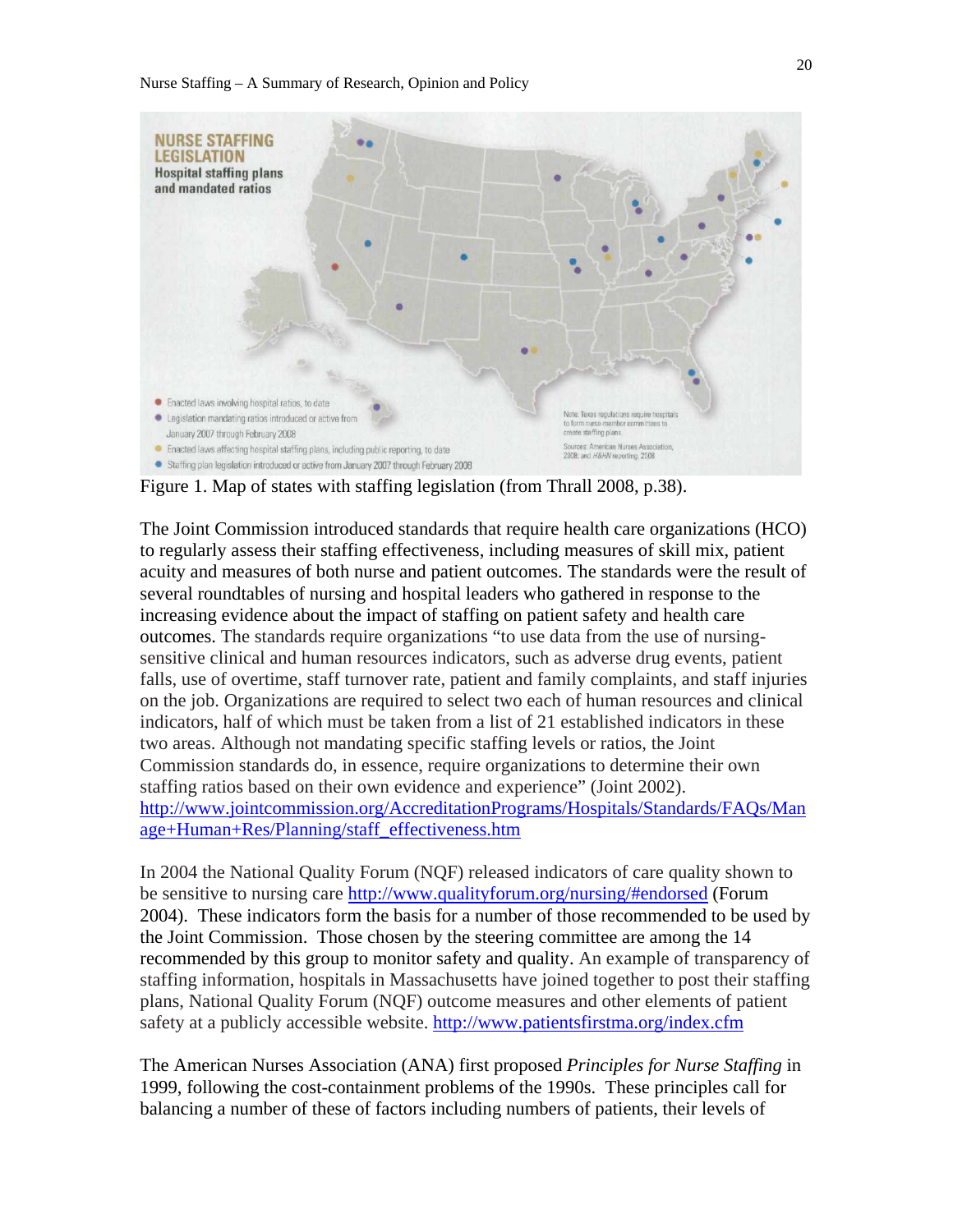

Figure 1. Map of states with staffing legislation (from Thrall 2008, p.38).

The Joint Commission introduced standards that require health care organizations (HCO) to regularly assess their staffing effectiveness, including measures of skill mix, patient acuity and measures of both nurse and patient outcomes. The standards were the result of several roundtables of nursing and hospital leaders who gathered in response to the increasing evidence about the impact of staffing on patient safety and health care outcomes. The standards require organizations "to use data from the use of nursingsensitive clinical and human resources indicators, such as adverse drug events, patient falls, use of overtime, staff turnover rate, patient and family complaints, and staff injuries on the job. Organizations are required to select two each of human resources and clinical indicators, half of which must be taken from a list of 21 established indicators in these two areas. Although not mandating specific staffing levels or ratios, the Joint Commission standards do, in essence, require organizations to determine their own staffing ratios based on their own evidence and experience" (Joint 2002). http://www.jointcommission.org/AccreditationPrograms/Hospitals/Standards/FAQs/Man age+Human+Res/Planning/staff\_effectiveness.htm

In 2004 the National Quality Forum (NQF) released indicators of care quality shown to be sensitive to nursing care http://www.qualityforum.org/nursing/#endorsed (Forum 2004). These indicators form the basis for a number of those recommended to be used by the Joint Commission. Those chosen by the steering committee are among the 14 recommended by this group to monitor safety and quality. An example of transparency of staffing information, hospitals in Massachusetts have joined together to post their staffing plans, National Quality Forum (NQF) outcome measures and other elements of patient safety at a publicly accessible website. http://www.patientsfirstma.org/index.cfm

The American Nurses Association (ANA) first proposed *Principles for Nurse Staffing* in 1999, following the cost-containment problems of the 1990s. These principles call for balancing a number of these of factors including numbers of patients, their levels of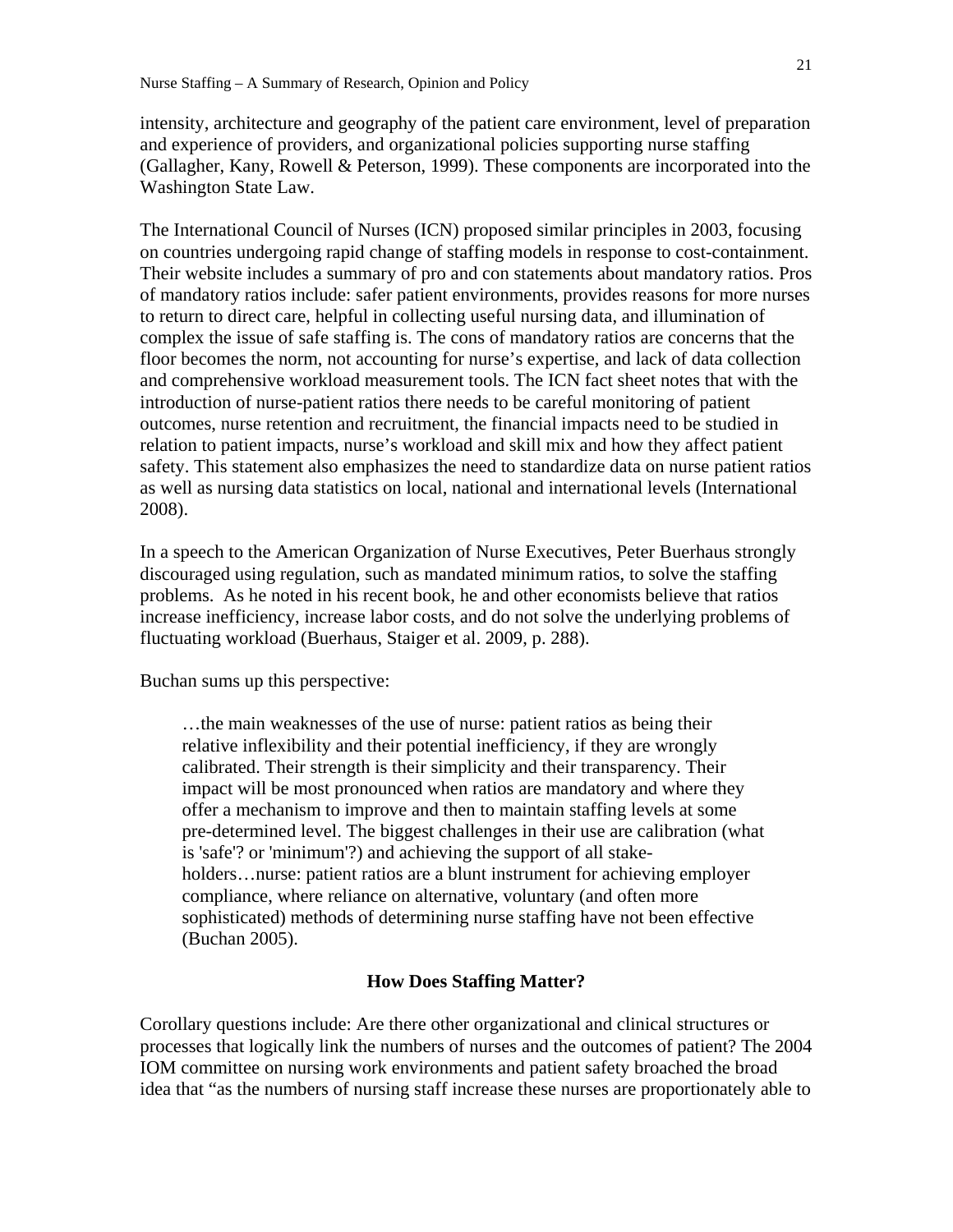intensity, architecture and geography of the patient care environment, level of preparation and experience of providers, and organizational policies supporting nurse staffing (Gallagher, Kany, Rowell & Peterson, 1999). These components are incorporated into the Washington State Law.

The International Council of Nurses (ICN) proposed similar principles in 2003, focusing on countries undergoing rapid change of staffing models in response to cost-containment. Their website includes a summary of pro and con statements about mandatory ratios. Pros of mandatory ratios include: safer patient environments, provides reasons for more nurses to return to direct care, helpful in collecting useful nursing data, and illumination of complex the issue of safe staffing is. The cons of mandatory ratios are concerns that the floor becomes the norm, not accounting for nurse's expertise, and lack of data collection and comprehensive workload measurement tools. The ICN fact sheet notes that with the introduction of nurse-patient ratios there needs to be careful monitoring of patient outcomes, nurse retention and recruitment, the financial impacts need to be studied in relation to patient impacts, nurse's workload and skill mix and how they affect patient safety. This statement also emphasizes the need to standardize data on nurse patient ratios as well as nursing data statistics on local, national and international levels (International 2008).

In a speech to the American Organization of Nurse Executives, Peter Buerhaus strongly discouraged using regulation, such as mandated minimum ratios, to solve the staffing problems. As he noted in his recent book, he and other economists believe that ratios increase inefficiency, increase labor costs, and do not solve the underlying problems of fluctuating workload (Buerhaus, Staiger et al. 2009, p. 288).

Buchan sums up this perspective:

…the main weaknesses of the use of nurse: patient ratios as being their relative inflexibility and their potential inefficiency, if they are wrongly calibrated. Their strength is their simplicity and their transparency. Their impact will be most pronounced when ratios are mandatory and where they offer a mechanism to improve and then to maintain staffing levels at some pre-determined level. The biggest challenges in their use are calibration (what is 'safe'? or 'minimum'?) and achieving the support of all stakeholders…nurse: patient ratios are a blunt instrument for achieving employer compliance, where reliance on alternative, voluntary (and often more sophisticated) methods of determining nurse staffing have not been effective (Buchan 2005).

#### **How Does Staffing Matter?**

Corollary questions include: Are there other organizational and clinical structures or processes that logically link the numbers of nurses and the outcomes of patient? The 2004 IOM committee on nursing work environments and patient safety broached the broad idea that "as the numbers of nursing staff increase these nurses are proportionately able to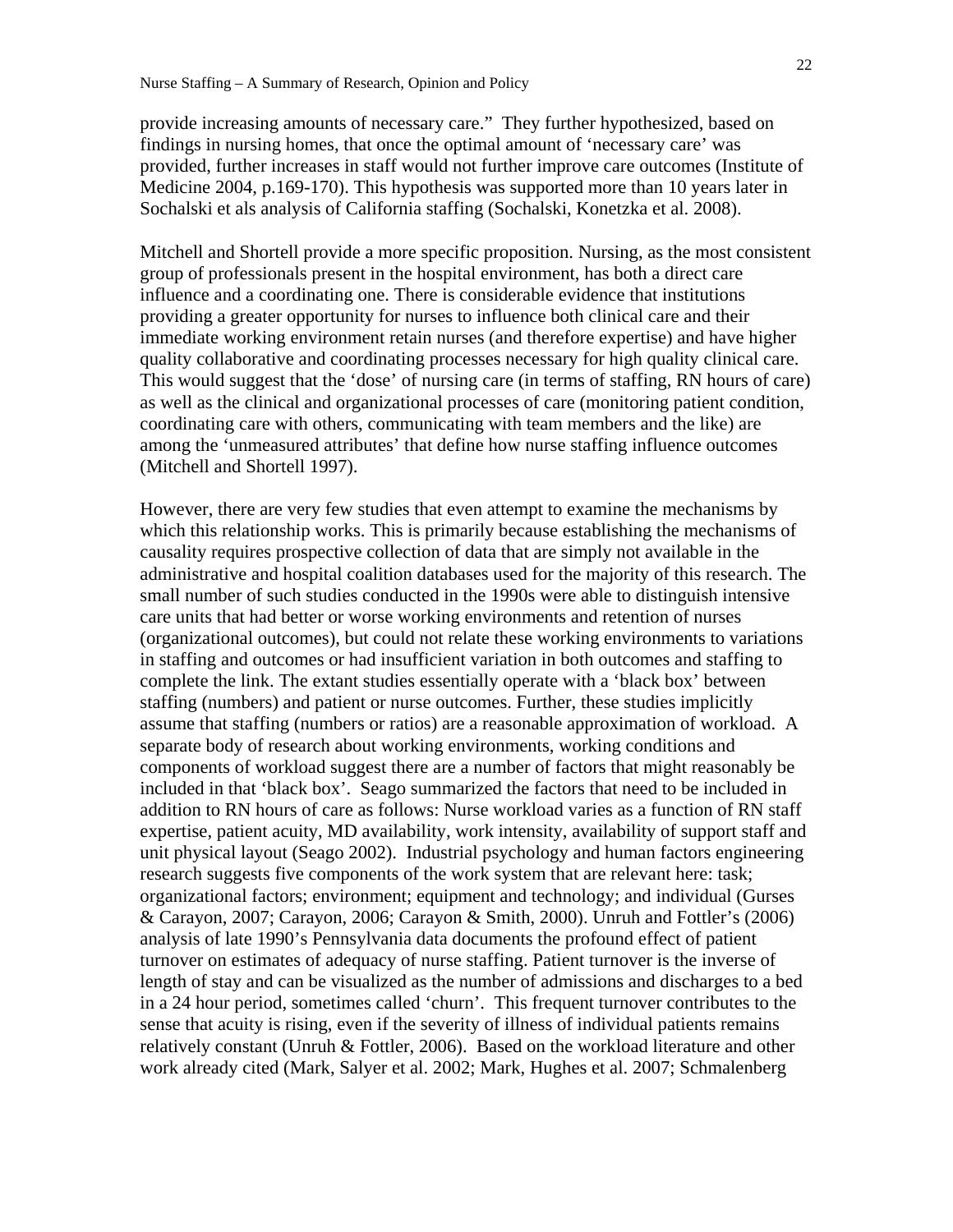provide increasing amounts of necessary care." They further hypothesized, based on findings in nursing homes, that once the optimal amount of 'necessary care' was provided, further increases in staff would not further improve care outcomes (Institute of Medicine 2004, p.169-170). This hypothesis was supported more than 10 years later in Sochalski et als analysis of California staffing (Sochalski, Konetzka et al. 2008).

Mitchell and Shortell provide a more specific proposition. Nursing, as the most consistent group of professionals present in the hospital environment, has both a direct care influence and a coordinating one. There is considerable evidence that institutions providing a greater opportunity for nurses to influence both clinical care and their immediate working environment retain nurses (and therefore expertise) and have higher quality collaborative and coordinating processes necessary for high quality clinical care. This would suggest that the 'dose' of nursing care (in terms of staffing, RN hours of care) as well as the clinical and organizational processes of care (monitoring patient condition, coordinating care with others, communicating with team members and the like) are among the 'unmeasured attributes' that define how nurse staffing influence outcomes (Mitchell and Shortell 1997).

However, there are very few studies that even attempt to examine the mechanisms by which this relationship works. This is primarily because establishing the mechanisms of causality requires prospective collection of data that are simply not available in the administrative and hospital coalition databases used for the majority of this research. The small number of such studies conducted in the 1990s were able to distinguish intensive care units that had better or worse working environments and retention of nurses (organizational outcomes), but could not relate these working environments to variations in staffing and outcomes or had insufficient variation in both outcomes and staffing to complete the link. The extant studies essentially operate with a 'black box' between staffing (numbers) and patient or nurse outcomes. Further, these studies implicitly assume that staffing (numbers or ratios) are a reasonable approximation of workload. A separate body of research about working environments, working conditions and components of workload suggest there are a number of factors that might reasonably be included in that 'black box'. Seago summarized the factors that need to be included in addition to RN hours of care as follows: Nurse workload varies as a function of RN staff expertise, patient acuity, MD availability, work intensity, availability of support staff and unit physical layout (Seago 2002). Industrial psychology and human factors engineering research suggests five components of the work system that are relevant here: task; organizational factors; environment; equipment and technology; and individual (Gurses & Carayon, 2007; Carayon, 2006; Carayon & Smith, 2000). Unruh and Fottler's (2006) analysis of late 1990's Pennsylvania data documents the profound effect of patient turnover on estimates of adequacy of nurse staffing. Patient turnover is the inverse of length of stay and can be visualized as the number of admissions and discharges to a bed in a 24 hour period, sometimes called 'churn'. This frequent turnover contributes to the sense that acuity is rising, even if the severity of illness of individual patients remains relatively constant (Unruh & Fottler, 2006). Based on the workload literature and other work already cited (Mark, Salyer et al. 2002; Mark, Hughes et al. 2007; Schmalenberg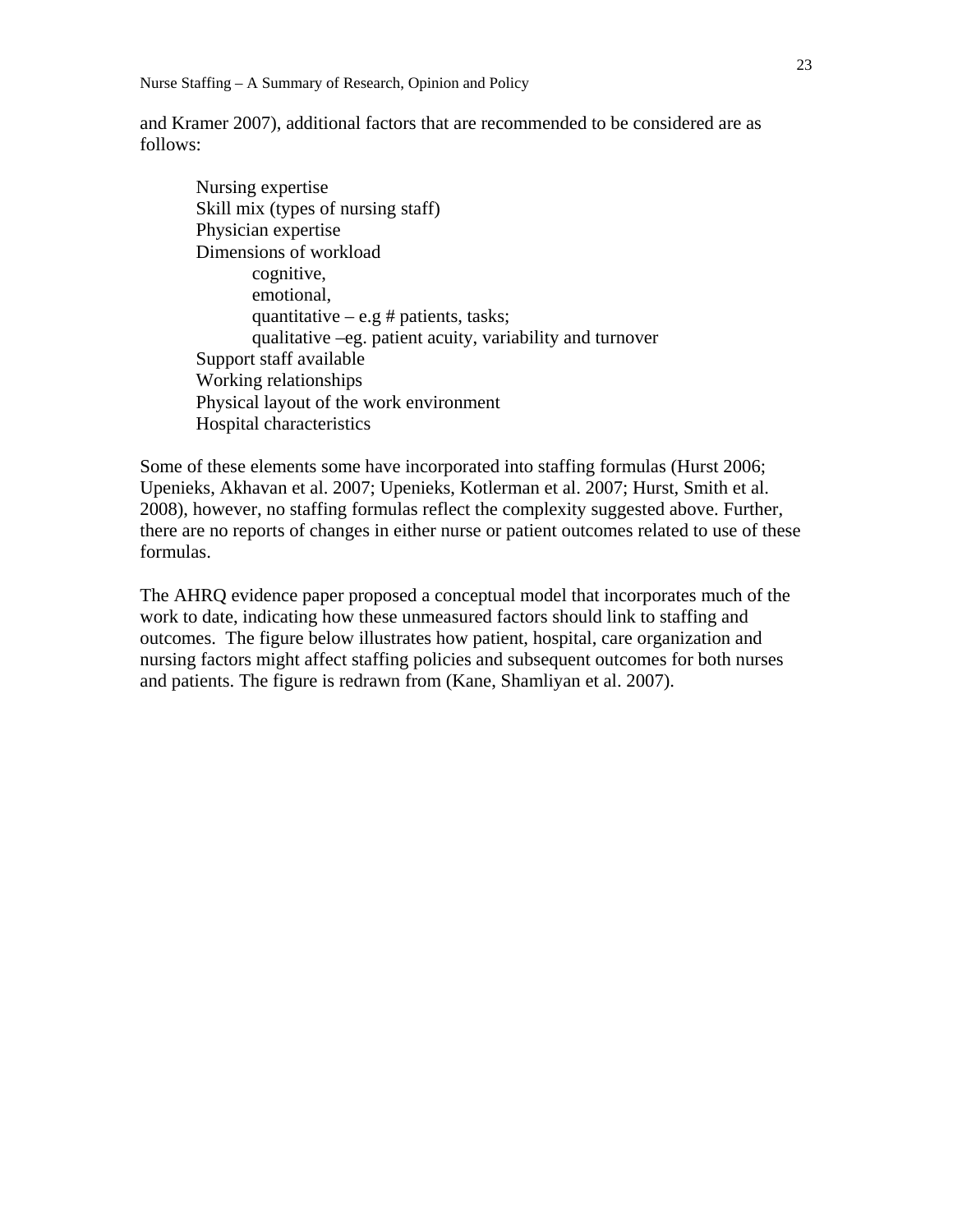and Kramer 2007), additional factors that are recommended to be considered are as follows:

 Nursing expertise Skill mix (types of nursing staff) Physician expertise Dimensions of workload cognitive, emotional, quantitative – e.g # patients, tasks; qualitative –eg. patient acuity, variability and turnover Support staff available Working relationships Physical layout of the work environment Hospital characteristics

Some of these elements some have incorporated into staffing formulas (Hurst 2006; Upenieks, Akhavan et al. 2007; Upenieks, Kotlerman et al. 2007; Hurst, Smith et al. 2008), however, no staffing formulas reflect the complexity suggested above. Further, there are no reports of changes in either nurse or patient outcomes related to use of these formulas.

The AHRQ evidence paper proposed a conceptual model that incorporates much of the work to date, indicating how these unmeasured factors should link to staffing and outcomes. The figure below illustrates how patient, hospital, care organization and nursing factors might affect staffing policies and subsequent outcomes for both nurses and patients. The figure is redrawn from (Kane, Shamliyan et al. 2007).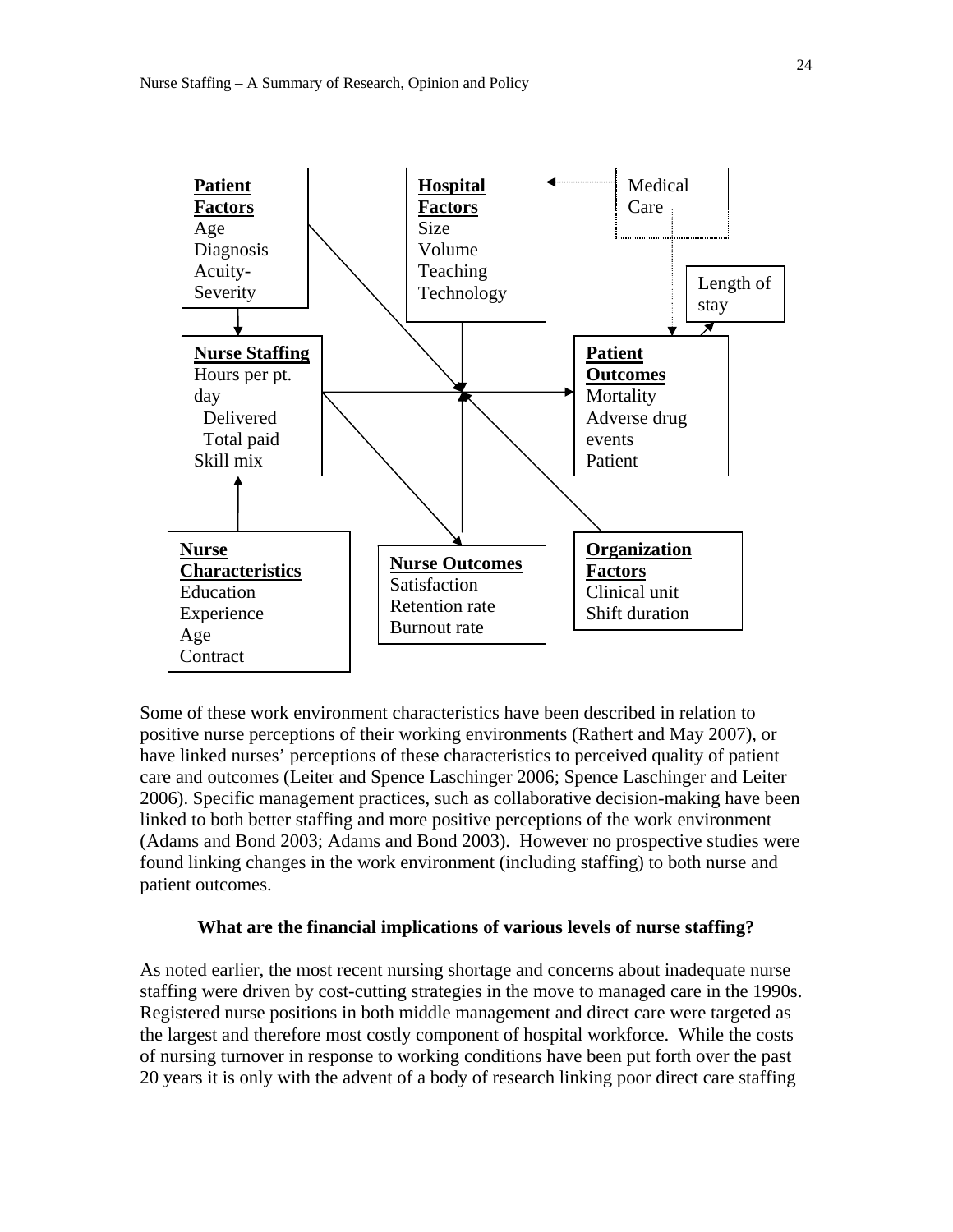

Some of these work environment characteristics have been described in relation to positive nurse perceptions of their working environments (Rathert and May 2007), or have linked nurses' perceptions of these characteristics to perceived quality of patient care and outcomes (Leiter and Spence Laschinger 2006; Spence Laschinger and Leiter 2006). Specific management practices, such as collaborative decision-making have been linked to both better staffing and more positive perceptions of the work environment (Adams and Bond 2003; Adams and Bond 2003). However no prospective studies were found linking changes in the work environment (including staffing) to both nurse and patient outcomes.

# **What are the financial implications of various levels of nurse staffing?**

As noted earlier, the most recent nursing shortage and concerns about inadequate nurse staffing were driven by cost-cutting strategies in the move to managed care in the 1990s. Registered nurse positions in both middle management and direct care were targeted as the largest and therefore most costly component of hospital workforce. While the costs of nursing turnover in response to working conditions have been put forth over the past 20 years it is only with the advent of a body of research linking poor direct care staffing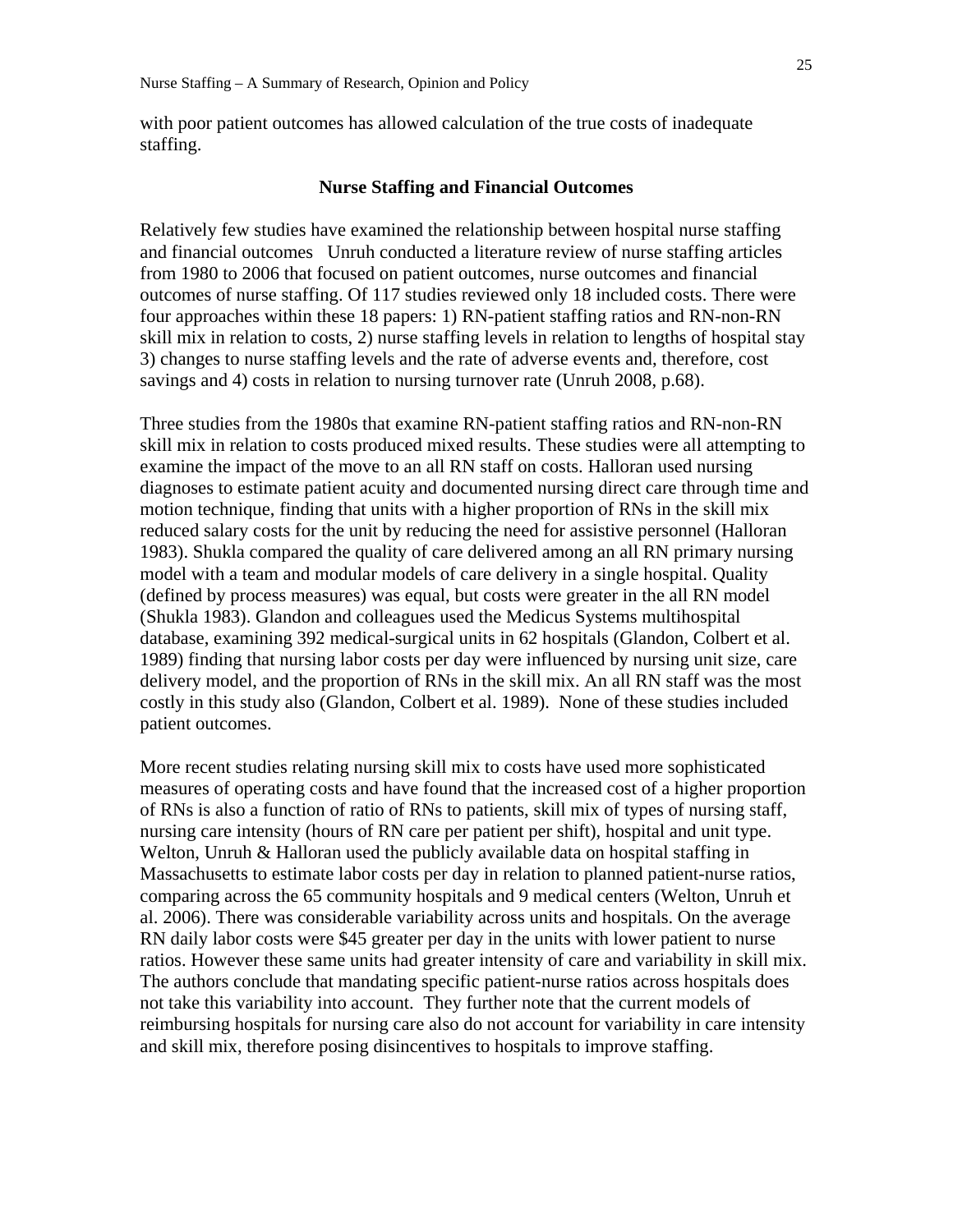with poor patient outcomes has allowed calculation of the true costs of inadequate staffing.

#### **Nurse Staffing and Financial Outcomes**

Relatively few studies have examined the relationship between hospital nurse staffing and financial outcomes Unruh conducted a literature review of nurse staffing articles from 1980 to 2006 that focused on patient outcomes, nurse outcomes and financial outcomes of nurse staffing. Of 117 studies reviewed only 18 included costs. There were four approaches within these 18 papers: 1) RN-patient staffing ratios and RN-non-RN skill mix in relation to costs, 2) nurse staffing levels in relation to lengths of hospital stay 3) changes to nurse staffing levels and the rate of adverse events and, therefore, cost savings and 4) costs in relation to nursing turnover rate (Unruh 2008, p.68).

Three studies from the 1980s that examine RN-patient staffing ratios and RN-non-RN skill mix in relation to costs produced mixed results. These studies were all attempting to examine the impact of the move to an all RN staff on costs. Halloran used nursing diagnoses to estimate patient acuity and documented nursing direct care through time and motion technique, finding that units with a higher proportion of RNs in the skill mix reduced salary costs for the unit by reducing the need for assistive personnel (Halloran 1983). Shukla compared the quality of care delivered among an all RN primary nursing model with a team and modular models of care delivery in a single hospital. Quality (defined by process measures) was equal, but costs were greater in the all RN model (Shukla 1983). Glandon and colleagues used the Medicus Systems multihospital database, examining 392 medical-surgical units in 62 hospitals (Glandon, Colbert et al. 1989) finding that nursing labor costs per day were influenced by nursing unit size, care delivery model, and the proportion of RNs in the skill mix. An all RN staff was the most costly in this study also (Glandon, Colbert et al. 1989). None of these studies included patient outcomes.

More recent studies relating nursing skill mix to costs have used more sophisticated measures of operating costs and have found that the increased cost of a higher proportion of RNs is also a function of ratio of RNs to patients, skill mix of types of nursing staff, nursing care intensity (hours of RN care per patient per shift), hospital and unit type. Welton, Unruh & Halloran used the publicly available data on hospital staffing in Massachusetts to estimate labor costs per day in relation to planned patient-nurse ratios, comparing across the 65 community hospitals and 9 medical centers (Welton, Unruh et al. 2006). There was considerable variability across units and hospitals. On the average RN daily labor costs were \$45 greater per day in the units with lower patient to nurse ratios. However these same units had greater intensity of care and variability in skill mix. The authors conclude that mandating specific patient-nurse ratios across hospitals does not take this variability into account. They further note that the current models of reimbursing hospitals for nursing care also do not account for variability in care intensity and skill mix, therefore posing disincentives to hospitals to improve staffing.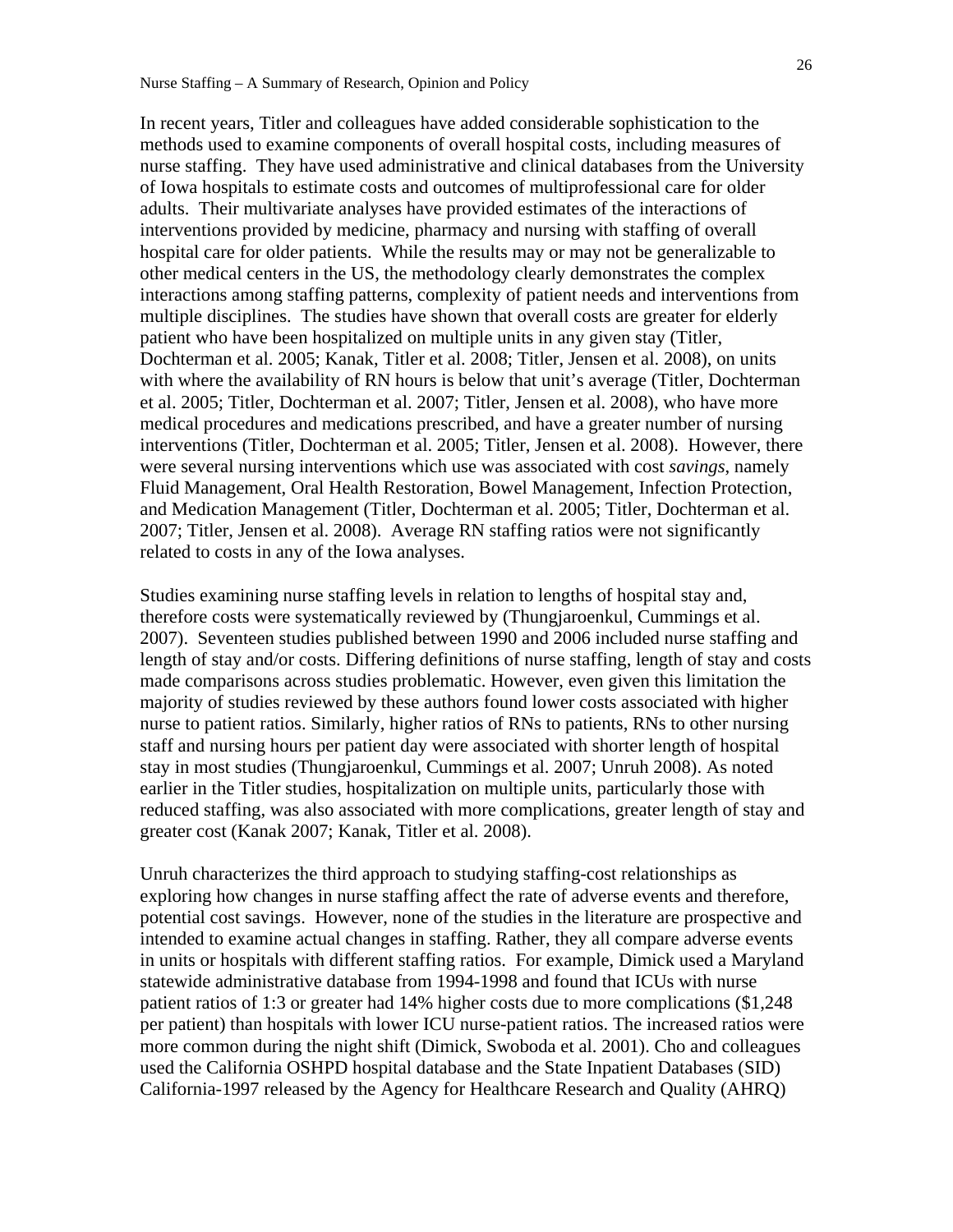In recent years, Titler and colleagues have added considerable sophistication to the methods used to examine components of overall hospital costs, including measures of nurse staffing. They have used administrative and clinical databases from the University of Iowa hospitals to estimate costs and outcomes of multiprofessional care for older adults. Their multivariate analyses have provided estimates of the interactions of interventions provided by medicine, pharmacy and nursing with staffing of overall hospital care for older patients. While the results may or may not be generalizable to other medical centers in the US, the methodology clearly demonstrates the complex interactions among staffing patterns, complexity of patient needs and interventions from multiple disciplines. The studies have shown that overall costs are greater for elderly patient who have been hospitalized on multiple units in any given stay (Titler, Dochterman et al. 2005; Kanak, Titler et al. 2008; Titler, Jensen et al. 2008), on units with where the availability of RN hours is below that unit's average (Titler, Dochterman et al. 2005; Titler, Dochterman et al. 2007; Titler, Jensen et al. 2008), who have more medical procedures and medications prescribed, and have a greater number of nursing interventions (Titler, Dochterman et al. 2005; Titler, Jensen et al. 2008). However, there were several nursing interventions which use was associated with cost *savings*, namely Fluid Management, Oral Health Restoration, Bowel Management, Infection Protection, and Medication Management (Titler, Dochterman et al. 2005; Titler, Dochterman et al. 2007; Titler, Jensen et al. 2008). Average RN staffing ratios were not significantly related to costs in any of the Iowa analyses.

Studies examining nurse staffing levels in relation to lengths of hospital stay and, therefore costs were systematically reviewed by (Thungjaroenkul, Cummings et al. 2007). Seventeen studies published between 1990 and 2006 included nurse staffing and length of stay and/or costs. Differing definitions of nurse staffing, length of stay and costs made comparisons across studies problematic. However, even given this limitation the majority of studies reviewed by these authors found lower costs associated with higher nurse to patient ratios. Similarly, higher ratios of RNs to patients, RNs to other nursing staff and nursing hours per patient day were associated with shorter length of hospital stay in most studies (Thungjaroenkul, Cummings et al. 2007; Unruh 2008). As noted earlier in the Titler studies, hospitalization on multiple units, particularly those with reduced staffing, was also associated with more complications, greater length of stay and greater cost (Kanak 2007; Kanak, Titler et al. 2008).

Unruh characterizes the third approach to studying staffing-cost relationships as exploring how changes in nurse staffing affect the rate of adverse events and therefore, potential cost savings. However, none of the studies in the literature are prospective and intended to examine actual changes in staffing. Rather, they all compare adverse events in units or hospitals with different staffing ratios. For example, Dimick used a Maryland statewide administrative database from 1994-1998 and found that ICUs with nurse patient ratios of 1:3 or greater had 14% higher costs due to more complications (\$1,248 per patient) than hospitals with lower ICU nurse-patient ratios. The increased ratios were more common during the night shift (Dimick, Swoboda et al. 2001). Cho and colleagues used the California OSHPD hospital database and the State Inpatient Databases (SID) California-1997 released by the Agency for Healthcare Research and Quality (AHRQ)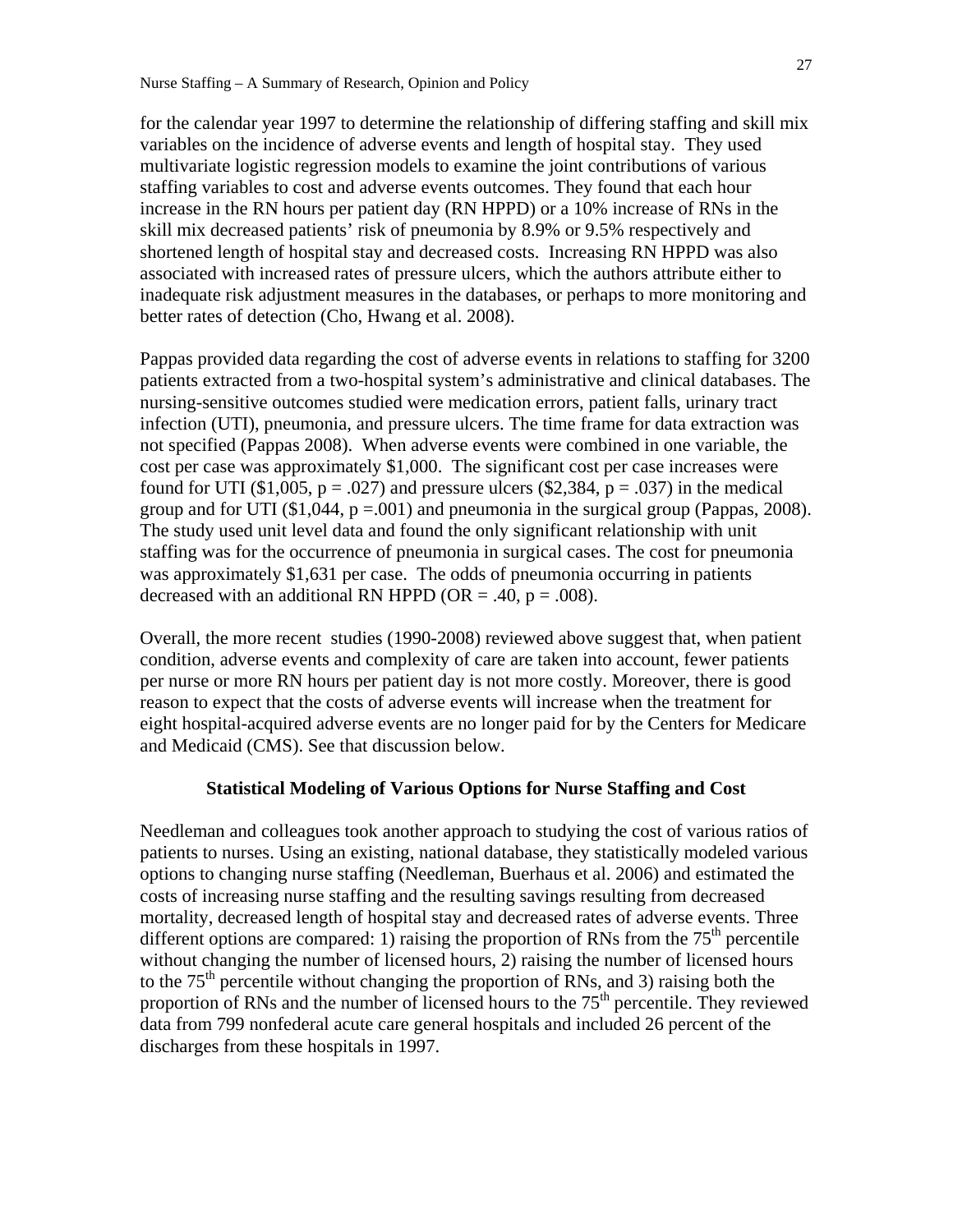for the calendar year 1997 to determine the relationship of differing staffing and skill mix variables on the incidence of adverse events and length of hospital stay. They used multivariate logistic regression models to examine the joint contributions of various staffing variables to cost and adverse events outcomes. They found that each hour increase in the RN hours per patient day (RN HPPD) or a 10% increase of RNs in the skill mix decreased patients' risk of pneumonia by 8.9% or 9.5% respectively and shortened length of hospital stay and decreased costs. Increasing RN HPPD was also associated with increased rates of pressure ulcers, which the authors attribute either to inadequate risk adjustment measures in the databases, or perhaps to more monitoring and better rates of detection (Cho, Hwang et al. 2008).

Pappas provided data regarding the cost of adverse events in relations to staffing for 3200 patients extracted from a two-hospital system's administrative and clinical databases. The nursing-sensitive outcomes studied were medication errors, patient falls, urinary tract infection (UTI), pneumonia, and pressure ulcers. The time frame for data extraction was not specified (Pappas 2008). When adverse events were combined in one variable, the cost per case was approximately \$1,000. The significant cost per case increases were found for UTI (\$1,005,  $p = .027$ ) and pressure ulcers (\$2,384,  $p = .037$ ) in the medical group and for UTI  $(\$1,044, p = .001)$  and pneumonia in the surgical group (Pappas, 2008). The study used unit level data and found the only significant relationship with unit staffing was for the occurrence of pneumonia in surgical cases. The cost for pneumonia was approximately \$1,631 per case. The odds of pneumonia occurring in patients decreased with an additional RN HPPD (OR = .40,  $p = .008$ ).

Overall, the more recent studies (1990-2008) reviewed above suggest that, when patient condition, adverse events and complexity of care are taken into account, fewer patients per nurse or more RN hours per patient day is not more costly. Moreover, there is good reason to expect that the costs of adverse events will increase when the treatment for eight hospital-acquired adverse events are no longer paid for by the Centers for Medicare and Medicaid (CMS). See that discussion below.

## **Statistical Modeling of Various Options for Nurse Staffing and Cost**

Needleman and colleagues took another approach to studying the cost of various ratios of patients to nurses. Using an existing, national database, they statistically modeled various options to changing nurse staffing (Needleman, Buerhaus et al. 2006) and estimated the costs of increasing nurse staffing and the resulting savings resulting from decreased mortality, decreased length of hospital stay and decreased rates of adverse events. Three different options are compared: 1) raising the proportion of RNs from the  $75<sup>th</sup>$  percentile without changing the number of licensed hours, 2) raising the number of licensed hours to the  $75<sup>th</sup>$  percentile without changing the proportion of RNs, and 3) raising both the proportion of RNs and the number of licensed hours to the  $75<sup>th</sup>$  percentile. They reviewed data from 799 nonfederal acute care general hospitals and included 26 percent of the discharges from these hospitals in 1997.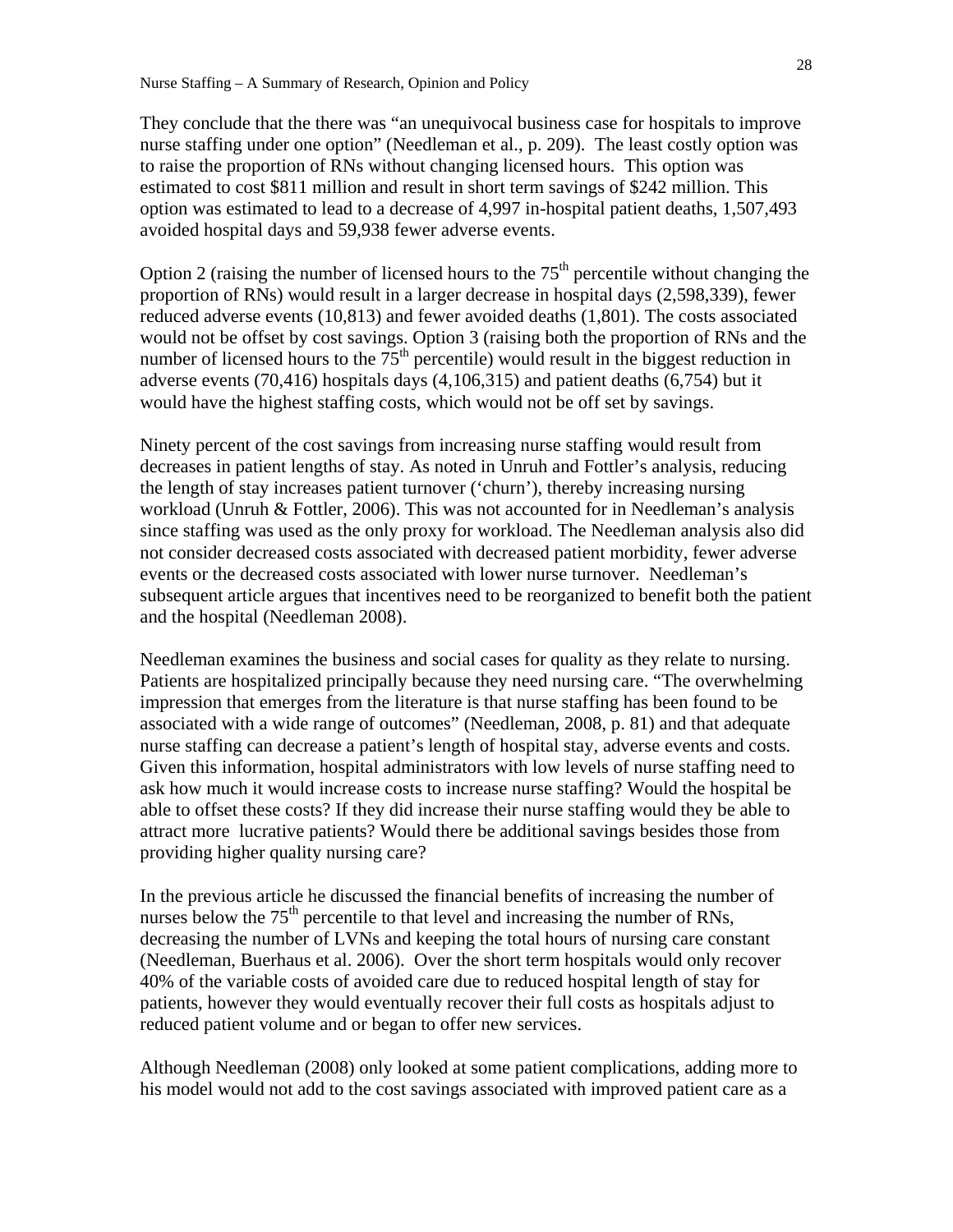They conclude that the there was "an unequivocal business case for hospitals to improve nurse staffing under one option" (Needleman et al., p. 209). The least costly option was to raise the proportion of RNs without changing licensed hours. This option was estimated to cost \$811 million and result in short term savings of \$242 million. This option was estimated to lead to a decrease of 4,997 in-hospital patient deaths, 1,507,493 avoided hospital days and 59,938 fewer adverse events.

Option 2 (raising the number of licensed hours to the  $75<sup>th</sup>$  percentile without changing the proportion of RNs) would result in a larger decrease in hospital days (2,598,339), fewer reduced adverse events (10,813) and fewer avoided deaths (1,801). The costs associated would not be offset by cost savings. Option 3 (raising both the proportion of RNs and the number of licensed hours to the  $75<sup>th</sup>$  percentile) would result in the biggest reduction in adverse events (70,416) hospitals days (4,106,315) and patient deaths (6,754) but it would have the highest staffing costs, which would not be off set by savings.

Ninety percent of the cost savings from increasing nurse staffing would result from decreases in patient lengths of stay. As noted in Unruh and Fottler's analysis, reducing the length of stay increases patient turnover ('churn'), thereby increasing nursing workload (Unruh & Fottler, 2006). This was not accounted for in Needleman's analysis since staffing was used as the only proxy for workload. The Needleman analysis also did not consider decreased costs associated with decreased patient morbidity, fewer adverse events or the decreased costs associated with lower nurse turnover. Needleman's subsequent article argues that incentives need to be reorganized to benefit both the patient and the hospital (Needleman 2008).

Needleman examines the business and social cases for quality as they relate to nursing. Patients are hospitalized principally because they need nursing care. "The overwhelming impression that emerges from the literature is that nurse staffing has been found to be associated with a wide range of outcomes" (Needleman, 2008, p. 81) and that adequate nurse staffing can decrease a patient's length of hospital stay, adverse events and costs. Given this information, hospital administrators with low levels of nurse staffing need to ask how much it would increase costs to increase nurse staffing? Would the hospital be able to offset these costs? If they did increase their nurse staffing would they be able to attract more lucrative patients? Would there be additional savings besides those from providing higher quality nursing care?

In the previous article he discussed the financial benefits of increasing the number of nurses below the  $75<sup>th</sup>$  percentile to that level and increasing the number of RNs, decreasing the number of LVNs and keeping the total hours of nursing care constant (Needleman, Buerhaus et al. 2006). Over the short term hospitals would only recover 40% of the variable costs of avoided care due to reduced hospital length of stay for patients, however they would eventually recover their full costs as hospitals adjust to reduced patient volume and or began to offer new services.

Although Needleman (2008) only looked at some patient complications, adding more to his model would not add to the cost savings associated with improved patient care as a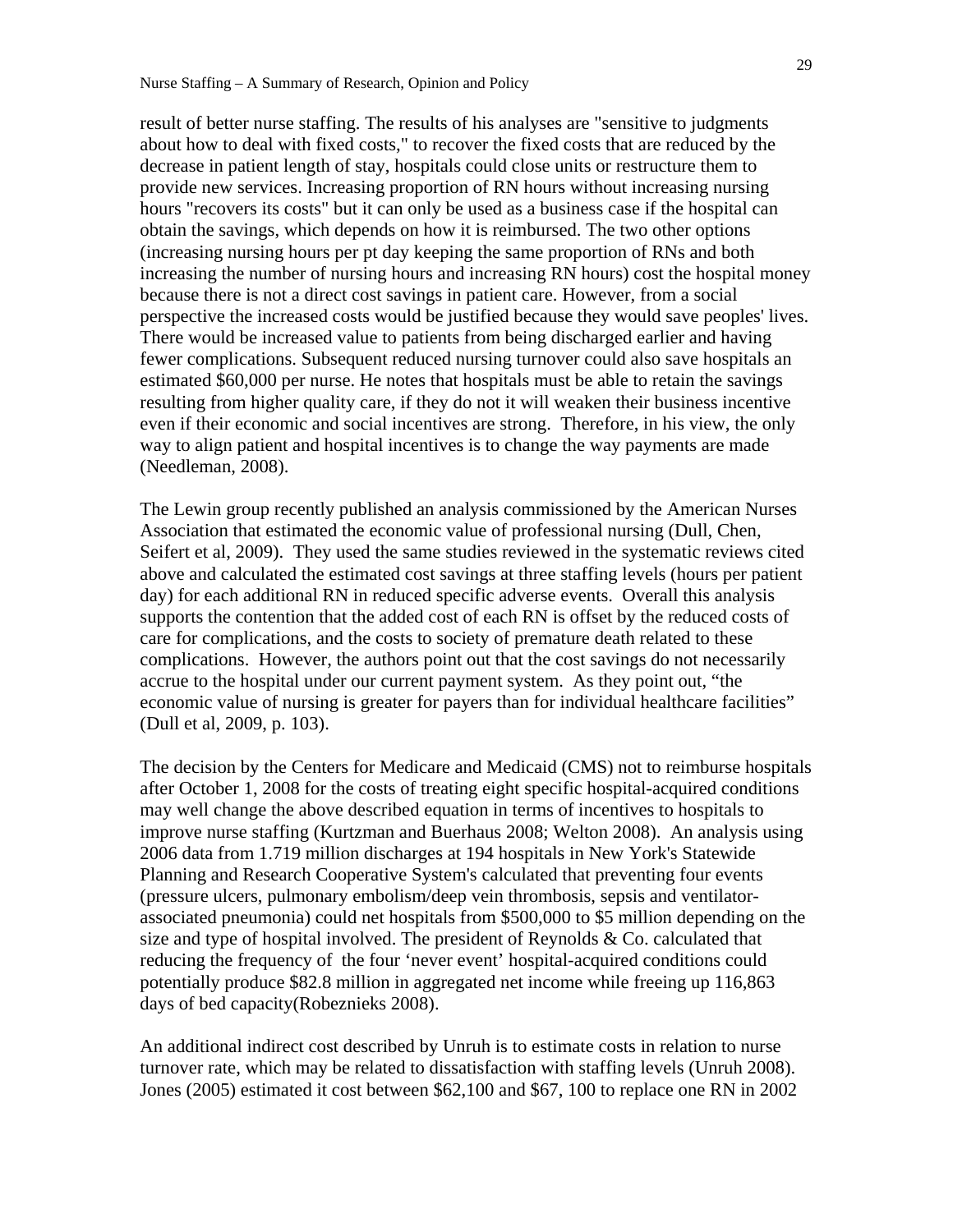result of better nurse staffing. The results of his analyses are "sensitive to judgments about how to deal with fixed costs," to recover the fixed costs that are reduced by the decrease in patient length of stay, hospitals could close units or restructure them to provide new services. Increasing proportion of RN hours without increasing nursing hours "recovers its costs" but it can only be used as a business case if the hospital can obtain the savings, which depends on how it is reimbursed. The two other options (increasing nursing hours per pt day keeping the same proportion of RNs and both increasing the number of nursing hours and increasing RN hours) cost the hospital money because there is not a direct cost savings in patient care. However, from a social perspective the increased costs would be justified because they would save peoples' lives. There would be increased value to patients from being discharged earlier and having fewer complications. Subsequent reduced nursing turnover could also save hospitals an estimated \$60,000 per nurse. He notes that hospitals must be able to retain the savings resulting from higher quality care, if they do not it will weaken their business incentive even if their economic and social incentives are strong. Therefore, in his view, the only way to align patient and hospital incentives is to change the way payments are made (Needleman, 2008).

The Lewin group recently published an analysis commissioned by the American Nurses Association that estimated the economic value of professional nursing (Dull, Chen, Seifert et al, 2009). They used the same studies reviewed in the systematic reviews cited above and calculated the estimated cost savings at three staffing levels (hours per patient day) for each additional RN in reduced specific adverse events. Overall this analysis supports the contention that the added cost of each RN is offset by the reduced costs of care for complications, and the costs to society of premature death related to these complications. However, the authors point out that the cost savings do not necessarily accrue to the hospital under our current payment system. As they point out, "the economic value of nursing is greater for payers than for individual healthcare facilities" (Dull et al, 2009, p. 103).

The decision by the Centers for Medicare and Medicaid (CMS) not to reimburse hospitals after October 1, 2008 for the costs of treating eight specific hospital-acquired conditions may well change the above described equation in terms of incentives to hospitals to improve nurse staffing (Kurtzman and Buerhaus 2008; Welton 2008). An analysis using 2006 data from 1.719 million discharges at 194 hospitals in New York's Statewide Planning and Research Cooperative System's calculated that preventing four events (pressure ulcers, pulmonary embolism/deep vein thrombosis, sepsis and ventilatorassociated pneumonia) could net hospitals from \$500,000 to \$5 million depending on the size and type of hospital involved. The president of Reynolds & Co. calculated that reducing the frequency of the four 'never event' hospital-acquired conditions could potentially produce \$82.8 million in aggregated net income while freeing up 116,863 days of bed capacity(Robeznieks 2008).

An additional indirect cost described by Unruh is to estimate costs in relation to nurse turnover rate, which may be related to dissatisfaction with staffing levels (Unruh 2008). Jones (2005) estimated it cost between \$62,100 and \$67, 100 to replace one RN in 2002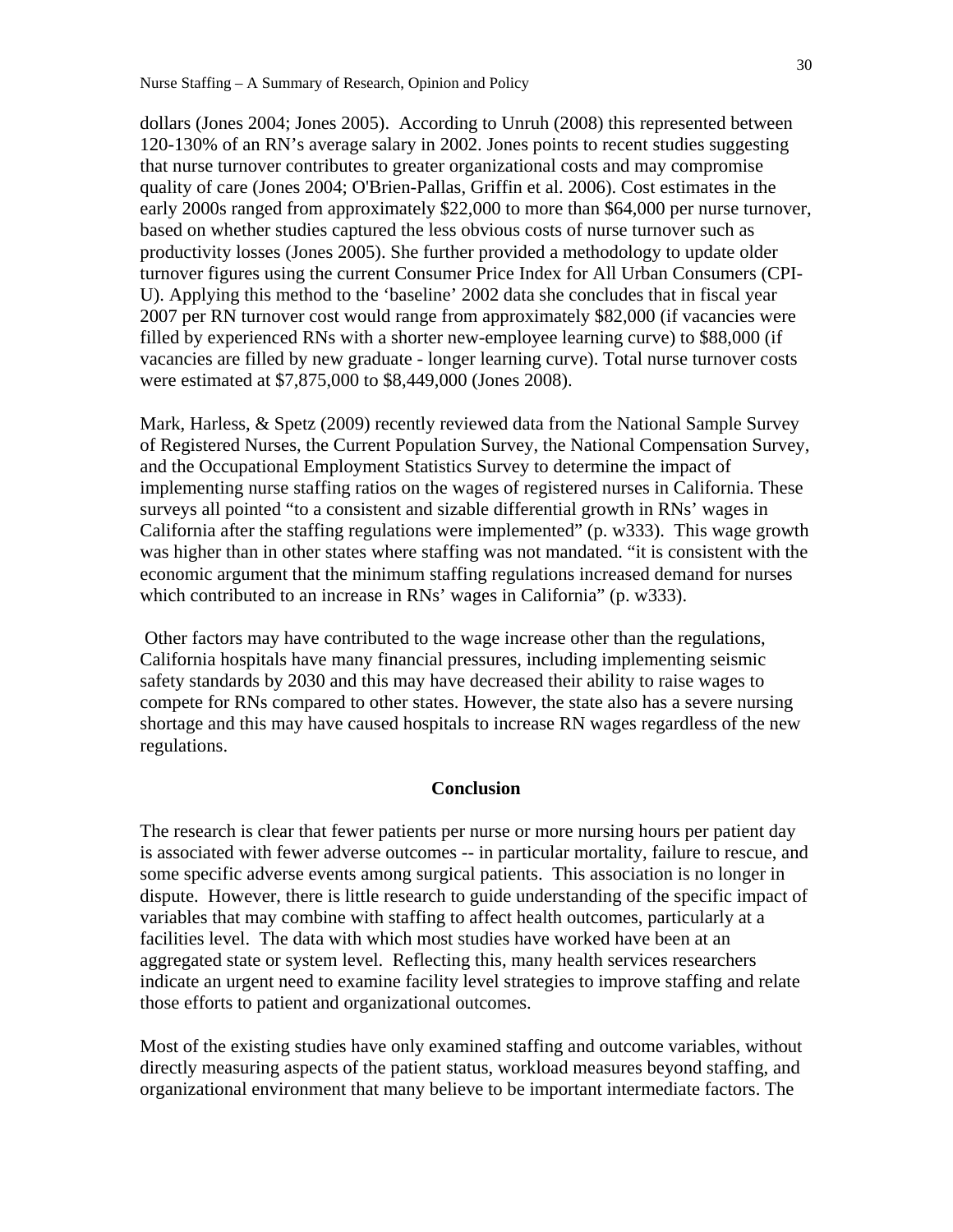dollars (Jones 2004; Jones 2005). According to Unruh (2008) this represented between 120-130% of an RN's average salary in 2002. Jones points to recent studies suggesting that nurse turnover contributes to greater organizational costs and may compromise quality of care (Jones 2004; O'Brien-Pallas, Griffin et al. 2006). Cost estimates in the early 2000s ranged from approximately \$22,000 to more than \$64,000 per nurse turnover, based on whether studies captured the less obvious costs of nurse turnover such as productivity losses (Jones 2005). She further provided a methodology to update older turnover figures using the current Consumer Price Index for All Urban Consumers (CPI-U). Applying this method to the 'baseline' 2002 data she concludes that in fiscal year 2007 per RN turnover cost would range from approximately \$82,000 (if vacancies were filled by experienced RNs with a shorter new-employee learning curve) to \$88,000 (if vacancies are filled by new graduate - longer learning curve). Total nurse turnover costs were estimated at \$7,875,000 to \$8,449,000 (Jones 2008).

Mark, Harless, & Spetz (2009) recently reviewed data from the National Sample Survey of Registered Nurses, the Current Population Survey, the National Compensation Survey, and the Occupational Employment Statistics Survey to determine the impact of implementing nurse staffing ratios on the wages of registered nurses in California. These surveys all pointed "to a consistent and sizable differential growth in RNs' wages in California after the staffing regulations were implemented" (p. w333). This wage growth was higher than in other states where staffing was not mandated. "it is consistent with the economic argument that the minimum staffing regulations increased demand for nurses which contributed to an increase in RNs' wages in California" (p. w333).

 Other factors may have contributed to the wage increase other than the regulations, California hospitals have many financial pressures, including implementing seismic safety standards by 2030 and this may have decreased their ability to raise wages to compete for RNs compared to other states. However, the state also has a severe nursing shortage and this may have caused hospitals to increase RN wages regardless of the new regulations.

## **Conclusion**

The research is clear that fewer patients per nurse or more nursing hours per patient day is associated with fewer adverse outcomes -- in particular mortality, failure to rescue, and some specific adverse events among surgical patients. This association is no longer in dispute. However, there is little research to guide understanding of the specific impact of variables that may combine with staffing to affect health outcomes, particularly at a facilities level. The data with which most studies have worked have been at an aggregated state or system level. Reflecting this, many health services researchers indicate an urgent need to examine facility level strategies to improve staffing and relate those efforts to patient and organizational outcomes.

Most of the existing studies have only examined staffing and outcome variables, without directly measuring aspects of the patient status, workload measures beyond staffing, and organizational environment that many believe to be important intermediate factors. The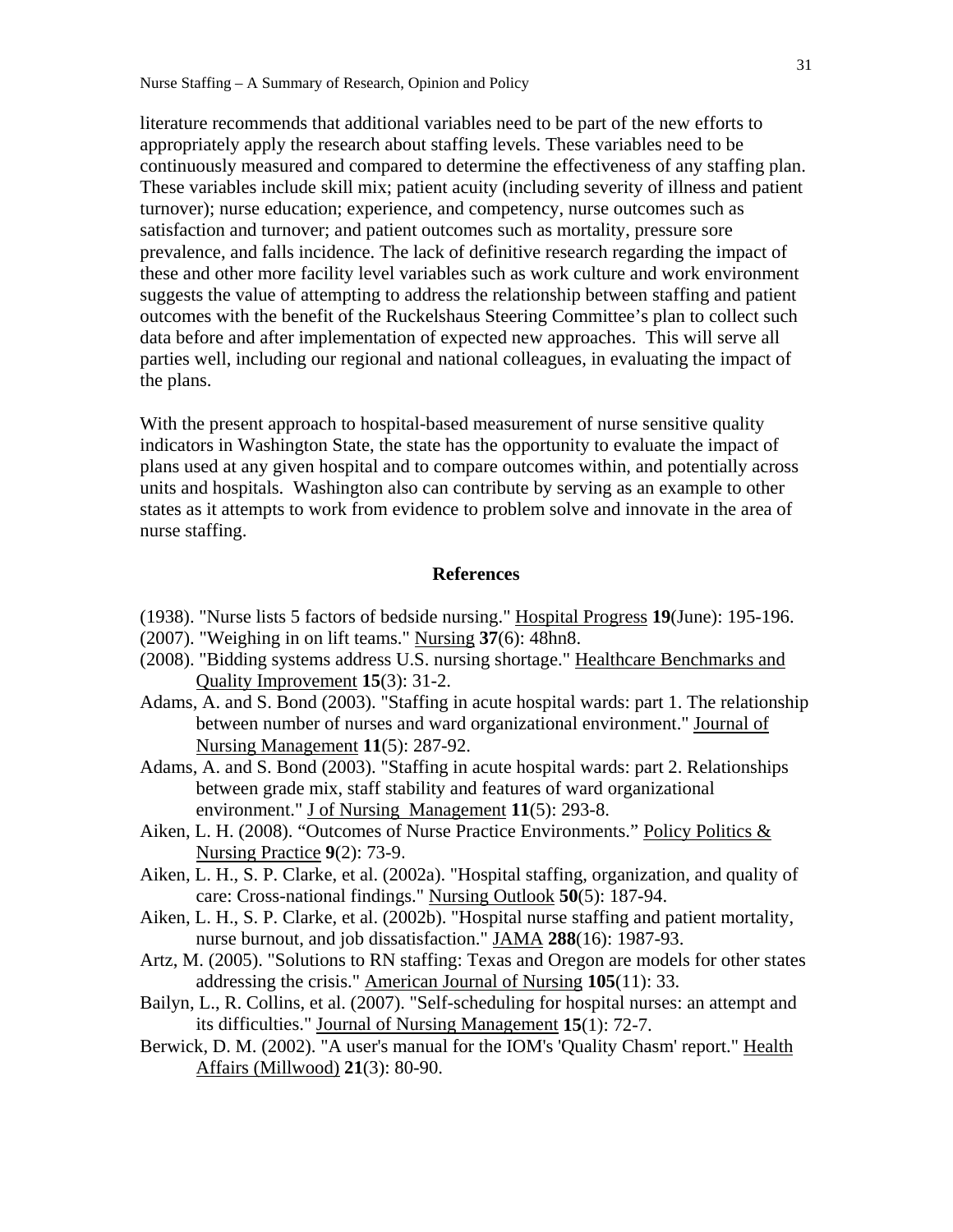literature recommends that additional variables need to be part of the new efforts to appropriately apply the research about staffing levels. These variables need to be continuously measured and compared to determine the effectiveness of any staffing plan. These variables include skill mix; patient acuity (including severity of illness and patient turnover); nurse education; experience, and competency, nurse outcomes such as satisfaction and turnover; and patient outcomes such as mortality, pressure sore prevalence, and falls incidence. The lack of definitive research regarding the impact of these and other more facility level variables such as work culture and work environment suggests the value of attempting to address the relationship between staffing and patient outcomes with the benefit of the Ruckelshaus Steering Committee's plan to collect such data before and after implementation of expected new approaches. This will serve all parties well, including our regional and national colleagues, in evaluating the impact of the plans.

With the present approach to hospital-based measurement of nurse sensitive quality indicators in Washington State, the state has the opportunity to evaluate the impact of plans used at any given hospital and to compare outcomes within, and potentially across units and hospitals. Washington also can contribute by serving as an example to other states as it attempts to work from evidence to problem solve and innovate in the area of nurse staffing.

## **References**

- (1938). "Nurse lists 5 factors of bedside nursing." Hospital Progress **19**(June): 195-196.
- (2007). "Weighing in on lift teams." Nursing **37**(6): 48hn8.
- (2008). "Bidding systems address U.S. nursing shortage." Healthcare Benchmarks and Quality Improvement **15**(3): 31-2.
- Adams, A. and S. Bond (2003). "Staffing in acute hospital wards: part 1. The relationship between number of nurses and ward organizational environment." Journal of Nursing Management **11**(5): 287-92.
- Adams, A. and S. Bond (2003). "Staffing in acute hospital wards: part 2. Relationships between grade mix, staff stability and features of ward organizational environment." J of Nursing Management **11**(5): 293-8.
- Aiken, L. H. (2008). "Outcomes of Nurse Practice Environments." Policy Politics & Nursing Practice **9**(2): 73-9.
- Aiken, L. H., S. P. Clarke, et al. (2002a). "Hospital staffing, organization, and quality of care: Cross-national findings." Nursing Outlook **50**(5): 187-94.
- Aiken, L. H., S. P. Clarke, et al. (2002b). "Hospital nurse staffing and patient mortality, nurse burnout, and job dissatisfaction." JAMA **288**(16): 1987-93.
- Artz, M. (2005). "Solutions to RN staffing: Texas and Oregon are models for other states addressing the crisis." American Journal of Nursing **105**(11): 33.
- Bailyn, L., R. Collins, et al. (2007). "Self-scheduling for hospital nurses: an attempt and its difficulties." Journal of Nursing Management **15**(1): 72-7.
- Berwick, D. M. (2002). "A user's manual for the IOM's 'Quality Chasm' report." Health Affairs (Millwood) **21**(3): 80-90.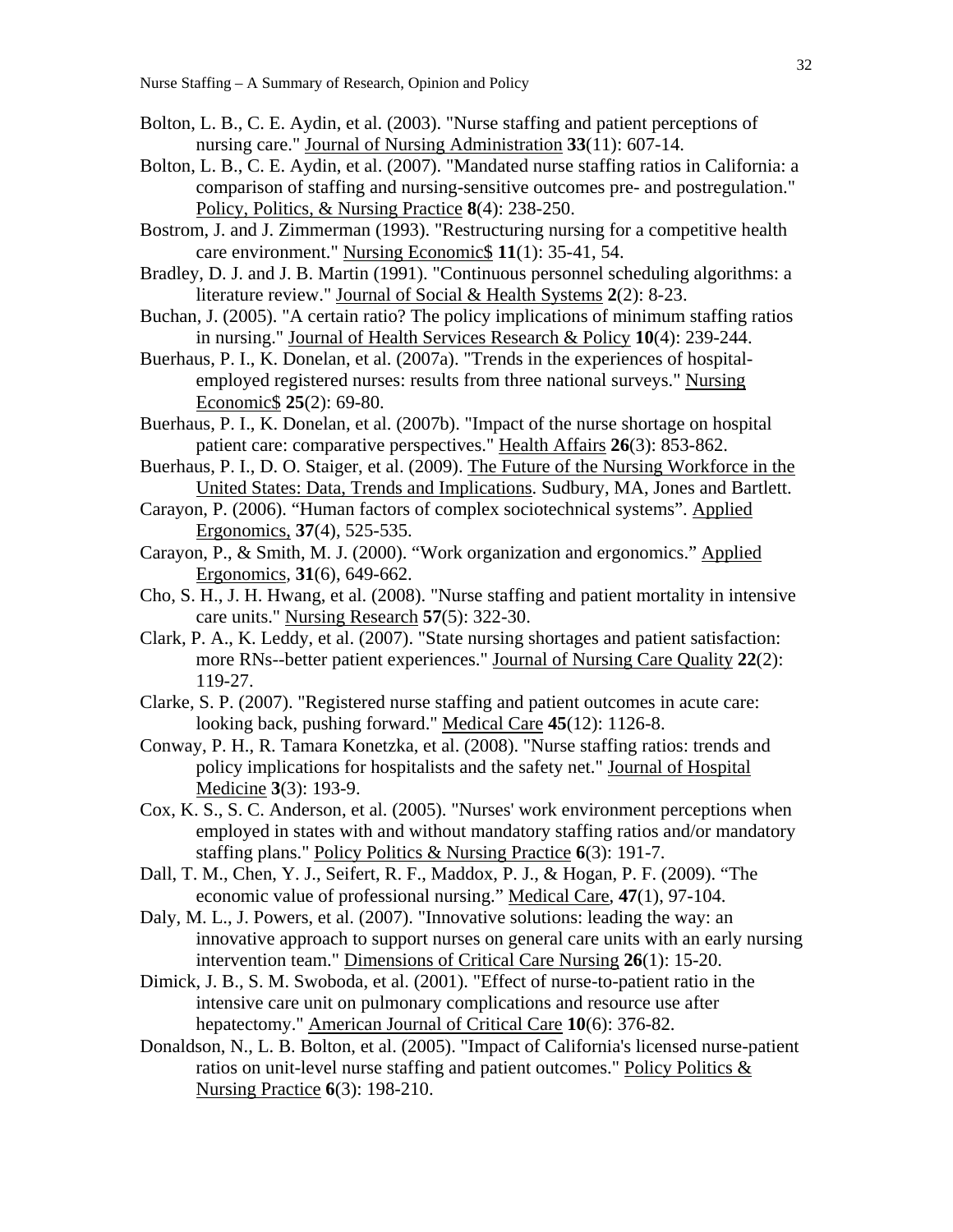- Bolton, L. B., C. E. Aydin, et al. (2003). "Nurse staffing and patient perceptions of nursing care." Journal of Nursing Administration **33**(11): 607-14.
- Bolton, L. B., C. E. Aydin, et al. (2007). "Mandated nurse staffing ratios in California: a comparison of staffing and nursing-sensitive outcomes pre- and postregulation." Policy, Politics, & Nursing Practice **8**(4): 238-250.
- Bostrom, J. and J. Zimmerman (1993). "Restructuring nursing for a competitive health care environment." Nursing Economic\$ **11**(1): 35-41, 54.
- Bradley, D. J. and J. B. Martin (1991). "Continuous personnel scheduling algorithms: a literature review." Journal of Social & Health Systems **2**(2): 8-23.
- Buchan, J. (2005). "A certain ratio? The policy implications of minimum staffing ratios in nursing." Journal of Health Services Research & Policy **10**(4): 239-244.
- Buerhaus, P. I., K. Donelan, et al. (2007a). "Trends in the experiences of hospitalemployed registered nurses: results from three national surveys." Nursing Economic\$ **25**(2): 69-80.
- Buerhaus, P. I., K. Donelan, et al. (2007b). "Impact of the nurse shortage on hospital patient care: comparative perspectives." Health Affairs **26**(3): 853-862.
- Buerhaus, P. I., D. O. Staiger, et al. (2009). The Future of the Nursing Workforce in the United States: Data, Trends and Implications. Sudbury, MA, Jones and Bartlett.
- Carayon, P. (2006). "Human factors of complex sociotechnical systems". Applied Ergonomics, **37**(4), 525-535.
- Carayon, P., & Smith, M. J. (2000). "Work organization and ergonomics." Applied Ergonomics*,* **31**(6), 649-662.
- Cho, S. H., J. H. Hwang, et al. (2008). "Nurse staffing and patient mortality in intensive care units." Nursing Research **57**(5): 322-30.
- Clark, P. A., K. Leddy, et al. (2007). "State nursing shortages and patient satisfaction: more RNs--better patient experiences." Journal of Nursing Care Quality **22**(2): 119-27.
- Clarke, S. P. (2007). "Registered nurse staffing and patient outcomes in acute care: looking back, pushing forward." Medical Care **45**(12): 1126-8.
- Conway, P. H., R. Tamara Konetzka, et al. (2008). "Nurse staffing ratios: trends and policy implications for hospitalists and the safety net." Journal of Hospital Medicine **3**(3): 193-9.
- Cox, K. S., S. C. Anderson, et al. (2005). "Nurses' work environment perceptions when employed in states with and without mandatory staffing ratios and/or mandatory staffing plans." Policy Politics & Nursing Practice **6**(3): 191-7.
- Dall, T. M., Chen, Y. J., Seifert, R. F., Maddox, P. J., & Hogan, P. F. (2009). "The economic value of professional nursing." Medical Care, **47**(1), 97-104.
- Daly, M. L., J. Powers, et al. (2007). "Innovative solutions: leading the way: an innovative approach to support nurses on general care units with an early nursing intervention team." Dimensions of Critical Care Nursing **26**(1): 15-20.
- Dimick, J. B., S. M. Swoboda, et al. (2001). "Effect of nurse-to-patient ratio in the intensive care unit on pulmonary complications and resource use after hepatectomy." American Journal of Critical Care **10**(6): 376-82.
- Donaldson, N., L. B. Bolton, et al. (2005). "Impact of California's licensed nurse-patient ratios on unit-level nurse staffing and patient outcomes." Policy Politics & Nursing Practice **6**(3): 198-210.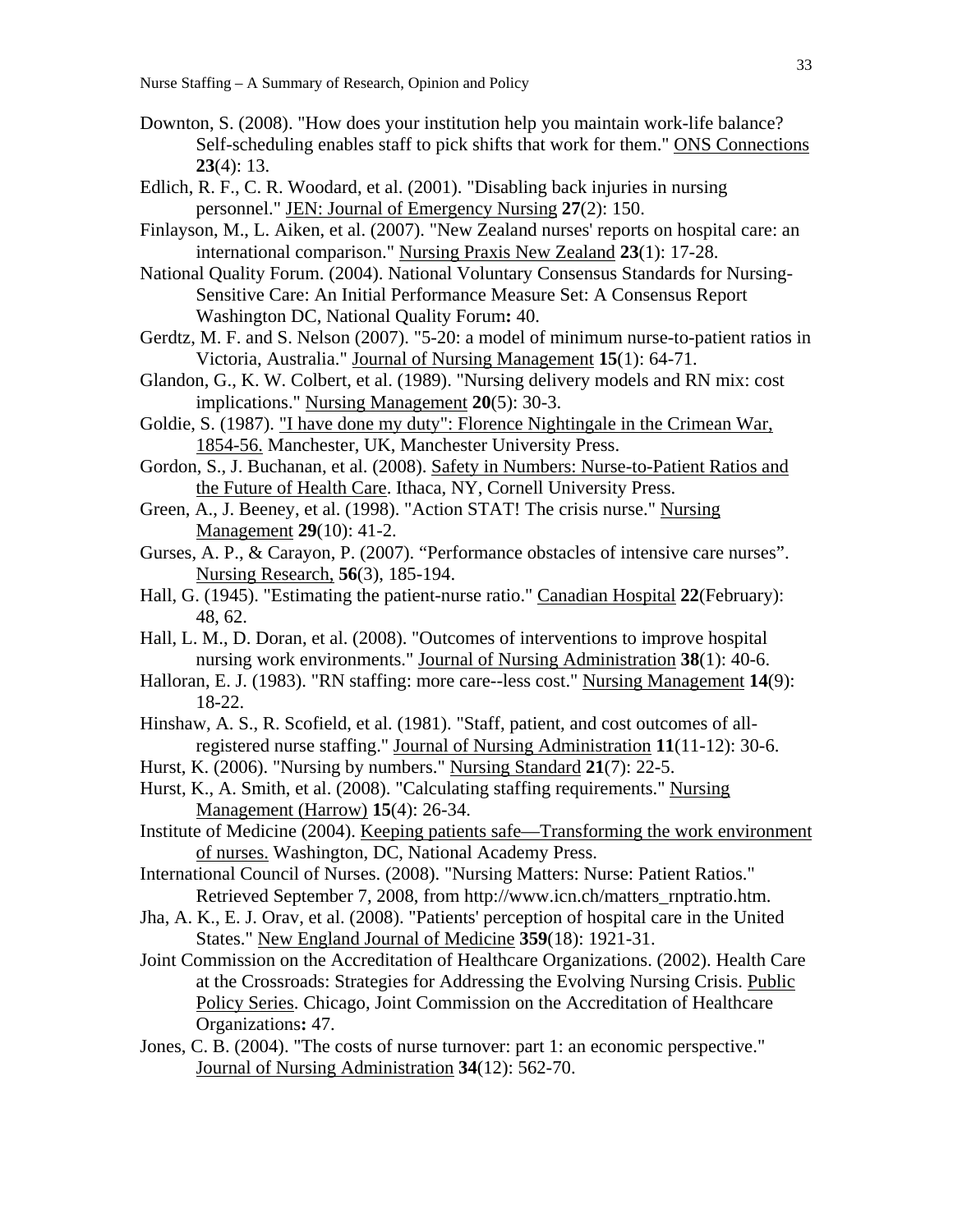- Downton, S. (2008). "How does your institution help you maintain work-life balance? Self-scheduling enables staff to pick shifts that work for them." ONS Connections **23**(4): 13.
- Edlich, R. F., C. R. Woodard, et al. (2001). "Disabling back injuries in nursing personnel." JEN: Journal of Emergency Nursing **27**(2): 150.
- Finlayson, M., L. Aiken, et al. (2007). "New Zealand nurses' reports on hospital care: an international comparison." Nursing Praxis New Zealand **23**(1): 17-28.
- National Quality Forum. (2004). National Voluntary Consensus Standards for Nursing-Sensitive Care: An Initial Performance Measure Set: A Consensus Report Washington DC, National Quality Forum**:** 40.
- Gerdtz, M. F. and S. Nelson (2007). "5-20: a model of minimum nurse-to-patient ratios in Victoria, Australia." Journal of Nursing Management **15**(1): 64-71.
- Glandon, G., K. W. Colbert, et al. (1989). "Nursing delivery models and RN mix: cost implications." Nursing Management **20**(5): 30-3.
- Goldie, S. (1987). "I have done my duty": Florence Nightingale in the Crimean War, 1854-56. Manchester, UK, Manchester University Press.
- Gordon, S., J. Buchanan, et al. (2008). Safety in Numbers: Nurse-to-Patient Ratios and the Future of Health Care. Ithaca, NY, Cornell University Press.
- Green, A., J. Beeney, et al. (1998). "Action STAT! The crisis nurse." Nursing Management **29**(10): 41-2.
- Gurses, A. P., & Carayon, P. (2007). "Performance obstacles of intensive care nurses". Nursing Research, **56**(3), 185-194.
- Hall, G. (1945). "Estimating the patient-nurse ratio." Canadian Hospital **22**(February): 48, 62.
- Hall, L. M., D. Doran, et al. (2008). "Outcomes of interventions to improve hospital nursing work environments." Journal of Nursing Administration **38**(1): 40-6.
- Halloran, E. J. (1983). "RN staffing: more care--less cost." Nursing Management **14**(9): 18-22.
- Hinshaw, A. S., R. Scofield, et al. (1981). "Staff, patient, and cost outcomes of allregistered nurse staffing." Journal of Nursing Administration **11**(11-12): 30-6.
- Hurst, K. (2006). "Nursing by numbers." Nursing Standard **21**(7): 22-5.
- Hurst, K., A. Smith, et al. (2008). "Calculating staffing requirements." Nursing Management (Harrow) **15**(4): 26-34.
- Institute of Medicine (2004). Keeping patients safe—Transforming the work environment of nurses. Washington, DC, National Academy Press.
- International Council of Nurses. (2008). "Nursing Matters: Nurse: Patient Ratios." Retrieved September 7, 2008, from http://www.icn.ch/matters\_rnptratio.htm.
- Jha, A. K., E. J. Orav, et al. (2008). "Patients' perception of hospital care in the United States." New England Journal of Medicine **359**(18): 1921-31.
- Joint Commission on the Accreditation of Healthcare Organizations. (2002). Health Care at the Crossroads: Strategies for Addressing the Evolving Nursing Crisis. Public Policy Series. Chicago, Joint Commission on the Accreditation of Healthcare Organizations**:** 47.
- Jones, C. B. (2004). "The costs of nurse turnover: part 1: an economic perspective." Journal of Nursing Administration **34**(12): 562-70.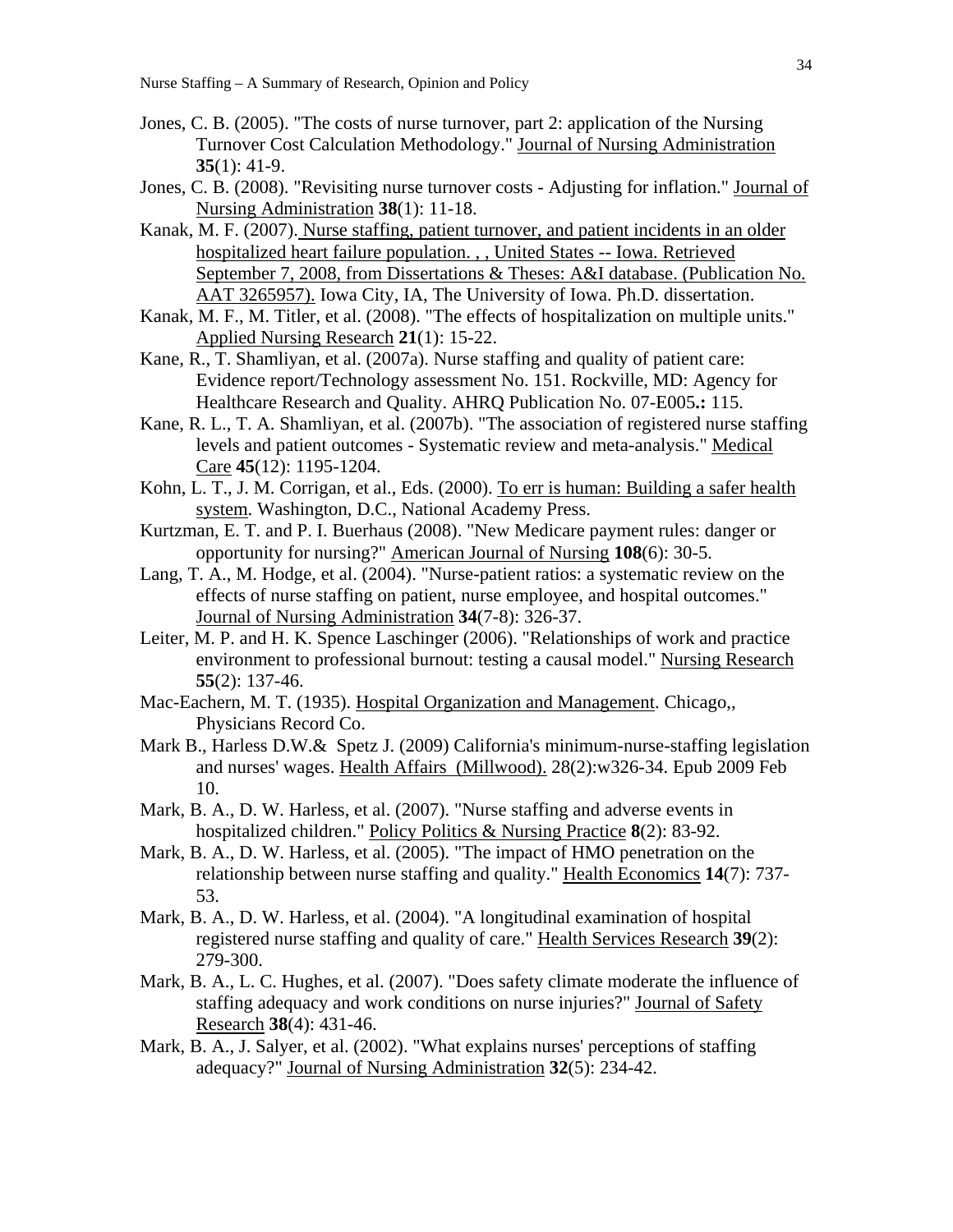- Jones, C. B. (2005). "The costs of nurse turnover, part 2: application of the Nursing Turnover Cost Calculation Methodology." Journal of Nursing Administration **35**(1): 41-9.
- Jones, C. B. (2008). "Revisiting nurse turnover costs Adjusting for inflation." Journal of Nursing Administration **38**(1): 11-18.
- Kanak, M. F. (2007). Nurse staffing, patient turnover, and patient incidents in an older hospitalized heart failure population. , , United States -- Iowa. Retrieved September 7, 2008, from Dissertations & Theses: A&I database. (Publication No. AAT 3265957). Iowa City, IA, The University of Iowa. Ph.D. dissertation.
- Kanak, M. F., M. Titler, et al. (2008). "The effects of hospitalization on multiple units." Applied Nursing Research **21**(1): 15-22.
- Kane, R., T. Shamliyan, et al. (2007a). Nurse staffing and quality of patient care: Evidence report/Technology assessment No. 151. Rockville, MD: Agency for Healthcare Research and Quality. AHRQ Publication No. 07-E005**.:** 115.
- Kane, R. L., T. A. Shamliyan, et al. (2007b). "The association of registered nurse staffing levels and patient outcomes - Systematic review and meta-analysis." Medical Care **45**(12): 1195-1204.
- Kohn, L. T., J. M. Corrigan, et al., Eds. (2000). To err is human: Building a safer health system. Washington, D.C., National Academy Press.
- Kurtzman, E. T. and P. I. Buerhaus (2008). "New Medicare payment rules: danger or opportunity for nursing?" American Journal of Nursing **108**(6): 30-5.
- Lang, T. A., M. Hodge, et al. (2004). "Nurse-patient ratios: a systematic review on the effects of nurse staffing on patient, nurse employee, and hospital outcomes." Journal of Nursing Administration **34**(7-8): 326-37.
- Leiter, M. P. and H. K. Spence Laschinger (2006). "Relationships of work and practice environment to professional burnout: testing a causal model." Nursing Research **55**(2): 137-46.
- Mac-Eachern, M. T. (1935). Hospital Organization and Management. Chicago,, Physicians Record Co.
- Mark B., Harless D.W.& Spetz J. (2009) California's minimum-nurse-staffing legislation and nurses' wages. Health Affairs (Millwood). 28(2):w326-34. Epub 2009 Feb 10.
- Mark, B. A., D. W. Harless, et al. (2007). "Nurse staffing and adverse events in hospitalized children." Policy Politics & Nursing Practice **8**(2): 83-92.
- Mark, B. A., D. W. Harless, et al. (2005). "The impact of HMO penetration on the relationship between nurse staffing and quality." Health Economics **14**(7): 737- 53.
- Mark, B. A., D. W. Harless, et al. (2004). "A longitudinal examination of hospital registered nurse staffing and quality of care." Health Services Research **39**(2): 279-300.
- Mark, B. A., L. C. Hughes, et al. (2007). "Does safety climate moderate the influence of staffing adequacy and work conditions on nurse injuries?" Journal of Safety Research **38**(4): 431-46.
- Mark, B. A., J. Salyer, et al. (2002). "What explains nurses' perceptions of staffing adequacy?" Journal of Nursing Administration **32**(5): 234-42.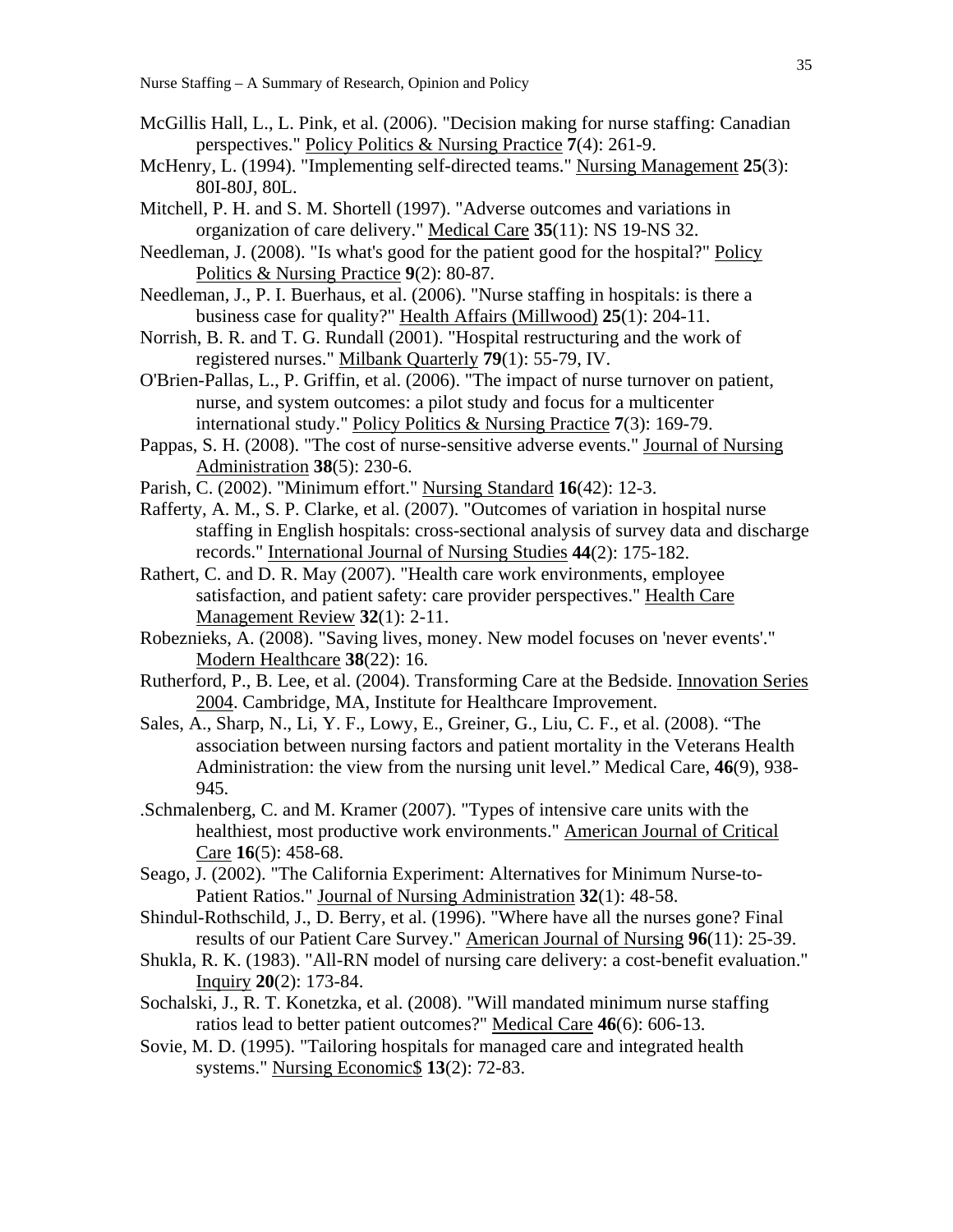- McGillis Hall, L., L. Pink, et al. (2006). "Decision making for nurse staffing: Canadian perspectives." Policy Politics & Nursing Practice **7**(4): 261-9.
- McHenry, L. (1994). "Implementing self-directed teams." Nursing Management **25**(3): 80I-80J, 80L.
- Mitchell, P. H. and S. M. Shortell (1997). "Adverse outcomes and variations in organization of care delivery." Medical Care **35**(11): NS 19-NS 32.
- Needleman, J. (2008). "Is what's good for the patient good for the hospital?" Policy Politics & Nursing Practice **9**(2): 80-87.
- Needleman, J., P. I. Buerhaus, et al. (2006). "Nurse staffing in hospitals: is there a business case for quality?" Health Affairs (Millwood) **25**(1): 204-11.
- Norrish, B. R. and T. G. Rundall (2001). "Hospital restructuring and the work of registered nurses." Milbank Quarterly **79**(1): 55-79, IV.
- O'Brien-Pallas, L., P. Griffin, et al. (2006). "The impact of nurse turnover on patient, nurse, and system outcomes: a pilot study and focus for a multicenter international study." Policy Politics & Nursing Practice **7**(3): 169-79.
- Pappas, S. H. (2008). "The cost of nurse-sensitive adverse events." Journal of Nursing Administration **38**(5): 230-6.
- Parish, C. (2002). "Minimum effort." Nursing Standard **16**(42): 12-3.
- Rafferty, A. M., S. P. Clarke, et al. (2007). "Outcomes of variation in hospital nurse staffing in English hospitals: cross-sectional analysis of survey data and discharge records." International Journal of Nursing Studies **44**(2): 175-182.
- Rathert, C. and D. R. May (2007). "Health care work environments, employee satisfaction, and patient safety: care provider perspectives." Health Care Management Review **32**(1): 2-11.
- Robeznieks, A. (2008). "Saving lives, money. New model focuses on 'never events'." Modern Healthcare **38**(22): 16.
- Rutherford, P., B. Lee, et al. (2004). Transforming Care at the Bedside. Innovation Series 2004. Cambridge, MA, Institute for Healthcare Improvement.
- Sales, A., Sharp, N., Li, Y. F., Lowy, E., Greiner, G., Liu, C. F., et al. (2008). "The association between nursing factors and patient mortality in the Veterans Health Administration: the view from the nursing unit level." Medical Care, **46**(9), 938- 945.
- .Schmalenberg, C. and M. Kramer (2007). "Types of intensive care units with the healthiest, most productive work environments." American Journal of Critical Care **16**(5): 458-68.
- Seago, J. (2002). "The California Experiment: Alternatives for Minimum Nurse-to-Patient Ratios." Journal of Nursing Administration **32**(1): 48-58.
- Shindul-Rothschild, J., D. Berry, et al. (1996). "Where have all the nurses gone? Final results of our Patient Care Survey." American Journal of Nursing **96**(11): 25-39.
- Shukla, R. K. (1983). "All-RN model of nursing care delivery: a cost-benefit evaluation." Inquiry **20**(2): 173-84.
- Sochalski, J., R. T. Konetzka, et al. (2008). "Will mandated minimum nurse staffing ratios lead to better patient outcomes?" Medical Care **46**(6): 606-13.
- Sovie, M. D. (1995). "Tailoring hospitals for managed care and integrated health systems." Nursing Economic\$ **13**(2): 72-83.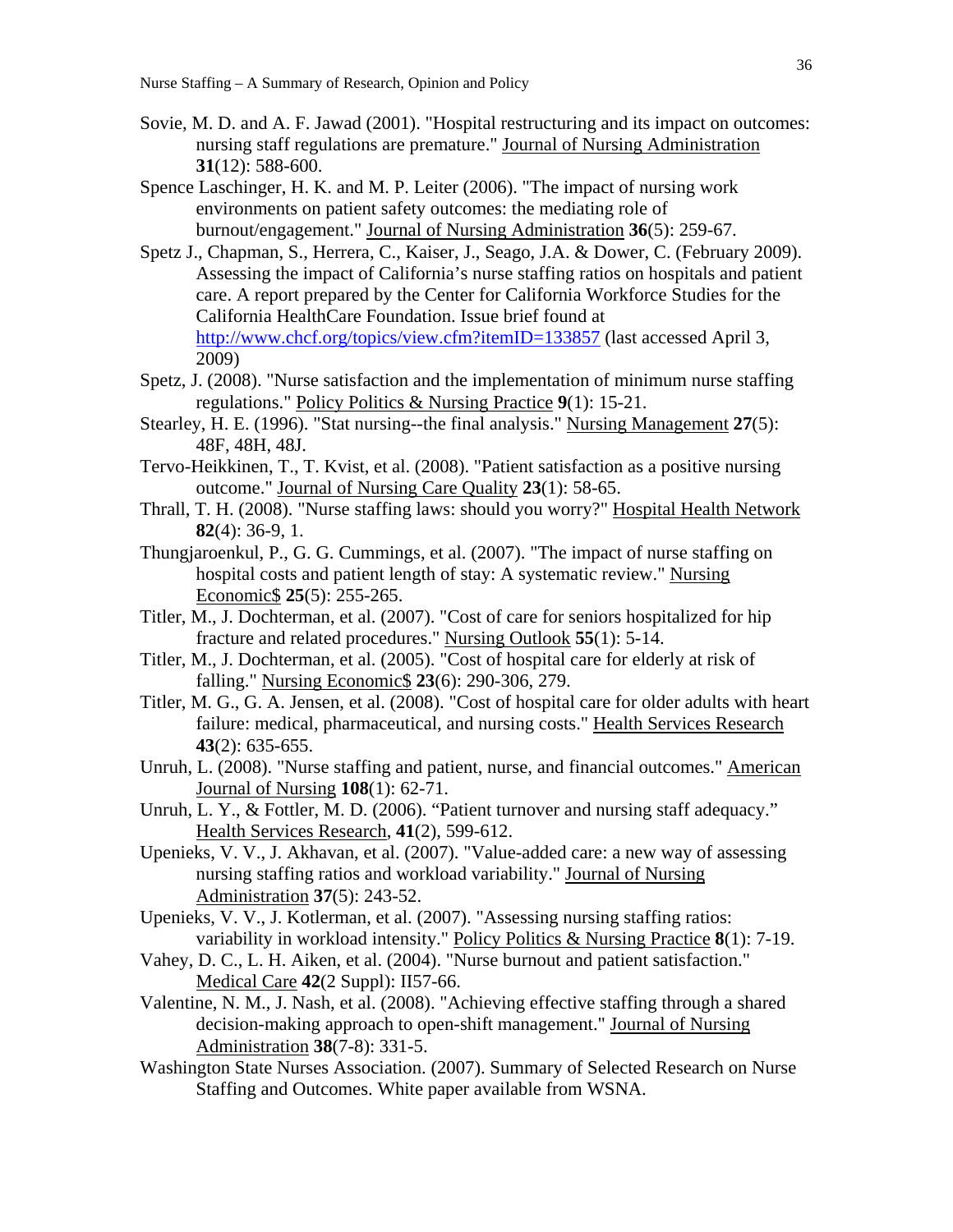- Sovie, M. D. and A. F. Jawad (2001). "Hospital restructuring and its impact on outcomes: nursing staff regulations are premature." Journal of Nursing Administration **31**(12): 588-600.
- Spence Laschinger, H. K. and M. P. Leiter (2006). "The impact of nursing work environments on patient safety outcomes: the mediating role of burnout/engagement." Journal of Nursing Administration **36**(5): 259-67.
- Spetz J., Chapman, S., Herrera, C., Kaiser, J., Seago, J.A. & Dower, C. (February 2009). Assessing the impact of California's nurse staffing ratios on hospitals and patient care. A report prepared by the Center for California Workforce Studies for the California HealthCare Foundation. Issue brief found at http://www.chcf.org/topics/view.cfm?itemID=133857 (last accessed April 3, 2009)
- Spetz, J. (2008). "Nurse satisfaction and the implementation of minimum nurse staffing regulations." Policy Politics & Nursing Practice **9**(1): 15-21.
- Stearley, H. E. (1996). "Stat nursing--the final analysis." Nursing Management **27**(5): 48F, 48H, 48J.
- Tervo-Heikkinen, T., T. Kvist, et al. (2008). "Patient satisfaction as a positive nursing outcome." Journal of Nursing Care Quality **23**(1): 58-65.
- Thrall, T. H. (2008). "Nurse staffing laws: should you worry?" Hospital Health Network **82**(4): 36-9, 1.
- Thungjaroenkul, P., G. G. Cummings, et al. (2007). "The impact of nurse staffing on hospital costs and patient length of stay: A systematic review." Nursing Economic\$ **25**(5): 255-265.
- Titler, M., J. Dochterman, et al. (2007). "Cost of care for seniors hospitalized for hip fracture and related procedures." Nursing Outlook **55**(1): 5-14.
- Titler, M., J. Dochterman, et al. (2005). "Cost of hospital care for elderly at risk of falling." Nursing Economic\$ **23**(6): 290-306, 279.
- Titler, M. G., G. A. Jensen, et al. (2008). "Cost of hospital care for older adults with heart failure: medical, pharmaceutical, and nursing costs." Health Services Research **43**(2): 635-655.
- Unruh, L. (2008). "Nurse staffing and patient, nurse, and financial outcomes." American Journal of Nursing **108**(1): 62-71.
- Unruh, L. Y., & Fottler, M. D. (2006). "Patient turnover and nursing staff adequacy." Health Services Research, **41**(2), 599-612.
- Upenieks, V. V., J. Akhavan, et al. (2007). "Value-added care: a new way of assessing nursing staffing ratios and workload variability." Journal of Nursing Administration **37**(5): 243-52.
- Upenieks, V. V., J. Kotlerman, et al. (2007). "Assessing nursing staffing ratios: variability in workload intensity." Policy Politics & Nursing Practice **8**(1): 7-19.
- Vahey, D. C., L. H. Aiken, et al. (2004). "Nurse burnout and patient satisfaction." Medical Care **42**(2 Suppl): II57-66.
- Valentine, N. M., J. Nash, et al. (2008). "Achieving effective staffing through a shared decision-making approach to open-shift management." Journal of Nursing Administration **38**(7-8): 331-5.
- Washington State Nurses Association. (2007). Summary of Selected Research on Nurse Staffing and Outcomes. White paper available from WSNA.